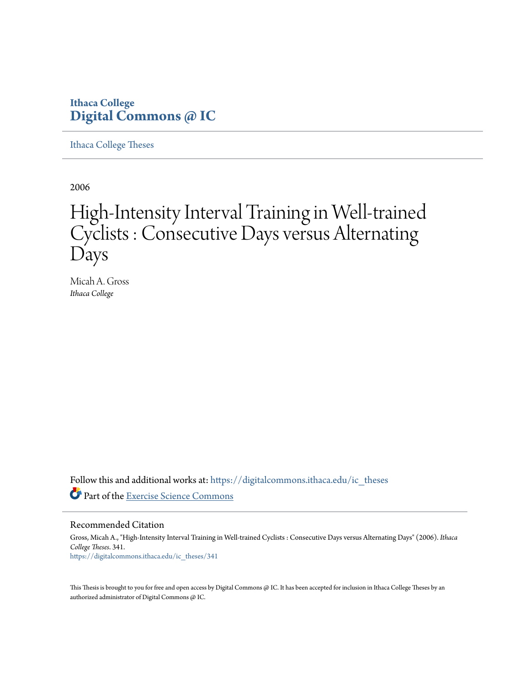## **Ithaca College [Digital Commons @ IC](https://digitalcommons.ithaca.edu?utm_source=digitalcommons.ithaca.edu%2Fic_theses%2F341&utm_medium=PDF&utm_campaign=PDFCoverPages)**

[Ithaca College Theses](https://digitalcommons.ithaca.edu/ic_theses?utm_source=digitalcommons.ithaca.edu%2Fic_theses%2F341&utm_medium=PDF&utm_campaign=PDFCoverPages)

2006

# High-Intensity Interval Training in Well-trained Cyclists : Consecutive Days versus Alternating Days

Micah A. Gross *Ithaca College*

Follow this and additional works at: [https://digitalcommons.ithaca.edu/ic\\_theses](https://digitalcommons.ithaca.edu/ic_theses?utm_source=digitalcommons.ithaca.edu%2Fic_theses%2F341&utm_medium=PDF&utm_campaign=PDFCoverPages) Part of the [Exercise Science Commons](http://network.bepress.com/hgg/discipline/1091?utm_source=digitalcommons.ithaca.edu%2Fic_theses%2F341&utm_medium=PDF&utm_campaign=PDFCoverPages)

Recommended Citation

Gross, Micah A., "High-Intensity Interval Training in Well-trained Cyclists : Consecutive Days versus Alternating Days" (2006). *Ithaca College Theses*. 341. [https://digitalcommons.ithaca.edu/ic\\_theses/341](https://digitalcommons.ithaca.edu/ic_theses/341?utm_source=digitalcommons.ithaca.edu%2Fic_theses%2F341&utm_medium=PDF&utm_campaign=PDFCoverPages)

This Thesis is brought to you for free and open access by Digital Commons @ IC. It has been accepted for inclusion in Ithaca College Theses by an authorized administrator of Digital Commons @ IC.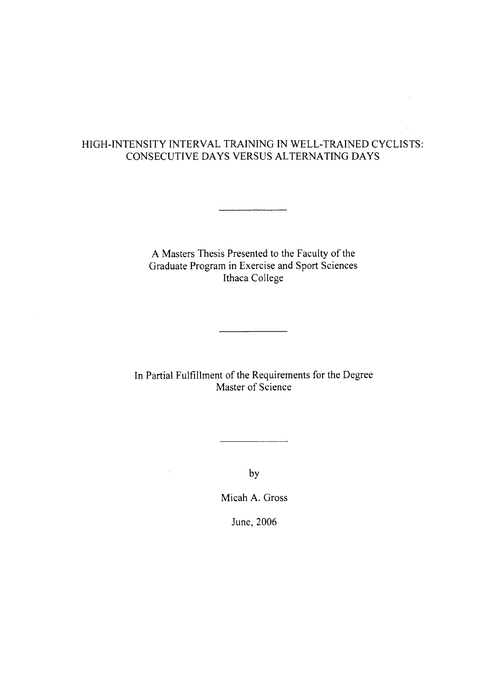### HIGH.INTENSITY INTERVAL TRAINING IN WELL-TRAINED CYCLISTS: CONSECUTIVE DAYS VERSUS ALTERNATING DAYS

A Masters Thesis Presented to the Faculty of the Graduate Program in Exercise and Sport Sciences Ithaca College

\_\_\_\_\_\_\_<del>\_\_\_\_\_\_\_</del>\_\_\_\_\_\_\_

ln Panial Fulfillment of the Requirements for the Degree Master of Science

by

 $\bar{z}$ 

Micah A. Gross

June, 2006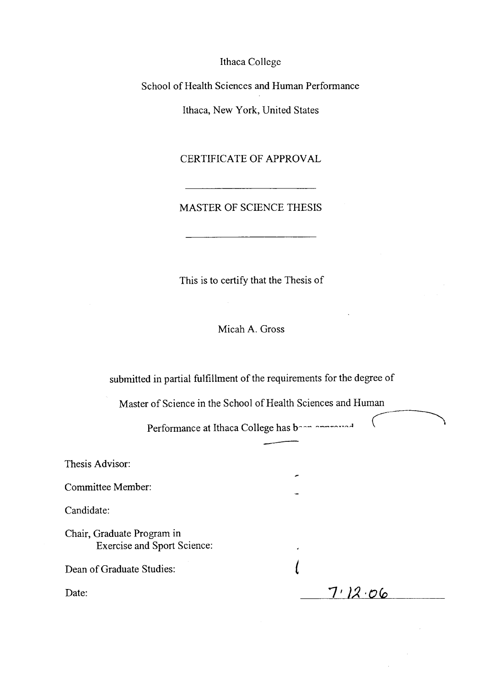Ithaca College

School of Health Sciences and Human Performance

Ithaca, New York, United States

CERTIFICATE OF APPROVAL

#### MASTER OF SCIENCE THESIS

This is to certify that the Thesis of

Micah A. Gross

submitted in partial fulfillment of the requirements for the degree of

Master of Science in the School of Health Sciences and Human

Performance at Ithaca College has been amongst

€

| Thesis Advisor:                                                  | ∽       |
|------------------------------------------------------------------|---------|
| Committee Member:                                                |         |
| Candidate:                                                       |         |
| Chair, Graduate Program in<br><b>Exercise and Sport Science:</b> | ٠       |
| Dean of Graduate Studies:                                        |         |
| Date:                                                            | 7/12.06 |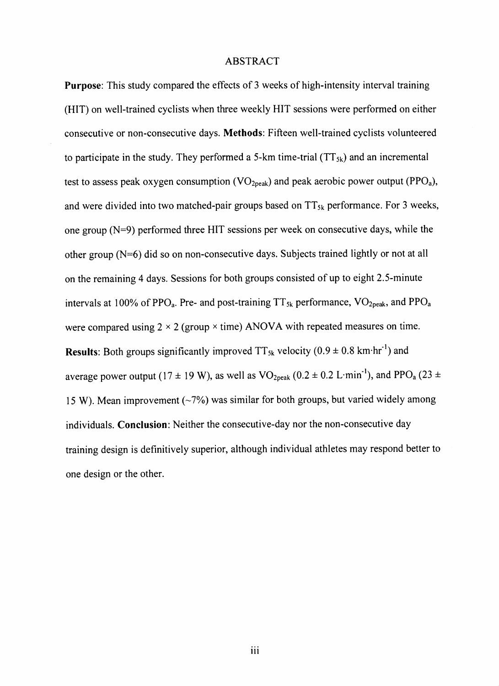#### ABSTRACT

Purpose: This study compared the effects of 3 weeks of high-intensity interval fraining (HIT) on well-trained cyclists when three weekly HIT sessions were performed on either consecutive or non-consecutive days. Methods: Fifteen well-trained cyclists volunteered to participate in the study. They performed a 5-km time-trial  $(TT_{5k})$  and an incremental test to assess peak oxygen consumption (VO<sub>2peak</sub>) and peak aerobic power output (PPO<sub>a</sub>), and were divided into two matched-pair groups based on  $TT_{5k}$  performance. For 3 weeks, one group  $(N=9)$  performed three HIT sessions per week on consecutive days, while the other group (N=6) did so on non-consecutive days. Subjects trained lightly or not at all on the remaining 4 days. Sessions for both groups consisted of up to eight 2.5-minute intervals at 100% of PPO<sub>a</sub>. Pre- and post-training  $TT_{5k}$  performance,  $VO_{2peak}$ , and PPO<sub>a</sub> were compared using  $2 \times 2$  (group  $\times$  time) ANOVA with repeated measures on time. **Results:** Both groups significantly improved  $TT_{5k}$  velocity (0.9  $\pm$  0.8 km·hr<sup>-1</sup>) and average power output (17  $\pm$  19 W), as well as VO<sub>2peak</sub> (0.2  $\pm$  0.2 L·min<sup>-1</sup>), and PPO<sub>a</sub> (23  $\pm$ 15 W). Mean improvement  $(-7%)$  was similar for both groups, but varied widely among individuals. Conclusion: Neither the consecutive-day nor the non-consecutive day training design is definitively superior, although individual athletes may respond better to one design or the other.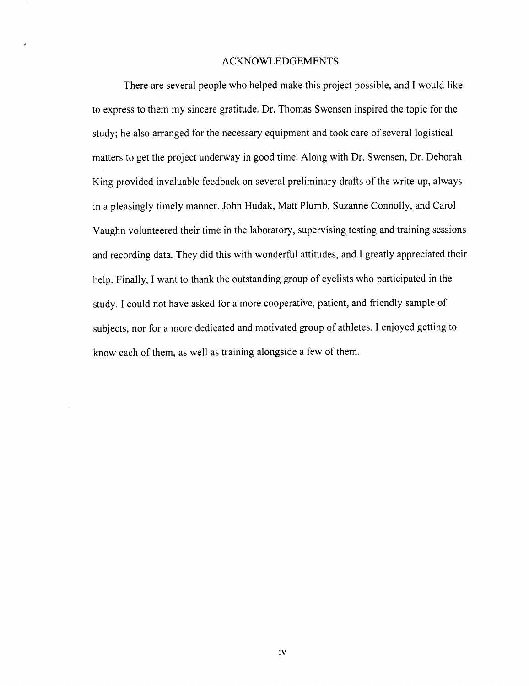#### ACKNOWLEDGEMENTS

There are several people who helped make this project possible, and I would like to express to them my sincere gratitude. Dr. Thomas Swensen inspired the topic for the study; he also arranged for the necessary equipment and took care of several logistical matters to get the project underway in good time. Along with Dr. Swensen, Dr. Deborah King provided invaluable feedback on several preliminary drafts of the write-up, always in a pleasingly timely manner. John Hudak, Matt Plumb, Suzanne Connolly, and Carol Vaughn volunteered their time in the laboratory, supervising testing and training sessions and recording data. They did this with wonderful attitudes, and I greatly appreciated their help. Finally, I want to thank the outstanding group of cyclists who participated in the study. I could not have asked for a more cooperative, patient, and friendly sample of subjects, nor for a more dedicated and motivated group of athletes. I enjoyed getting to know each of them, as well as training alongside a few of them.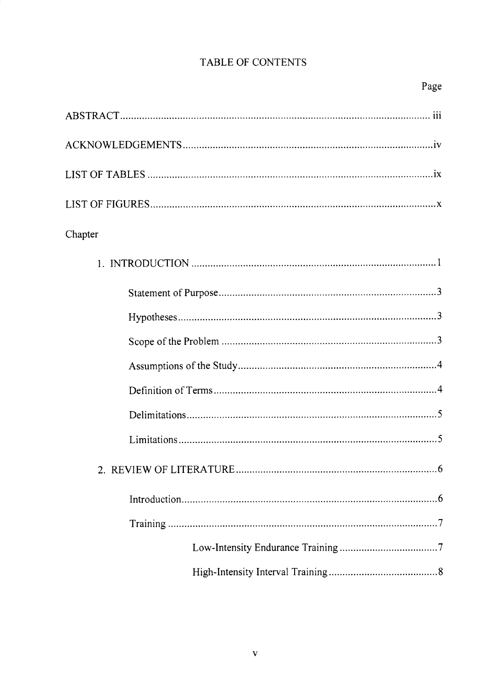# TABLE OF CONTENTS

# Page

| Chapter |
|---------|
|         |
|         |
|         |
|         |
|         |
|         |
|         |
|         |
|         |
| .6      |
|         |
|         |
|         |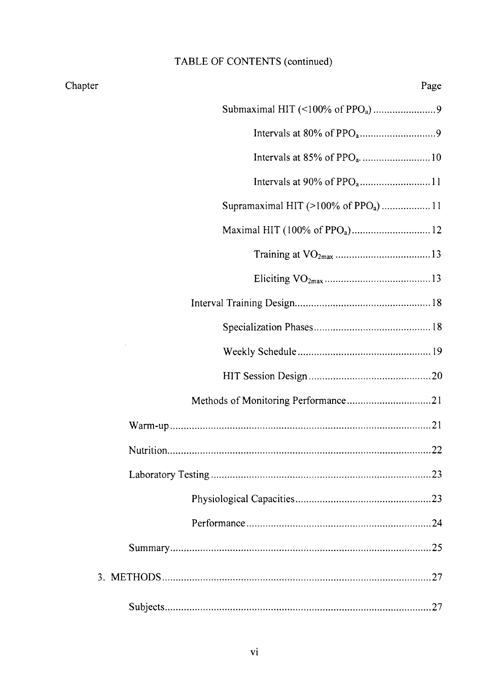# TABLE OF CONTENTS (continued)

Chapter

| Page<br>r                                       |
|-------------------------------------------------|
|                                                 |
|                                                 |
|                                                 |
|                                                 |
| Supramaximal HIT (>100% of PPO <sub>a</sub> )11 |
|                                                 |
|                                                 |
|                                                 |
|                                                 |
|                                                 |
|                                                 |
|                                                 |
|                                                 |
|                                                 |
|                                                 |
| 23                                              |
|                                                 |
|                                                 |
|                                                 |
|                                                 |
|                                                 |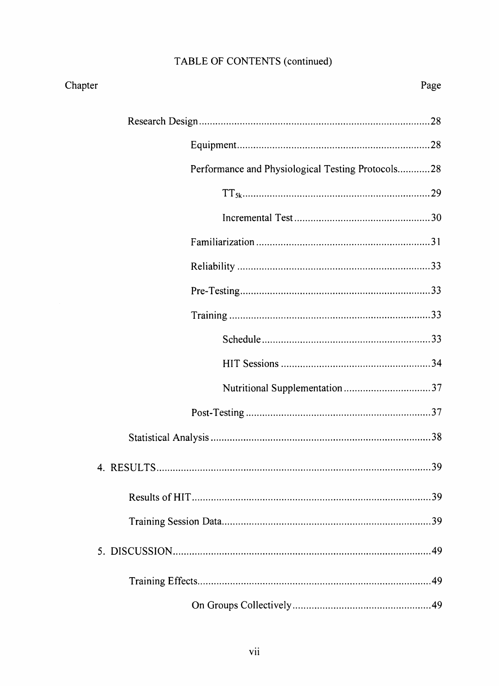# TABLE OF CONTENTS (continued)

| Chapter    |                                                   | Page |
|------------|---------------------------------------------------|------|
|            |                                                   |      |
|            |                                                   |      |
|            | Performance and Physiological Testing Protocols28 |      |
|            |                                                   |      |
|            |                                                   |      |
|            |                                                   |      |
|            |                                                   |      |
|            |                                                   |      |
|            |                                                   |      |
|            |                                                   |      |
|            |                                                   |      |
|            |                                                   |      |
|            |                                                   |      |
|            |                                                   |      |
| 4. RESULTS |                                                   | 39   |
|            |                                                   |      |
|            |                                                   |      |
|            |                                                   |      |
|            |                                                   |      |
|            |                                                   |      |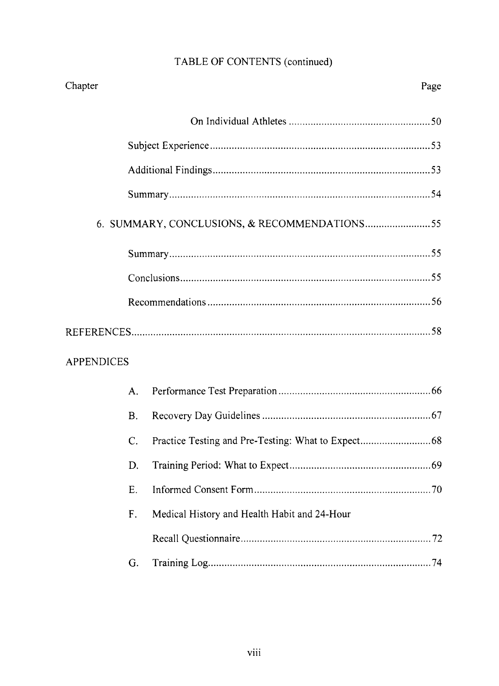# TABLE OF CONTENTS (continued)

| Chapter           |           |                                              | Page |
|-------------------|-----------|----------------------------------------------|------|
|                   |           |                                              |      |
|                   |           |                                              |      |
|                   |           |                                              |      |
|                   |           |                                              |      |
|                   |           |                                              |      |
|                   |           |                                              |      |
|                   |           |                                              |      |
|                   |           |                                              |      |
|                   |           |                                              |      |
| <b>APPENDICES</b> |           |                                              |      |
|                   | A.        |                                              |      |
|                   | <b>B.</b> |                                              |      |
|                   | C.        |                                              |      |
|                   | D.        |                                              |      |
|                   | Ε.        |                                              |      |
|                   | F.        | Medical History and Health Habit and 24-Hour |      |
|                   |           |                                              |      |
|                   | G.        |                                              |      |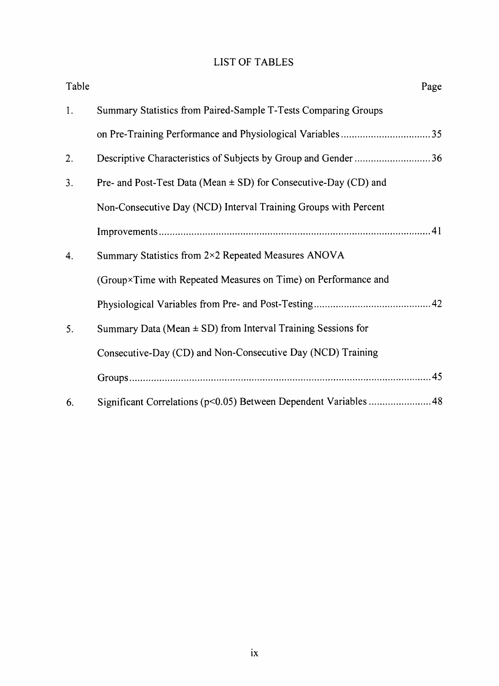### LIST OF TABLES

| Table | Page                                                                 |
|-------|----------------------------------------------------------------------|
| 1.    | Summary Statistics from Paired-Sample T-Tests Comparing Groups       |
|       |                                                                      |
| 2.    | Descriptive Characteristics of Subjects by Group and Gender 36       |
| 3.    | Pre- and Post-Test Data (Mean $\pm$ SD) for Consecutive-Day (CD) and |
|       | Non-Consecutive Day (NCD) Interval Training Groups with Percent      |
|       |                                                                      |
| 4.    | Summary Statistics from 2×2 Repeated Measures ANOVA                  |
|       | (Group×Time with Repeated Measures on Time) on Performance and       |
|       |                                                                      |
| 5.    | Summary Data (Mean $\pm$ SD) from Interval Training Sessions for     |
|       | Consecutive-Day (CD) and Non-Consecutive Day (NCD) Training          |
|       |                                                                      |
| 6.    |                                                                      |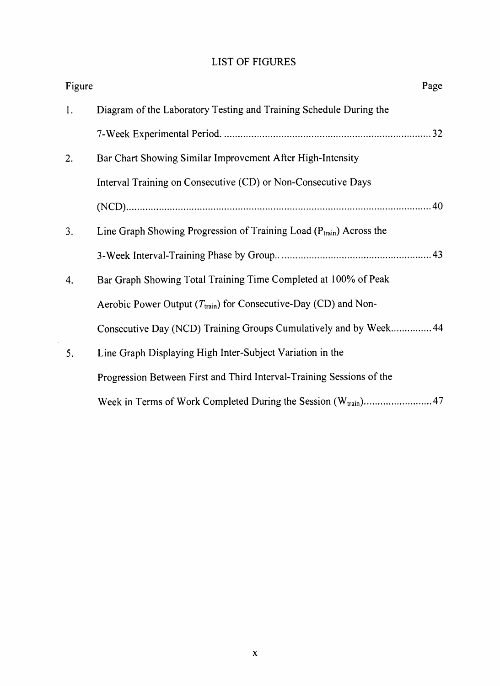### LIST OF FIGURES

| Figure | Page                                                                          |
|--------|-------------------------------------------------------------------------------|
| 1.     | Diagram of the Laboratory Testing and Training Schedule During the            |
|        |                                                                               |
| 2.     | Bar Chart Showing Similar Improvement After High-Intensity                    |
|        | Interval Training on Consecutive (CD) or Non-Consecutive Days                 |
|        |                                                                               |
| 3.     | Line Graph Showing Progression of Training Load $(P_{train})$ Across the      |
|        |                                                                               |
| 4.     | Bar Graph Showing Total Training Time Completed at 100% of Peak               |
|        | Aerobic Power Output ( $T_{\text{train}}$ ) for Consecutive-Day (CD) and Non- |
|        | Consecutive Day (NCD) Training Groups Cumulatively and by Week 44             |
| 5.     | Line Graph Displaying High Inter-Subject Variation in the                     |
|        | Progression Between First and Third Interval-Training Sessions of the         |
|        |                                                                               |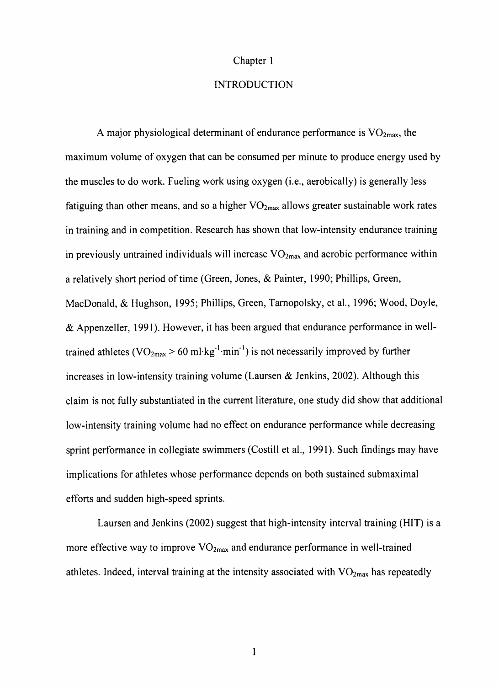#### Chapter I

#### **INTRODUCTION**

A major physiological determinant of endurance performance is  $VO<sub>2max</sub>$ , the maximum volume of oxygen that can be consumed per minute to produce energy used by the muscles to do work. Fueling work using oxygen (i.e., aerobically) is generally less fatiguing than other means, and so a higher  $VO_{2max}$  allows greater sustainable work rates in training and in competition. Research has shown that low-intensity endurance training in previously untrained individuals will increase  $VO<sub>2max</sub>$  and aerobic performance within <sup>a</sup>relatively short period of time (Green, Jones, & Painter, 1990; Phillips, Green, MacDonald, & Hughson, 1995; Phillips, Green, Tamopolsky, et al., 1996; Wood, Doyle, & Appenzeller, l99l). However, it has been argued that endurance performance in welltrained athletes ( $VO_{2max} > 60$  ml·kg<sup>-1</sup>·min<sup>-1</sup>) is not necessarily improved by further increases in low-intensity training volume (Laursen & Jenkins, 2002). Although this claim is not fully substantiated in the current literature, one study did show that additional low-intensity training volume had no effect on endurance performance while decreasing sprint performance in collegiate swimmers (Costill et al., 1991). Such findings may have implications for athletes whose performance depends on both sustained submaximal efforts and sudden high-speed sprints.

Laursen and Jenkins (2002) suggest that high-intensity interval training (HIT) is a more effective way to improve  $VO<sub>2max</sub>$  and endurance performance in well-trained athletes. Indeed, interval training at the intensity associated with  $VO<sub>2max</sub>$  has repeatedly

 $\mathbf{1}$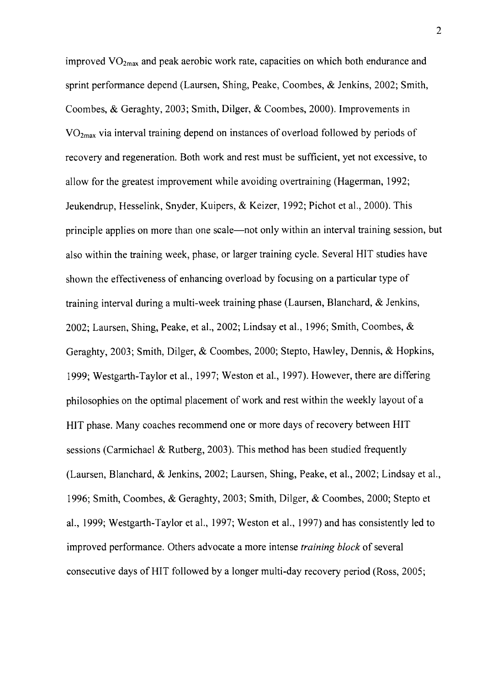improved  $VO_{2max}$  and peak aerobic work rate, capacities on which both endurance and sprint performance depend (Laursen, Shing, Peake, Coombes, & Jenkins, 2002; Smith, Coombes, & Geraghty, 2003; Smith, Dilger, & Coombes, 2000). Improvements in  $VO<sub>2max</sub>$  via interval training depend on instances of overload followed by periods of recovery and regeneration. Both work and rest must be sufficient, yet not excessive, to allow for the greatest improvement while avoiding overtraining (Hagerman,1992; Jeukendrup, Hesselink, Snyder, Kuipers, & Keizer, 1992; Pichot et al., 2000). This principle applies on more than one scale—not only within an interval training session, but also within the training week, phase, or larger training cycle. Several HIT studies have shown the effectiveness of enhancing overload by focusing on a particular type of training interval during a multi-week training phase (Laursen, Blanchard, & Jenkins, 2002; Laursen, Shing, Peake, et al., 2002; Lindsay et al., 1996; Smith, Coombes, & Geraghty, 2003; Smith, Dilger, & Coombes, 2000; Stepto, Hawley, Dennis, & Hopkins, 1999; Westgarth-Taylor et al., 1997; Weston et al., 1997). However, there are differing philosophies on the optimal placement of work and rest within the weekly layout of a HIT phase. Many coaches recommend one or more days of recovery between HIT sessions (Carmichael & Rutberg, 2003). This method has been studied frequently (Laursen, Blanchard, & Jenkins, 2002; Laursen, Shing, Peake, et al., 2002; Lindsay et al., 1996; Smith, Coombes, & Geraghty,2003; Smith, Dilger, & Coombes,2000; Stepto et al., 1999; Westgarth-Taylor et al., 1997; Weston et al., 1997) and has consistently led to improved performance. Others advocate a more intense training block of several consecutive days of HIT followed by a longer multi-day recovery period (Ross, 2005;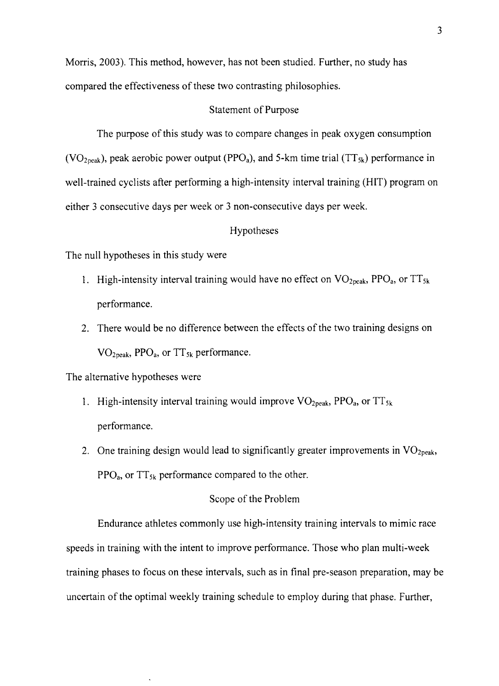Morris, 2003). This method, however, has not been studied. Further, no study has compared the effectiveness of these two contrasting philosophies.

#### Statement of Purpose

The purpose of this study was to compare changes in peak oxygen consumption (VO<sub>2peak</sub>), peak aerobic power output (PPO<sub>a</sub>), and 5-km time trial (TT<sub>5k</sub>) performance in well-trained cyclists after performing a high-intensity interval training (HIT) program on either 3 consecutive days per week or 3 non-consecutive days per week.

#### Hypotheses

The null hypotheses in this study were

- 1. High-intensity interval training would have no effect on  $VO<sub>2peak</sub>$ , PPO<sub>a</sub>, or TT<sub>5k</sub> performance.
- 2. There would be no difference between the effects of the two training designs on  $VO<sub>2peak</sub>$ , PPO<sub>a</sub>, or TT<sub>5k</sub> performance.

The alternative hypotheses were

- 1. High-intensity interval training would improve  $VO<sub>2peak</sub>$ , PPO<sub>a</sub>, or TT<sub>5k</sub> performance.
- 2. One training design would lead to significantly greater improvements in  $VO<sub>2peak</sub>$ ,  $PPO<sub>a</sub>$ , or  $TT<sub>5k</sub>$  performance compared to the other.

#### Scope of the Problem

Endurance athletes commonly use high-intensity training intervals to mimic race speeds in training with the intent to improve performance. Those who plan multi-week training phases to focus on these intervals, such as in final pre-season preparation, may be uncertain of the optimal weekly training schedule to employ during that phase. Further,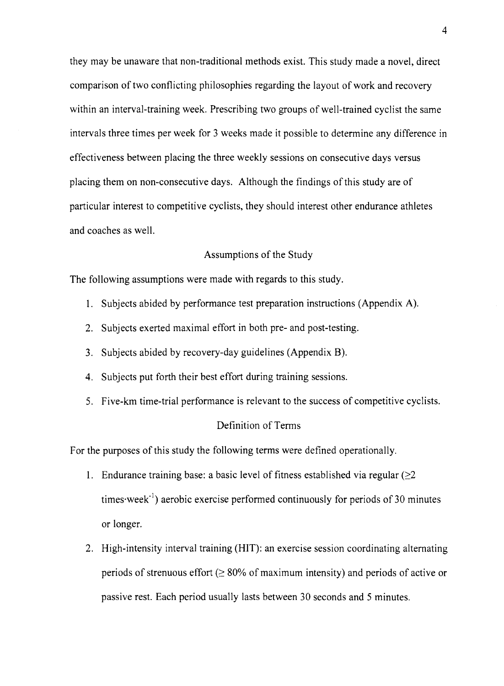they may be unaware that non-traditional methods exist. This study made a novel, direct comparison of two conflicting philosophies regarding the layout of work and recovery within an interval-training week. Prescribing two groups of well-trained cyclist the same intervals three times per week for 3 weeks made it possible to determine any difference in effectiveness between placing the three weekly sessions on consecutive days versus placing them on non-consecutive days. Although the findings of this study are of particular interest to competitive cyclists, they should interest other endurance athletes and coaches as well.

#### Assumptions of the Study

The following assumptions were made with regards to this study.

- 1. Subjects abided by performance test preparation instructions (Appendix A).
- 2. Subjects exerted maximal effort in both pre- and post-testing.
- 3. Subjects abided by recovery-day guidelines (Appendix B).
- 4. Subjects put forth their best effort during training sessions.
- 5. Five-km time-trial performance is relevant to the success of competitive cyclists.

#### Definition of Terms

For the purposes of this study the following terms were defined operationally.

- 1. Endurance training base: a basic level of fitness established via regular  $(\geq 2)$ times $\text{ week}^{-1}$ ) aerobic exercise performed continuously for periods of 30 minutes or longer.
- 2. High-intensity interval training (HIT): an exercise session coordinating alternating periods of strenuous effort  $(≥ 80%$  of maximum intensity) and periods of active or passive rest. Each period usually lasts between 30 seconds and 5 minutes.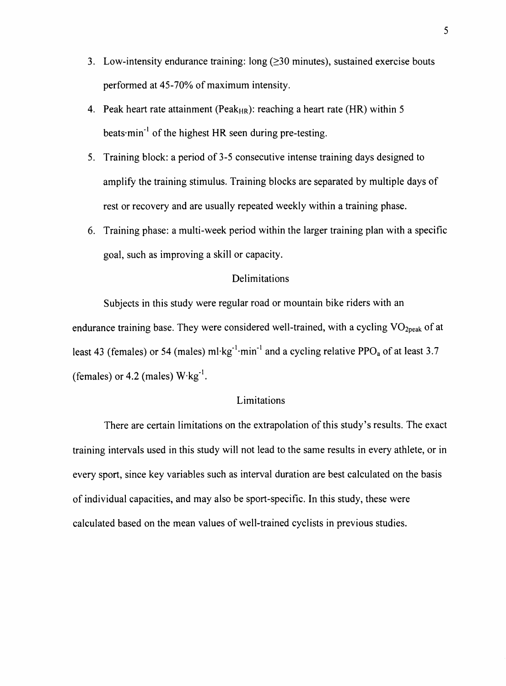- 3. Low-intensity endurance training:  $long$  ( $\geq$ 30 minutes), sustained exercise bouts performed at 45-70% of maximum intensity.
- 4. Peak heart rate attainment (Peak<sub>HR</sub>): reaching a heart rate (HR) within 5 beats $\cdot$ min<sup>-1</sup> of the highest HR seen during pre-testing.
- 5. Training block: a period of 3-5 consecutive intense training days designed to amplify the training stimulus. Training blocks are separated by multiple days of rest or recovery and are usually repeated weekly within a training phase.
- 6. Training phase: a multi-week period within the larger training plan with a specific goal, such as improving a skill or capacity.

#### Delimitations

Subjects in this study were regular road or mountain bike riders with an endurance training base. They were considered well-trained, with a cycling VO<sub>2peak</sub> of at least 43 (females) or 54 (males) ml·kg<sup>-1</sup>·min<sup>-1</sup> and a cycling relative PPO<sub>a</sub> of at least 3.7 (females) or 4.2 (males)  $W \cdot kg^{-1}$ .

#### Limitations

There are certain limitations on the extrapolation of this study's results. The exact training intervals used in this study will not lead to the same results in every athlete, or in every sport, since key variables such as interval duration are best calculated on the basis of individual capacities, and may also be sport-specific. In this study, these were calculated based on the mean values of well-trained cyclists in previous srudies.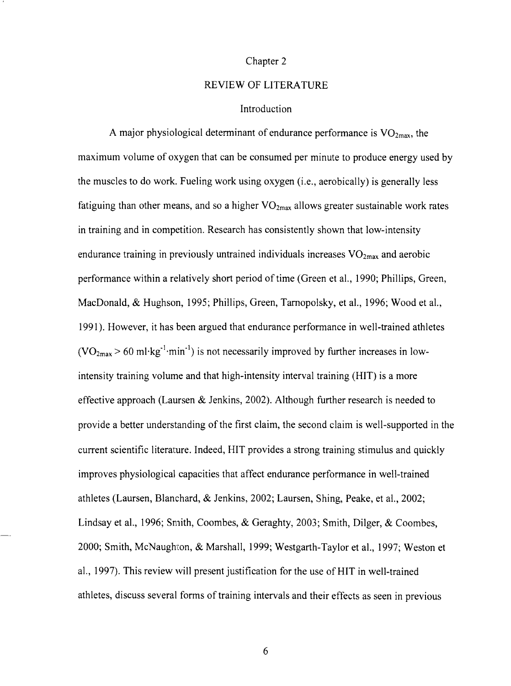#### Chapter 2

#### REVIEW OF LITERATURE

#### Introduction

A major physiological determinant of endurance performance is  $VO<sub>2max</sub>$ , the maximum volume of oxygen that can be consumed per minute to produce energy used by the muscles to do work. Fueling work using oxygen (i.e., aerobically) is generally less fatiguing than other means, and so a higher  $VO_{2max}$  allows greater sustainable work rates in training and in competition. Research has consistently shown that low-intensity endurance training in previously untrained individuals increases  $VO<sub>2max</sub>$  and aerobic performance within a relatively short period of time (Green et al., 1990; Phillips, Green, MacDonald, & Hughson, 1995; Phillips, Green, Tarnopolsky, et al., 1996; Wood et al., l99l). However, it has been argued that endurance performance in well-trained athletes  $(VO<sub>2max</sub> > 60 \text{ ml·kg}^{-1} \cdot \text{min}^{-1})$  is not necessarily improved by further increases in lowintensity training volume and that high-intensity interval training (HIT) is a more effective approach (Laursen & Jenkins, 2002). Although further research is needed to provide a better understanding of the first claim, the second claim is well-supported in the current scientific literature. Indeed, HIT provides a strong training stimulus and quickly improves physiological capacities that affect endurance performance in well-trained athletes (Laursen, Blanchard, & Jenkins, 2002; Laursen, Shing, Peake, et a1.,2002; Lindsay et al., 1996; Smith, Coombes, & Geraghty, 2003; Smith, Dilger, & Coombes, 2000; Smith, McNaughi:on, & Marshall, 1999; Westgarth-Taylor et al., 1997; Weston et al.,1997). This review rvill present justification for the use of HIT in well-trained athletes, discuss several forms of training intervals and their effects as seen in previous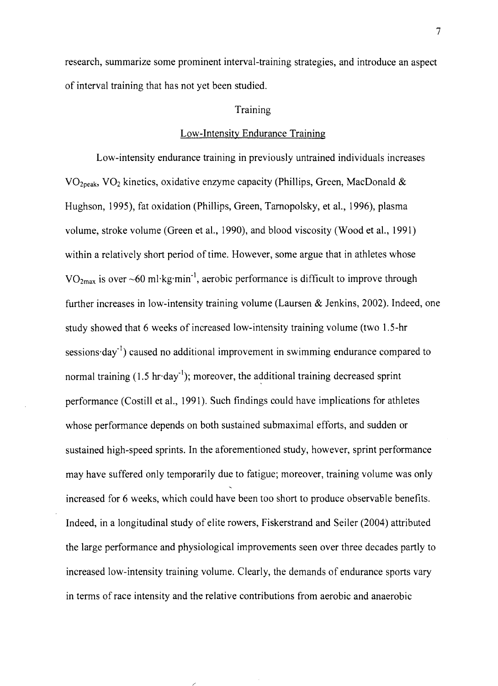research, summarize some prominent interval-training strategies, and introduce an aspect of interval training that has not yet been studied.

#### Training

#### Low-lntensity Endurance Training

Low-intensity endurance training in previously untrained individuals increases  $VO<sub>2peak</sub>, VO<sub>2</sub>$  kinetics, oxidative enzyme capacity (Phillips, Green, MacDonald & Hughson, 1995), fat oxidation (Phillips, Green, Tarnopolsky, et al., 1996), plasma volume, stroke volume (Green et al., 1990), and blood viscosity (Wood et al., l99l) within a relatively short period of time. However, some argue that in athletes whose  $VO<sub>2max</sub>$  is over  $~60$  ml·kg·min<sup>-1</sup>, aerobic performance is difficult to improve through further increases in low-intensity training volume (Laursen  $\&$  Jenkins, 2002). Indeed, one study showed that 6 weeks of increased low-intensity training volume (two 1.5-hr sessions day<sup>-1</sup>) caused no additional improvement in swimming endurance compared to normal training  $(1.5 \text{ hr-day}^{-1})$ ; moreover, the additional training decreased sprint performance (Costill et al., l99l). Such findings could have implications for athletes whose performance depends on both sustained submaximal efforts, and sudden or sustained high-speed sprints. In the aforementioned study, however, sprint performance may have suffered only temporarily due to fatigue; moreover, training volume was only increased for 6 weeks, which could have been too short to produce observable benefits. Indeed, in a longitudinal study of elite rowers, Fiskerstrand and Seiler (2004) attributed the large performance and physiological improvements seen over three decades partly to increased low-intensity training volume. Clearly, the demands of endurance sports vary in terms of race intensity and the relative contributions from aerobic and anaerobic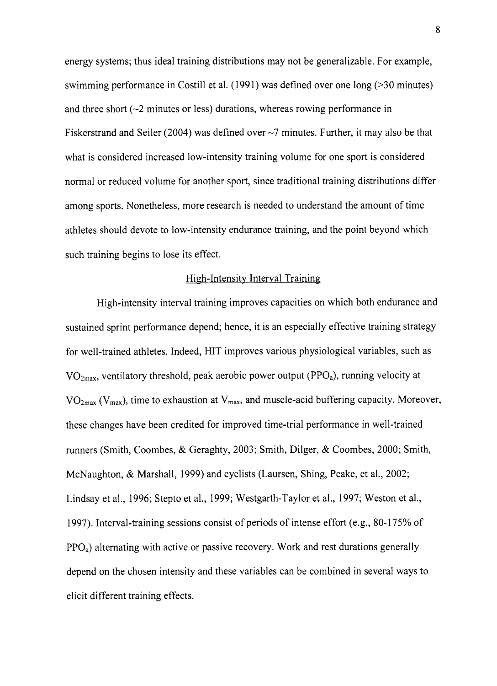energy systems; thus ideal training distributions may not be generalizable. For example, swimming performance in Costill et al. (1991) was defined over one long (>30 minutes) and three short  $(\sim 2$  minutes or less) durations, whereas rowing performance in Fiskerstrand and Seiler (2004) was defined over  $\sim$ 7 minutes. Further, it may also be that what is considered increased low-intensity training volume for one sport is considered normal or reduced volume for another sport, since traditional training distributions differ among sports. Nonetheless, more research is needed to understand the amount of time athletes should devote to low-intensity endurance training, and the point beyond which such training begins to lose its effect.

#### High-lntensity Interval Training

High-intensity interval training improves capacities on which both endurance and sustained sprint performance depend; hence, it is an especially effective training strategy for well-trained athletes. Indeed, HIT improves various physiological variables, such as  $VO<sub>2max</sub>$ , ventilatory threshold, peak aerobic power output (PPO<sub>a</sub>), running velocity at  $VO<sub>2max</sub> (V<sub>max</sub>)$ , time to exhaustion at  $V<sub>max</sub>$ , and muscle-acid buffering capacity. Moreover, these changes have been credited for improved time-trial performance in well+rained runners (Smith, Coombes, & Geraghty,2003; Smith, Dilger, & Coombes,2000; Smith, McNaughton, & Marshall, 1999) and cyclists (Laursen, Shing, Peake, et al., 2002; Lindsay et al., 1996; Stepto et al., 1999; Westgarth-Taylor et al., 1997; Weston et al., 1997). Interval-training sessions consist of periods of intense effort (e.g., 80-175% of  $PPO<sub>a</sub>$ ) alternating with active or passive recovery. Work and rest durations generally depend on the chosen intensity and these variables can be combined in several ways to elicit different training effects.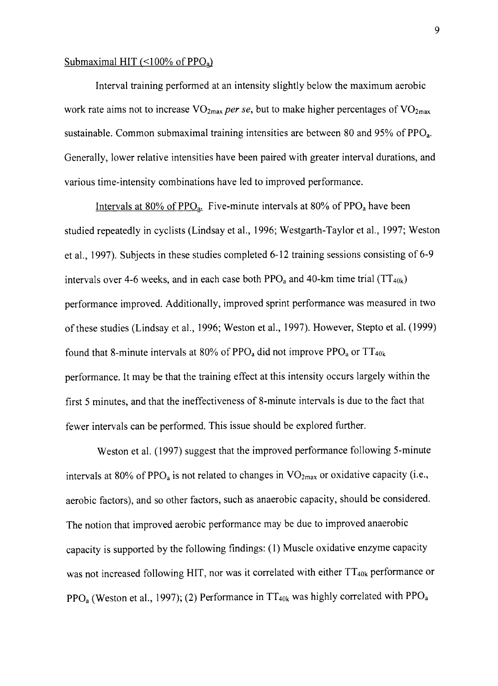#### Submaximal HIT ( $\leq$ 100% of PP $Q_a$ )

Interval training performed at an intensity slightly below the maximum aerobic work rate aims not to increase  $VO_{2max}$  per se, but to make higher percentages of  $VO_{2max}$ sustainable. Common submaximal training intensities are between 80 and 95% of PPO<sub>a</sub>. Generally, lower relative intensities have been paired with greater interval durations, and various time-intensity combinations have led to improved performance.

Intervals at 80% of PPO<sub>a</sub>. Five-minute intervals at 80% of PPO<sub>a</sub> have been studied repeatedly in cyclists (Lindsay et al., 1996; Westgarth-Taylor et a1.,1997; Weston et al., 1997). Subjects in these studies completed 6-12 training sessions consisting of 6-9 intervals over 4-6 weeks, and in each case both  $PPO<sub>a</sub>$  and 40-km time trial (TT<sub>40k</sub>) performance improved. Additionally, improved sprint performance was measured in two of these studies (Lindsay et al., 1996; Weston et al., 1997). However, Stepto et al. (1999) found that 8-minute intervals at 80% of  $PPO<sub>a</sub>$  did not improve  $PPO<sub>a</sub>$  or  $TT<sub>40k</sub>$ . performance. It may be that the training effect at this intensity occurs largely within the first 5 minutes, and that the ineffectiveness of 8-minute intervals is due to the fact that fewer intervals can be performed. This issue should be explored further.

Weston et al. (1997) suggest that the improved performance following S-minute intervals at 80% of PPO<sub>a</sub> is not related to changes in  $VO<sub>2max</sub>$  or oxidative capacity (i.e., aerobic factors), and so other factors, such as anaerobic capacity, should be considered. The notion that improved aerobic performance may be due to improved anaerobic capacity is supported by the following findings: (l) Muscle oxidative enzyme capacity was not increased following HIT, nor was it correlated with either  $TT_{40k}$  performance or PPO<sub>a</sub> (Weston et al., 1997); (2) Performance in  $TT_{40k}$  was highly correlated with PPO<sub>a</sub>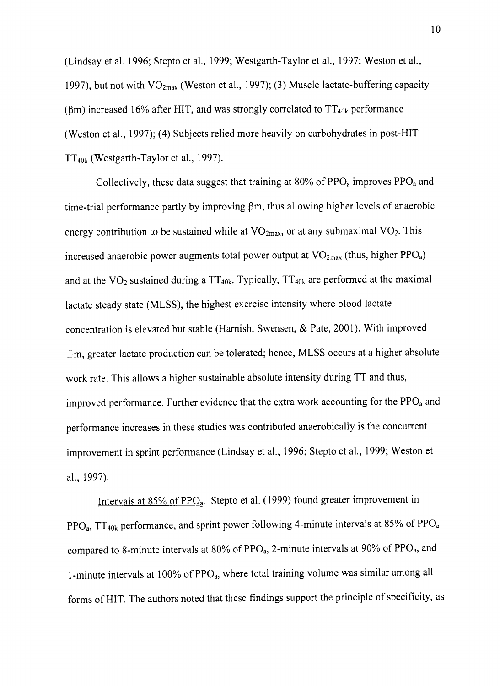(Lindsay et al. 1996; Stepto et al., 1999; Westgarth-Taylor et al., 1997; Weston et al., 1997), but not with  $VO<sub>2max</sub>$  (Weston et al., 1997); (3) Muscle lactate-buffering capacity ( $\beta$ m) increased 16% after HIT, and was strongly correlated to  $TT_{40k}$  performance (Weston et al., 1997); (4) Subjects relied more heavily on carbohydrates in post-HIT  $TT_{40k}$  (Westgarth-Taylor et al., 1997).

Collectively, these data suggest that training at 80% of  $PPO<sub>a</sub>$  improves  $PPO<sub>a</sub>$  and time-trial performance partly by improving Bm, thus allowing higher levels of anaerobic energy contribution to be sustained while at  $VO<sub>2max</sub>$ , or at any submaximal  $VO<sub>2</sub>$ . This increased anaerobic power augments total power output at  $VO<sub>2max</sub>$  (thus, higher  $PPO<sub>a</sub>$ ) and at the  $VO<sub>2</sub>$  sustained during a TT<sub>40k</sub>. Typically, TT<sub>40k</sub> are performed at the maximal lactate steady state (MLSS), the highest exercise intensity where blood lactate concentration is elevated but stable (Harnish, Swensen, & Pate, 2001). With improved  $\bar{\text{m}}$ , greater lactate production can be tolerated; hence, MLSS occurs at a higher absolute work rate. This allows a higher sustainable absolute intensity during TT and thus, improved performance. Further evidence that the extra work accounting for the  $PPO<sub>a</sub>$  and performance increases in these studies was contributed anaerobically is the concurrent improvement in sprint performance (Lindsay et al., 1996; Stepto et al., 1999; Weston et a1.,1997).

Intervals at 85% of PPO<sub>a</sub>. Stepto et al. (1999) found greater improvement in  $PPO<sub>a</sub>$ , TT<sub>40k</sub> performance, and sprint power following 4-minute intervals at 85% of  $PPO<sub>a</sub>$ compared to 8-minute intervals at 80% of PPO<sub>a</sub>, 2-minute intervals at 90% of PPO<sub>a</sub>, and l-minute intervals at 100% of PPO<sub>a</sub>, where total training volume was similar among all forms of HIT. The authors noted that these findings support the principle of specificity, as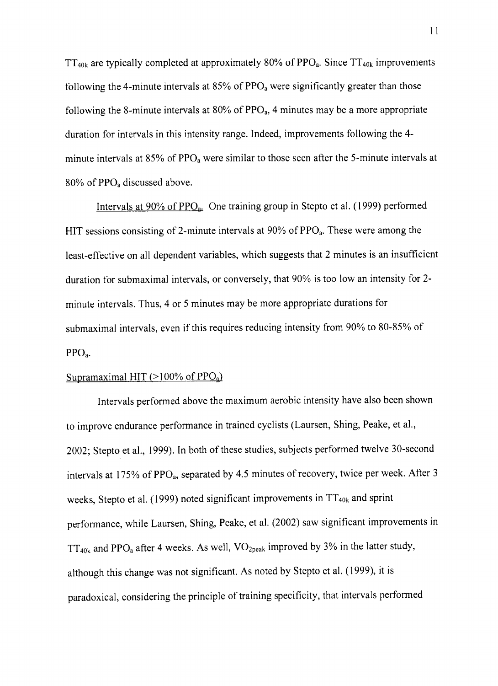$TT_{40k}$  are typically completed at approximately 80% of PPO<sub>a</sub>. Since  $TT_{40k}$  improvements following the 4-minute intervals at  $85\%$  of PPO<sub>a</sub> were significantly greater than those following the 8-minute intervals at  $80\%$  of  $PPO<sub>a</sub>$ , 4 minutes may be a more appropriate duration for intervals in this intensity range. Indeed, improvements following the 4 minute intervals at  $85\%$  of  $PPO<sub>a</sub>$  were similar to those seen after the 5-minute intervals at 80% of PPO<sub>a</sub> discussed above.

Intervals at  $90\%$  of  $PPO<sub>a</sub>$ . One training group in Stepto et al. (1999) performed HIT sessions consisting of 2-minute intervals at  $90\%$  of PPO<sub>a</sub>. These were among the least-effective on all dependent variables, which suggests that2 minutes is an insufficient duration for submaximal intervals, or conversely, that 90% is too low an intensity for 2minute intervals. Thus,4 or 5 minutes may be more appropriate durations for submaximal intervals, even if this requires reducing intensity from 90% to 80-85% of PPOa.

#### Supramaximal HIT ( $>100\%$  of PPO<sub>a</sub>)

Intervals performed above the maximum aerobic intensity have also been shown to improve endurance performance in trained cyclists (Laursen, Shing, Peake, et al., 2002; Stepto et al., 1999). In both of these studies, subjects performed twelve 30-second intervals at 175% of PPO<sub>a</sub>, separated by 4.5 minutes of recovery, twice per week. After 3 weeks, Stepto et al. (1999) noted significant improvements in  $TT_{40k}$  and sprint performance, while Laursen, Shing, Peake, et al. (2002) saw significant improvements in  $TT_{40k}$  and PPO<sub>a</sub> after 4 weeks. As well,  $VO_{2peak}$  improved by 3% in the latter study, although this change was not significant. As noted by Stepto et al. (1999), it is paradoxical, considering the principle of training specificity, that intervals performed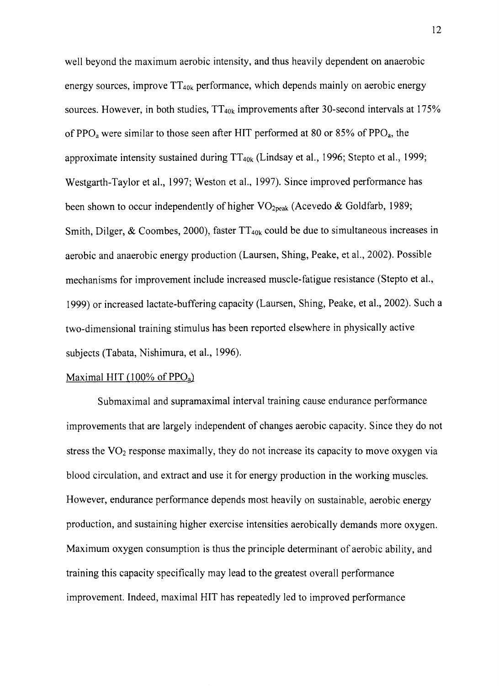well beyond the maximum aerobic intensity, and thus heavily dependent on anaerobic energy sources, improve  $TT_{40k}$  performance, which depends mainly on aerobic energy sources. However, in both studies,  $TT_{40k}$  improvements after 30-second intervals at 175% of PPO<sub>a</sub> were similar to those seen after HIT performed at 80 or 85% of PPO<sub>a</sub>, the approximate intensity sustained during  $TT_{40k}$  (Lindsay et al., 1996; Stepto et al., 1999; Westgarth-Taylor et al., 1997; Weston et al., 1997). Since improved performance has been shown to occur independently of higher  $VO_{2peak}$  (Acevedo & Goldfarb, 1989; Smith, Dilger, & Coombes, 2000), faster  $TT_{40k}$  could be due to simultaneous increases in aerobic and anaerobic energy production (Laursen, Shing, Peake, et a1.,2002). Possible mechanisms for improvement include increased muscle-fatigue resistance (Stepto et al., 1999) or increased lactate-buffering capacity (Laursen, Shing, Peake, eta1.,2002). Such a two-dimensional training stimulus has been reported elsewhere in physically active subjects (Tabata, Nishimura, et al., 1996).

#### Maximal HIT (100% of  $PPO<sub>a</sub>$ )

Submaximal and supramaximal interval training cause endurance performance improvements that are largely independent of changes aerobic capacity. Since they do not stress the  $VO<sub>2</sub>$  response maximally, they do not increase its capacity to move oxygen via blood circulation, and extract and use it for energy production in the working muscles. However, endurance performance depends most heavily on sustainable, aerobic energy production, and sustaining higher exercise intensities aerobically demands more oxygen. Maximum oxygen consumption is thus the principle determinant of aerobic ability, and training this capacity specifically may lead to the greatest overall performance improvement. Indeed, maximal HIT has repeatedly led to improved performance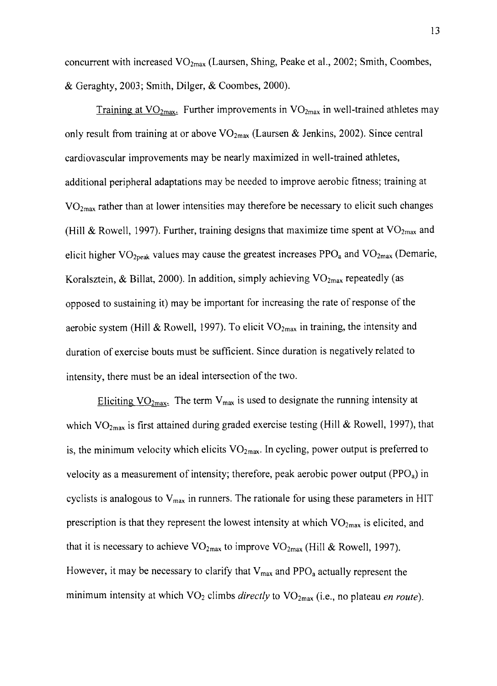concurrent with increased  $VO_{2max}$  (Laursen, Shing, Peake et al., 2002; Smith, Coombes, & Geraghty,2003; Smith, Dilger, & Coombes,2000).

Training at  $VO<sub>2max</sub>$ . Further improvements in  $VO<sub>2max</sub>$  in well-trained athletes may only result from training at or above  $VO_{2max}$  (Laursen & Jenkins, 2002). Since central cardiovascular improvements may be nearly maximized in well-trained athletes, additional peripheral adaptations may be needed to improve aerobic fitness; training at  $VO<sub>2max</sub>$  rather than at lower intensities may therefore be necessary to elicit such changes (Hill & Rowell, 1997). Further, training designs that maximize time spent at  $VO<sub>2max</sub>$  and elicit higher  $VO_{2\text{peak}}$  values may cause the greatest increases PPO<sub>a</sub> and  $VO_{2\text{max}}$  (Demarie, Koralsztein, & Billat, 2000). In addition, simply achieving  $VO<sub>2max</sub>$  repeatedly (as opposed to sustaining it) may be important for increasing the rate of response of the aerobic system (Hill & Rowell, 1997). To elicit  $VO_{2max}$  in training, the intensity and duration of exercise bouts must be sufficient. Since duration is negatively related to intensity, there must be an ideal intersection of the two.

Eliciting  $VO<sub>2max</sub>$ . The term  $V<sub>max</sub>$  is used to designate the running intensity at which  $VO<sub>2max</sub>$  is first attained during graded exercise testing (Hill & Rowell, 1997), that is, the minimum velocity which elicits  $VO_{2max}$ . In cycling, power output is preferred to velocity as a measurement of intensity; therefore, peak aerobic power output ( $PPO<sub>a</sub>$ ) in cyclists is analogous to  $V_{\text{max}}$  in runners. The rationale for using these parameters in HIT prescription is that they represent the lowest intensity at which  $VO<sub>2max</sub>$  is elicited, and that it is necessary to achieve  $VO_{2max}$  to improve  $VO_{2max}$  (Hill & Rowell, 1997). However, it may be necessary to clarify that  $V_{max}$  and PPO<sub>a</sub> actually represent the minimum intensity at which  $VO<sub>2</sub>$  climbs *directly* to  $VO<sub>2max</sub>$  (i.e., no plateau *en route*).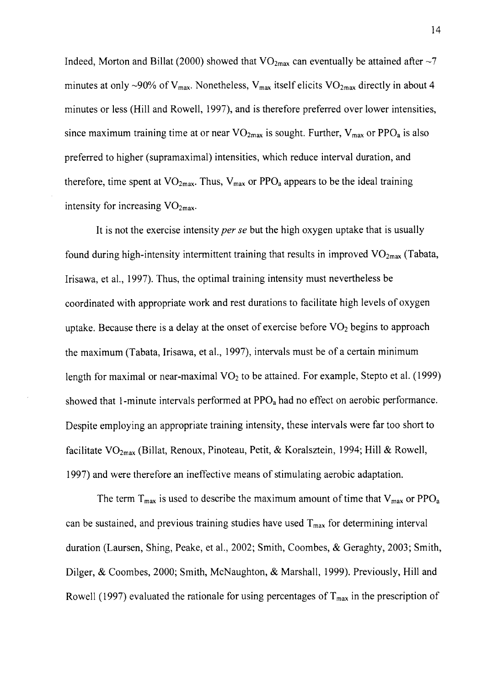Indeed, Morton and Billat (2000) showed that  $VO_{2max}$  can eventually be attained after  $\sim$ 7 minutes at only ~90% of  $V_{\text{max}}$ . Nonetheless,  $V_{\text{max}}$  itself elicits VO<sub>2max</sub> directly in about 4 minutes or less (Hill and Rowell, 1997), and is therefore preferred over lower intensities, since maximum training time at or near  $VO_{2max}$  is sought. Further,  $V_{max}$  or PPO<sub>a</sub> is also preferred to higher (supramaximal) intensities, which reduce interval duration, and therefore, time spent at  $VO<sub>2max</sub>$ . Thus,  $V<sub>max</sub>$  or PPO<sub>a</sub> appears to be the ideal training intensity for increasing  $VO<sub>2max</sub>$ .

It is not the exercise intensity *per se* but the high oxygen uptake that is usually found during high-intensity intermittent training that results in improved  $VO_{2max}$  (Tabata, Irisawa, et al., 1997). Thus, the optimal training intensity must nevertheless be coordinated with appropriate work and rest durations to facilitate high levels of oxygen uptake. Because there is a delay at the onset of exercise before  $VO<sub>2</sub>$  begins to approach the maximum (Tabata, Irisawa, et al., 1997), intervals must be of a certain minimum length for maximal or near-maximal  $VO<sub>2</sub>$  to be attained. For example, Stepto et al. (1999) showed that 1-minute intervals performed at PPO<sub>a</sub> had no effect on aerobic performance. Despite employing an appropriate training intensity, these intervals were far too short to facilitate  $VO_{2max}$  (Billat, Renoux, Pinoteau, Petit, & Koralsztein, 1994; Hill & Rowell, 1997) and were therefore an ineffective means of stimulating aerobic adaptation.

The term  $T_{\text{max}}$  is used to describe the maximum amount of time that  $V_{\text{max}}$  or PPO<sub>a</sub>. can be sustained, and previous training studies have used  $T<sub>max</sub>$  for determining interval duration (Laursen, Shing, Peake, eta1.,2002; Smith, Coombes, & Geraghty,2003; Smith, Dilger, & Coombes, 2000; Smith, McNaughton, & Marshall, 1999). Previously, Hill and Rowell (1997) evaluated the rationale for using percentages of  $T_{\text{max}}$  in the prescription of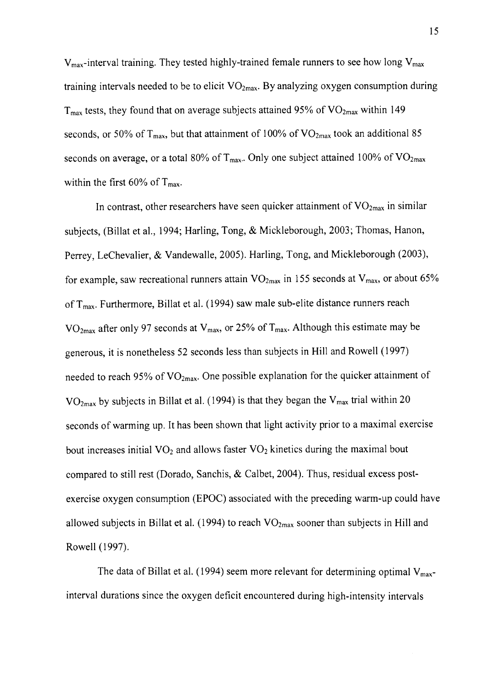$V_{\text{max}}$ -interval training. They tested highly-trained female runners to see how long  $V_{\text{max}}$ training intervals needed to be to elicit  $VO<sub>2max</sub>$ . By analyzing oxygen consumption during  $T_{\text{max}}$  tests, they found that on average subjects attained 95% of  $VO_{2\text{max}}$  within 149 seconds, or 50% of  $T_{max}$ , but that attainment of 100% of  $VO_{2max}$  took an additional 85 seconds on average, or a total 80% of  $T_{\text{max}}$ . Only one subject attained 100% of VO<sub>2max</sub> within the first 60% of  $T_{\text{max}}$ .

In contrast, other researchers have seen quicker attainment of  $VO_{2max}$  in similar subjects, (Billat et al., 1994; Harling, Tong, & Mickleborough, 2003; Thomas, Hanon, Perrey, LeChevalier, & Vandewalle, 2005). Harling, Tong, and Mickleborough (2003), for example, saw recreational runners attain  $VO_{2max}$  in 155 seconds at  $V_{max}$ , or about 65% of  $T_{max}$ . Furthermore, Billat et al. (1994) saw male sub-elite distance runners reach VO<sub>2max</sub> after only 97 seconds at V<sub>max</sub>, or 25% of T<sub>max</sub>. Although this estimate may be generous, it is nonetheless 52 seconds less than subjects in Hill and Rowell (1997) needed to reach 95% of  $VO<sub>2max</sub>$ . One possible explanation for the quicker attainment of  $VO<sub>2max</sub>$  by subjects in Billat et al. (1994) is that they began the  $V<sub>max</sub>$  trial within 20 seconds of warming up. tt has been shown that light activity prior to a maximal exercise bout increases initial  $VO<sub>2</sub>$  and allows faster  $VO<sub>2</sub>$  kinetics during the maximal bout compared to still rest (Dorado, Sanchis,  $\&$  Calbet, 2004). Thus, residual excess postexercise oxygen consumption (EPOC) associated with the preceding warm-up could have allowed subjects in Billat et al. (1994) to reach  $VO_{2max}$  sooner than subjects in Hill and Rowell (1997).

The data of Billat et al. (1994) seem more relevant for determining optimal  $V_{\text{max}}$ interval durations since the oxygen deficit encountered during high-intensity intervals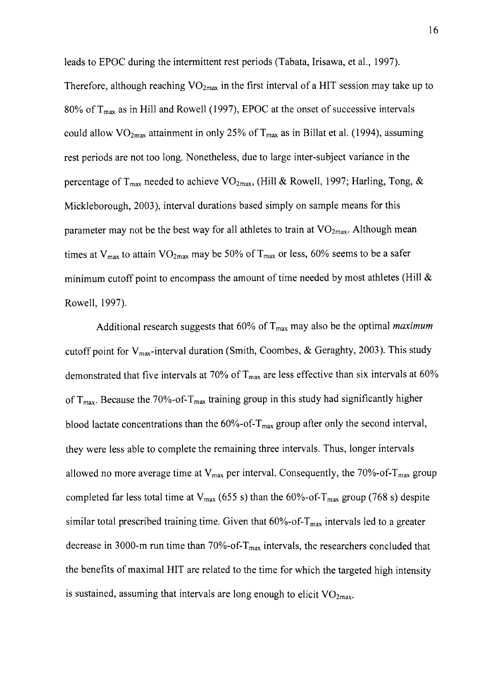leads to EPOC during the intermittent rest periods (Tabata, Irisawa, etal.,1997). Therefore, although reaching  $VO<sub>2max</sub>$  in the first interval of a HIT session may take up to 80% of  $T_{\text{max}}$  as in Hill and Rowell (1997), EPOC at the onset of successive intervals could allow  $\rm{VO}_{2max}$  attainment in only 25% of T<sub>max</sub> as in Billat et al. (1994), assuming rest periods are not too long. Nonetheless, due to large inter-subject variance in the percentage of T<sub>max</sub> needed to achieve VO<sub>2max</sub>, (Hill & Rowell, 1997; Harling, Tong, & Mickleborough, 2003), interval durations based simply on sample means for this parameter may not be the best way for all athletes to train at  $VO_{2max}$ . Although mean times at  $V_{max}$  to attain  $VO_{2max}$  may be 50% of  $T_{max}$  or less, 60% seems to be a safer minimum cutoff point to encompass the amount of time needed by most athletes (Hill  $\&$ Rowell, 1997).

Additional research suggests that  $60\%$  of  $T_{\text{max}}$  may also be the optimal *maximum* cutoff point for  $V_{\text{max}}$ -interval duration (Smith, Coombes, & Geraghty, 2003). This study demonstrated that five intervals at 70% of  $T_{\text{max}}$  are less effective than six intervals at 60% of  $T_{\text{max}}$ . Because the 70%-of-T<sub>max</sub> training group in this study had significantly higher blood lactate concentrations than the  $60\%$ -of- $T_{max}$  group after only the second interval, they were less able to complete the remaining three intervals. Thus, longer intervals allowed no more average time at  $V_{max}$  per interval. Consequently, the 70%-of-T<sub>max</sub> group completed far less total time at  $V_{\text{max}}$  (655 s) than the 60%-of-T<sub>max</sub> group (768 s) despite similar total prescribed training time. Given that  $60\%$ -of- $T_{max}$  intervals led to a greater decrease in 3000-m run time than 70%-of- $T_{\text{max}}$  intervals, the researchers concluded that the benefits of maximal HIT are related to the time for which the targeted high intensity is sustained, assuming that intervals are long enough to elicit  $VO<sub>2max</sub>$ .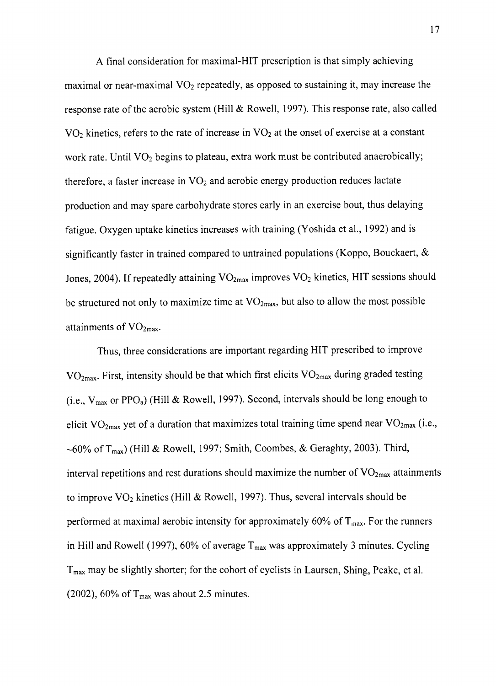A final consideration for maximal-HlT prescription is that simply achieving maximal or near-maximal  $VO<sub>2</sub>$  repeatedly, as opposed to sustaining it, may increase the response rate of the aerobic system (Hill & Rowell, 1997). This response rate, also called  $VO<sub>2</sub>$  kinetics, refers to the rate of increase in  $VO<sub>2</sub>$  at the onset of exercise at a constant work rate. Until  $VO<sub>2</sub>$  begins to plateau, extra work must be contributed anaerobically; therefore, a faster increase in  $VO<sub>2</sub>$  and aerobic energy production reduces lactate production and may spare carbohydrate stores early in an exercise bout, thus delaying fatigue. Oxygen uptake kinetics increases with training (Yoshida et al., 1992) and is significantly faster in trained compared to untrained populations (Koppo, Bouckaert,  $\&$ Jones, 2004). If repeatedly attaining  $VO_{2max}$  improves  $VO_2$  kinetics, HIT sessions should be structured not only to maximize time at  $VO<sub>2max</sub>$ , but also to allow the most possible attainments of  $VO<sub>2max</sub>$ .

Thus, three considerations are important regarding HIT prescribed to improve  $VO<sub>2max</sub>$ . First, intensity should be that which first elicits  $VO<sub>2max</sub>$  during graded testing (i.e.,  $V_{max}$  or PPO<sub>a</sub>) (Hill & Rowell, 1997). Second, intervals should be long enough to elicit  $VO<sub>2max</sub>$  yet of a duration that maximizes total training time spend near  $VO<sub>2max</sub>$  (i.e., ~60% of T<sub>max</sub>) (Hill & Rowell, 1997; Smith, Coombes, & Geraghty, 2003). Third, interval repetitions and rest durations should maximize the number of  $VO<sub>2max</sub>$  attainments to improve  $VO<sub>2</sub>$  kinetics (Hill & Rowell, 1997). Thus, several intervals should be performed at maximal aerobic intensity for approximately 60% of  $T_{\text{max}}$ . For the runners in Hill and Rowell (1997), 60% of average  $T_{\text{max}}$  was approximately 3 minutes. Cycling  $T<sub>max</sub>$  may be slightly shorter; for the cohort of cyclists in Laursen, Shing, Peake, et al. (2002), 60% of  $T_{\text{max}}$  was about 2.5 minutes.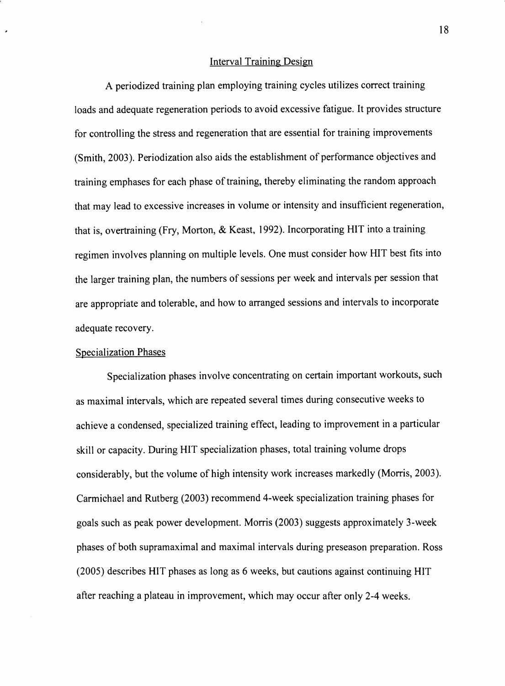#### Interval Training Design

A periodized training plan employing training cycles utilizes correct training Ioads and adequate regeneration periods to avoid excessive fatigue. It provides structure for controlling the stress and regeneration that are essential for training improvements (Smith, 2003). Periodization also aids the establishment of performance objectives and training emphases for each phase of training, thereby eliminating the random approach that may lead to excessive increases in volume or intensity and insufficient regeneration, that is, overtraining (Fry, Morton, & Keast, 1992). Incorporating HIT into a training regimen involves planning on multiple levels. One must consider how HIT best fits into the larger training plan, the numbers of sessions per week and intervals per session that are appropriate and tolerable, and how to arranged sessions and intervals to incorporate adequate recovery.

#### Specialization Phases

Specialization phases involve concentrating on certain important workouts, such as maximal intervals, which are repeated several times during consecutive weeks to achieve a condensed, specialized training effect, leading to improvement in a particular skill or capacity. During HIT specialization phases, total training volume drops considerably, but the volume of high intensity work increases markedly (Morris, 2003). Carmichael and Rutberg (2003) recommend 4-week specialization training phases for goals such as peak power development. Morris (2003) suggests approximately 3-week phases of both supramaximal and maximal intervals during preseason preparation. Ross (2005) describes HIT phases as long as 6 weeks, but cautions against continuing HIT after reaching a plateau in improvement, which may occur after only 2-4 weeks.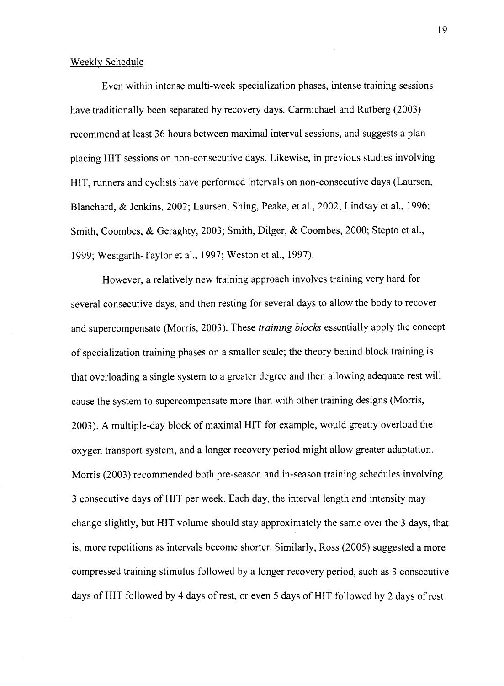#### Weekly Schedule

Even within intense multi-week specialization phases, intense training sessions have traditionally been separated by recovery days. Carmichael and Rutberg (2003) recommend at least 36 hours between maximal interval sessions, and suggests a plan placing HIT sessions on non-consecutive days. Likewise, in previous studies involving HIT, runners and cyclists have performed intervals on non-consecutive days (Laursen, Blanchard, & Jenkins, 2002; Laursen, Shing, Peake, et al., 2002; Lindsay et al., 1996; Smith, Coombes, & Geraghty,2003; Smith, Dilger, & Coombes, 2000; Stepto et al., 1999; Westgarth-Taylor et al., 1997; Weston et al., 1997).

However, a relatively new training approach involves training very hard for several consecutive days, and then resting for several days to allow the body to recover and supercompensate (Morris, 2003). These training blocks essentially apply the concept of specialization training phases on a smaller scale; the theory behind block training is that overloading a single system to a greater degree and then allowing adequate rest will cause the system to supercompensate more than with other training designs (Morris, 2003). A multiple-day block of maximal HIT for example, would greatly overload the oxygen transport system, and a longer recovery period might allow greater adaptation. Morris (2003) recommended both pre-season and in-season training schedules involving 3 consecutive days of HIT per week. Each day, the interval length and intensity may change slightly, but HIT volume should stay approximately the same over the 3 days, that is, more repetitions as intervals become shorter. Similarly, Ross (2005) suggested a more compressed training stimulus followed by a longer recovery period, such as 3 consecutive days of HIT followed by 4 days of rest, or even 5 days of HIT followed by 2 days of rest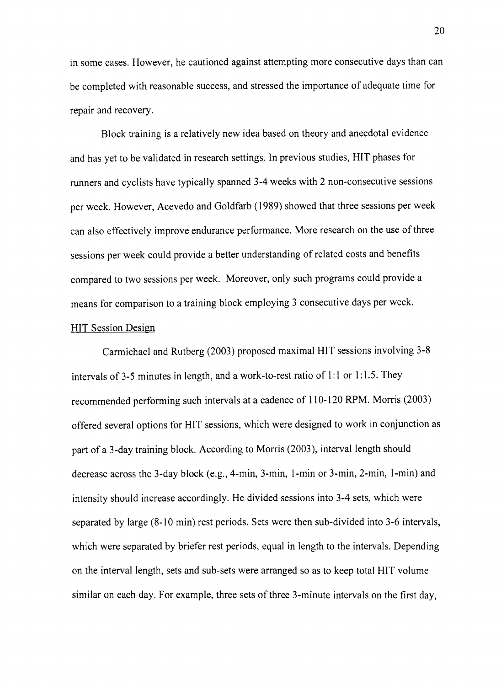in some cases. However, he cautioned against attempting more consecutive days than can be completed with reasonable success, and stressed the importance of adequate time for repair and recovery.

Block training is a relatively new idea based on theory and anecdotal evidence and has yet to be validated in research settings. In previous studies, HIT phases for runners and cyclists have typically spanned 3-4 weeks with 2 non-consecutive sessions per week. However, Acevedo and Goldfarb (1989) showed that three sessions per week can also effectively improve endurance performance. More research on the use of three sessions per week could provide a better understanding of related costs and benefits compared to two sessions per week. Moreover, only such programs could provide <sup>a</sup> means for comparison to a training block employing 3 consecutive days per week.

#### HIT Session Design

Carmichael and Rutberg (2003) proposed maximal HIT sessions involving 3-8 intervals of 3-5 minutes in length, and a work-to-rest ratio of  $1:1$  or  $1:1.5$ . They recommended performing such intervals at a cadence of I 10-120 RPM. Morris (2003) offered several options for HIT sessions, which were designed to work in conjunction as part of a 3-day training block. According to Morris (2003), interval length should decrease across the 3-day block (e.g., 4-min, 3-min, 1-min or 3-min, 2-min, 1-min) and intensity should increase accordingly. He divided sessions into 3-4 sets, which were separated by large (8-10 min) rest periods. Sets were then sub-divided into 3-6 intervals, which were separated by briefer rest periods, equal in length to the intervals. Depending on the interval length, sets and sub-sets were arranged so as to keep total HIT volume similar on each day. For example, three sets of three 3-minute intervals on the first day,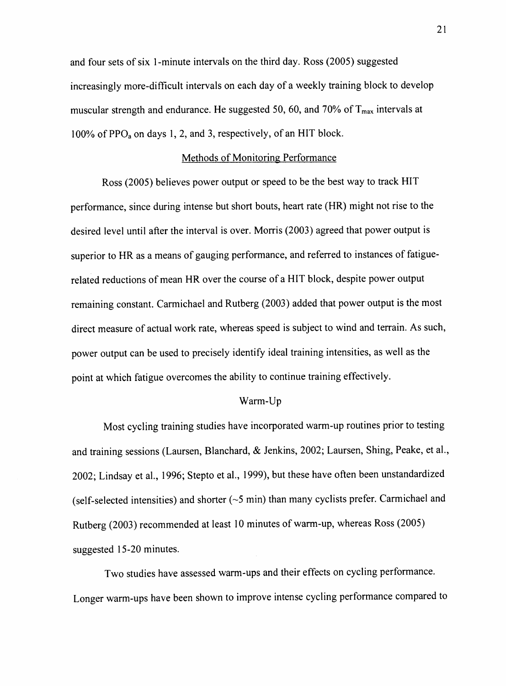and four sets of six l-minute intervals on the third day. Ross (2005) suggested increasingly more-diffrcult intervals on each day of a weekly training block to develop muscular strength and endurance. He suggested 50, 60, and 70% of  $T_{max}$  intervals at 100% of PPO<sub>a</sub> on days 1, 2, and 3, respectively, of an HIT block.

#### Methods of Monitoring Performance

Ross (2005) believes power output or speed to be the best way to track HIT performance, since during intense but short bouts, heart rate (HR) might not rise to the desired level until after the interval is over. Morris (2003) agreed that power output is superior to HR as a means of gauging performance, and referred to instances of fatiguerelated reductions of mean HR over the course of a HIT block, despite power output remaining constant. Carmichael and Rutberg (2003) added that power output is the most direct measure of actual work rate, whereas speed is subject to wind and terrain. As such, power output can be used to precisely identify ideal training intensities, as well as the point at which fatigue overcomes the ability to continue training effectively.

#### Warm-Up

Most cycling training studies have incorporated warm-up routines prior to testing and training sessions (Laursen, Blanchard, & Jenkins, 2002; Laursen, Shing, Peake, et al., 2002; Lindsay et al., 1996; Stepto et al., 1999), but these have often been unstandardized (self-selected intensities) and shorter  $($  -5 min) than many cyclists prefer. Carmichael and Rutberg (2003) recommended at least 10 minutes of warm-up, whereas Ross (2005) suggested l5-20 minutes.

Two studies have assessed warm-ups and their effects on cycling performance. Longer warm-ups have been shown to improve intense cycling performance compared to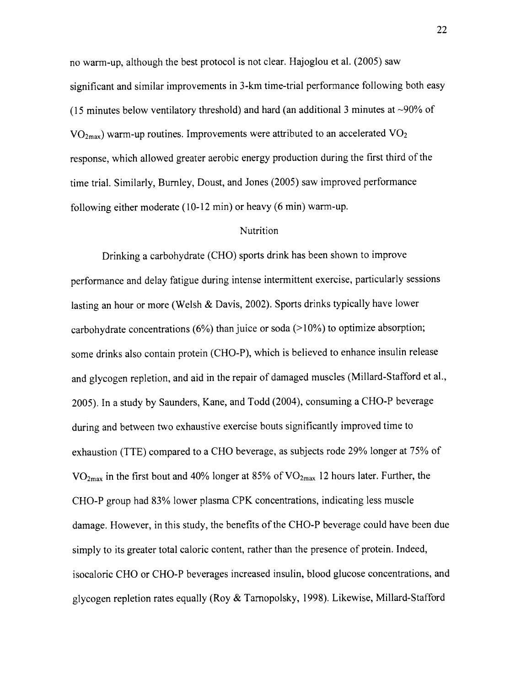no warrn-up, although the best protocol is not clear. Hajoglou et al. (2005) saw significant and similar improvements in 3-km time-trial performance following both easy (15 minutes below ventilatory threshold) and hard (an additional 3 minutes at  $\sim$ 90% of  $VO<sub>2max</sub>$ ) warm-up routines. Improvements were attributed to an accelerated  $VO<sub>2</sub>$ response, which allowed greater aerobic energy production during the first third of the time trial. Similarly, Burnley, Doust, and Jones (2005) saw improved performance following either moderate  $(10-12 \text{ min})$  or heavy  $(6 \text{ min})$  warm-up.

#### Nutrition

Drinking a carbohydrate (CHO) sports drink has been shown to improve performance and delay fatigue during intense intermittent exercise, particularly sessions lasting an hour or more (Welsh & Davis, 2002). Sports drinks typically have lower carbohydrate concentrations  $(6%)$  than juice or soda  $(>10%)$  to optimize absorption; some drinks also contain protein (CHO-P), which is believed to enhance insulin release and glycogen repletion, and aid in the repair of damaged muscles (Millard-Stafford et al., 2005). In a study by Saunders, Kane, and Todd (2004), consuming a CHO-P beverage during and between two exhaustive exercise bouts significantly improved time to exhaustion (TTE) compared to a CHO beverage, as subjects rode 29% longer at 75% of  $VO<sub>2max</sub>$  in the first bout and 40% longer at 85% of  $VO<sub>2max</sub>$  12 hours later. Further, the CHO-P group had 83% lower plasma CPK concentrations, indicating less muscle damage. However, in this study, the benefits of the CHO-P beverage could have been due simply to its greater total caloric content, rather than the presence of protein. Indeed, isocaloric CHO or CHO-P beverages increased insulin, blood glucose concentrations, and glycogen repletion rates equally (Roy & Tarnopolsky, 1998). Likewise, Millard-Stafford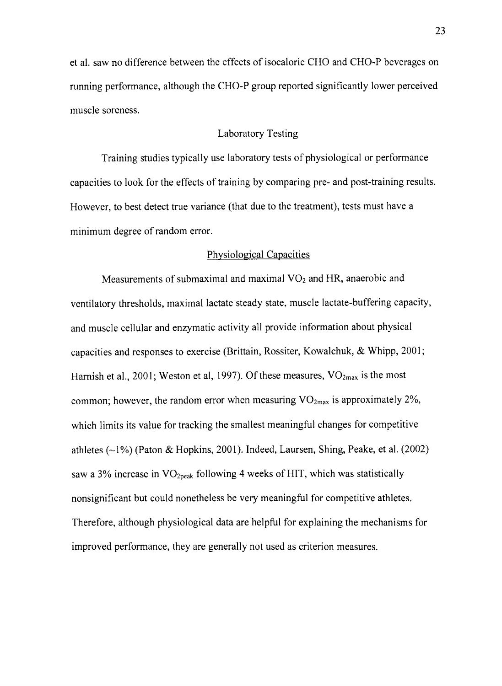et al. saw no difference between the effects of isocaloric CHO and CHO-P beverages on running performance, although the CHO-P group reported significantly lower perceived muscle soreness.

#### Laboratory Testing

Training studies typically use laboratory tests of physiological or performance capacities to look for the effects of training by comparing pre- and post-training results. However, to best detect true variance (that due to the treatment), tests must have a minimum degree of random error.

#### Physiological Capacities

Measurements of submaximal and maximal  $VO<sub>2</sub>$  and HR, anaerobic and ventilatory thresholds, maximal lactate steady state, muscle lactate-buffering capacity, and muscle cellular and enzymatic activity all provide information about physical capacities and responses to exercise (Brittain, Rossiter, Kowalchuk, & Whipp, 2001; Harnish et al., 2001; Weston et al, 1997). Of these measures,  $VO<sub>2max</sub>$  is the most common; however, the random error when measuring  $VO_{2max}$  is approximately 2%, which limits its value for tracking the smallest meaningful changes for competitive athletes  $(\sim 1\%)$  (Paton & Hopkins, 2001). Indeed, Laursen, Shing, Peake, et al. (2002) saw a 3% increase in  $VO<sub>2peak</sub>$  following 4 weeks of HIT, which was statistically nonsignificant but could nonetheless be very meaningful for competitive athletes. Therefore, although physiological data are helpful for explaining the mechanisms for improved performance, they are generally not used as criterion measures.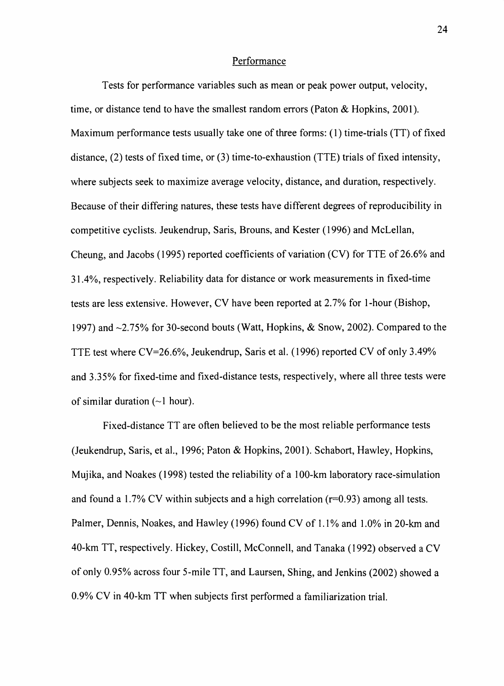#### Performance

Tests for performance variables such as mean or peak power output, velocity, time, or distance tend to have the smallest random errors (Paton & Hopkins, 2001). Maximum performance tests usually take one of three forms: (1) time-trials (TT) of fixed distance,  $(2)$  tests of fixed time, or  $(3)$  time-to-exhaustion (TTE) trials of fixed intensity, where subjects seek to maximize average velocity, distance, and duration, respectively. Because of their differing natures, these tests have different degrees of reproducibility in competitive cyclists. Jeukendrup, Saris, Brouns, and Kester (1996) and Mclellan, Cheung, and Jacobs (1995) reported coefficients of variation (CV) for TTE of 26.6% and 31.4%, respectively. Reliability data for distance or work measurements in fixed+ime tests are less extensive. However, CV have been reported at 2.7Vo for l-hour (Bishop, 1997) and  $\sim$ 2.75% for 30-second bouts (Watt, Hopkins, & Snow, 2002). Compared to the TTE test where CV=26.6%, Jeukendrup, Saris et al. (1996) reported CV of only 3.49% and 3.35% for fixed-time and fixed-distance tests, respectively, where all three tests were of similar duration  $(\sim)$  hour).

Fixed-distance TT are often believed to be the most reliable performance tests (Jeukendrup, Saris, et al., 1996; Paton & Hopkins,2001). Schabort, Hawley, Hopkins, Mujika, and Noakes (1998) tested the reliability of a 100-km laboratory race-simulation and found a 1.7% CV within subjects and a high correlation ( $r=0.93$ ) among all tests. Palmer, Dennis, Noakes, and Hawley (1996) found CV of l.l% and 1.0% in 20-km and 40-km TT, respectively. Hickey, Costill, McConnell, and Tanaka (1992) observed a CV ofonly 0.95% across four 5-mile TT, and Laursen, Shing, and Jenkins (2002) showed <sup>a</sup> 0.9% CV in 40-km TT when subjects first performed a familiarization trial.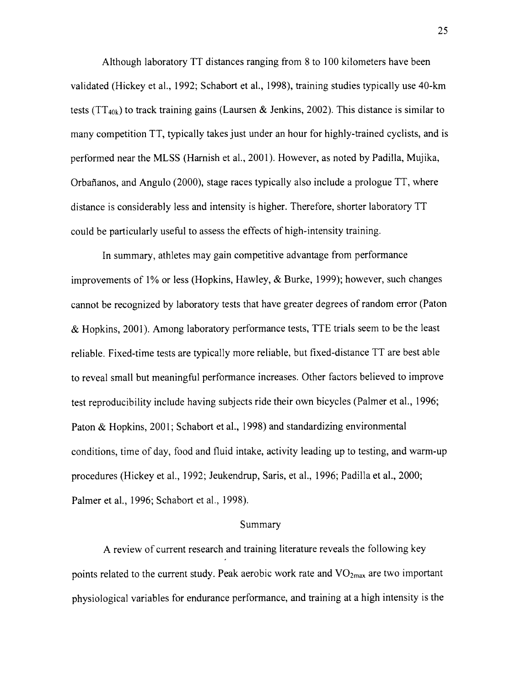Although laboratory TT distances ranging from 8 to 100 kilometers have been validated (Hickey et al., 1992; Schabort et al., 1998), training studies typically use 40-km tests (TT<sub>40k</sub>) to track training gains (Laursen & Jenkins, 2002). This distance is similar to many competition TT, typically takes just under an hour for highly-trained cyclists, and is performed near the MLSS (Harnish et al., 2001). However, as noted by Padilla, Mujika, Orbañanos, and Angulo (2000), stage races typically also include a prologue TT, where distance is considerably less and intensity is higher. Therefore, shorter laboratory TT could be panicularly useful to assess the effects of high-intensity training.

ln summary, athletes may gain competitive advantage from perforrnance improvements of 1% or less (Hopkins, Hawley,  $\&$  Burke, 1999); however, such changes cannot be recognized by laboratory tests that have greater degrees ofrandom error (Paton & Hopkins, 2001). Among laboratory performance tests, TTE trials seem to be the least reliable. Fixed-time tests are typically more reliable, but fixed-distance TT are best able to reveal small but meaningful performance increases. Other factors believed to improve test reproducibility include having subjects ride their own bicycles (Palmer et al., 1996; Paton & Hopkins, 2001; Schabort et al., 1998) and standardizing environmental conditions, time of day, food and fluid intake, activity leading up to testing, and warrn-up procedures (Hickey et al., 1992; Jeukendrup, Saris, et al., 1996; Padilla et al., 2000; Palmer et al., 1996; Schabort et al., 1998).

#### Summary

A review of current research and training literature reveals the following key points related to the current study. Peak aerobic work rate and  $VO<sub>2max</sub>$  are two important physiological variables for endurance performance, and fiaining at a high intensity is the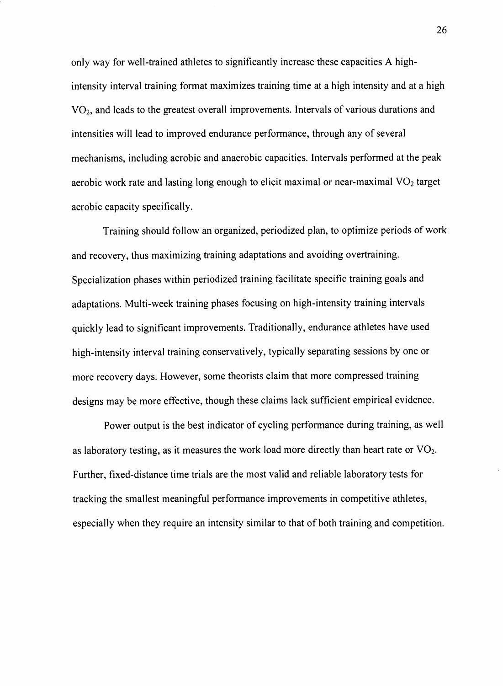only way for well-rained athletes to significantly increase these capacities A highintensity interval training format maximizes training time at a high intensity and at a high  $VO<sub>2</sub>$ , and leads to the greatest overall improvements. Intervals of various durations and intensities will lead to improved endurance performance, through any of several mechanisms, including aerobic and anaerobic capacities. Intervals performed at the peak aerobic work rate and lasting long enough to elicit maximal or near-maximal  $VO<sub>2</sub>$  target aerobic capacity specifically.

Training should follow an organized, periodized plan, to optimize periods of work and recovery, thus maximizing training adaptations and avoiding overtraining. Specialization phases within periodized training facilitate specific training goals and adaptations. Multi-week training phases focusing on high-intensity training intervals quickly lead to significant improvements. Traditionally, endurance athletes have used high-intensity interval training conservatively, typically separating sessions by one or more recovery days. However, some theorists claim that more compressed training designs may be more effective, though these claims lack sufficient empirical evidence.

Power output is the best indicator of cycling performance during training, as well as laboratory testing, as it measures the work load more directly than heart rate or  $\text{VO}_2$ . Further, fixed-distance time trials are the most valid and reliable laboratory tests for tracking the smallest meaningful performance improvements in competitive athletes, especially when they require an intensity similar to that of both training and competition.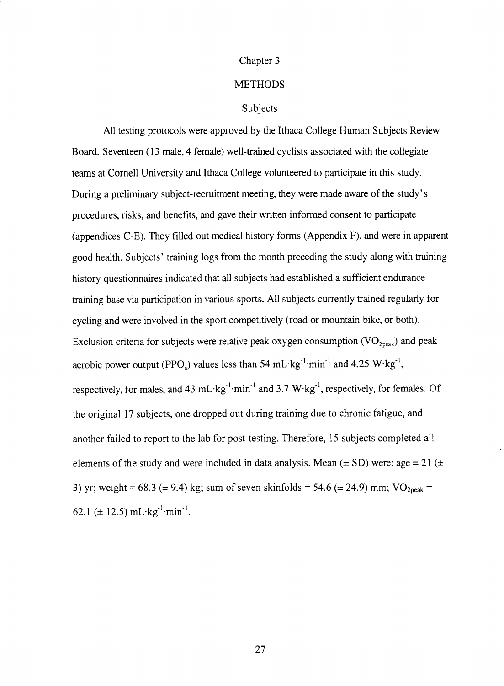#### Chapter 3

# **METHODS**

#### Subjects

All testing protocols were approved by the Ithaca College Human Subjects Review Board. Seventeen (13 male,4 female) well-trained cyclists associated with the collegiate teams at Cornell University and Ithaca College volunteered to participate in this study. During a preliminary subject-recruitment meeting, they were made aware of the study's procedures, risks, and benefits, and gave their written informed consent to participate (appendices C-E). They filled out medical history forms (Appendix F), and were in apparent good health. Subjects' training logs from the month preceding the study along with taining history questionnaires indicated that all subjects had established a sufficient endurance training base via participation in various sports. All subjects currently trained regularly for cycling and were involved in the sport competitively (road or mountain bike, or both). Exclusion criteria for subjects were relative peak oxygen consumption  $(VO_{2,peak})$  and peak aerobic power output (PPO<sub>a</sub>) values less than 54 mL·kg<sup>-1</sup>·min<sup>-1</sup> and 4.25  $W$ ·kg<sup>-1</sup>, respectively, for males, and 43 mL·kg<sup>-1</sup>·min<sup>-1</sup> and 3.7 W·kg<sup>-1</sup>, respectively, for females. Of the original l7 subjects, one dropped out during training due to chronic fatigue, and another failed to report to the lab for post-testing. Therefore, l5 subjects completed all elements of the study and were included in data analysis. Mean  $(\pm SD)$  were: age = 21  $(\pm$ 3) yr; weight = 68.3 ( $\pm$  9.4) kg; sum of seven skinfolds = 54.6 ( $\pm$  24.9) mm; VO<sub>2peak</sub> = 62.1 ( $\pm$  12.5) mL $\cdot$ kg<sup>-1</sup> $\cdot$ min<sup>-1</sup>.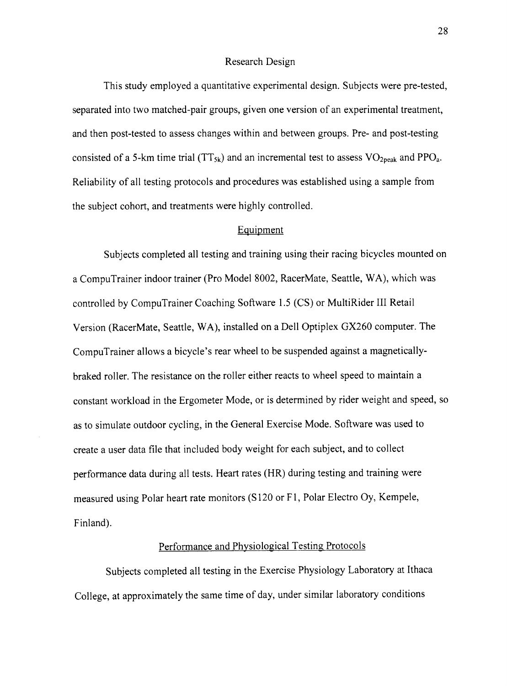#### Research Design

This study employed a quantitative experimental design. Subjects were pre-tested, separated into two matched-pair groups, given one version of an experimental treatment, and then post-tested to assess changes within and between groups. Pre- and post-testing consisted of a 5-km time trial (TT<sub>5k</sub>) and an incremental test to assess  $VO<sub>2peak</sub>$  and PPO<sub>a</sub>. Reliability of all testing protocols and procedures was established using a sample from the subject cohort, and treatments were highly controlled.

# Equipment

Subjects completed all testing and training using their racing bicycles mounted on a CompuTrainer indoor trainer (Pro Model 8002, RacerMate, Seaftle, WA), which was controlled by CompuTrainer Coaching Software 1.5 (CS) or MultiRider III Retail Version (RacerMate, Seattle, WA), installed on a Dell Optiplex GX260 computer. The CompuTrainer allows a bicycle's rear wheel to be suspended against a magneticallybraked roller. The resistance on the roller either reacts to wheel speed to maintain a constant workload in the Ergometer Mode, or is determined by rider weight and speed, so as to simulate outdoor cycling, in the General Exercise Mode. Software was used to create a user data file that included body weight for each subject, and to collect performance data during all tests. Heart rates (HR) during testing and training were measured using Polar heart rate monitors (S120 or Fl, Polar Electro Oy, Kempele, Finland).

# Performance and Physiological Testing Protocols

Subjects completed all testing in the Exercise Physiology Laboratory at lthaca College, at approximately the same time of day, under similar laboratory conditions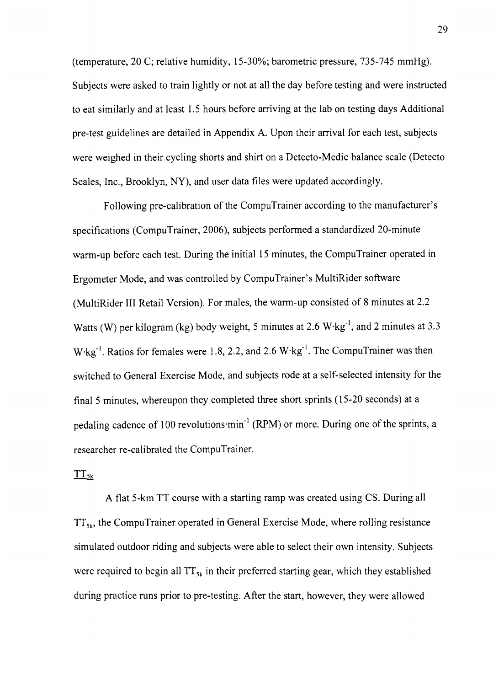(temperature,20 C; relative humidity, 15-30%; barometric pressure, 735-745 mmHg). Subjects were asked to train lightly or not at all the day before testing and were instructed to eat similarly and at least 1.5 hours before arriving at the lab on testing days Additional pre-test guidelines are detailed in Appendix A. Upon their arrival for each test, subjects were weighed in their cycling shorts and shirt on a Detecto-Medic balance scale (Detecto Scales, Inc., Brooklyn, NY), and user data files were updated accordingly.

Following pre-calibration of the CompuTrainer according to the manufacturer's specifications (CompuTrainer, 2006), subjects performed a standardized 20-minute warm-up before each test. During the initial 15 minutes, the CompuTrainer operated in Ergometer Mode, and was controlled by CompuTrainer's MultiRider software (MultiRider III Retail Version). For males, the warm-up consisted of 8 minutes at 2.2 Watts (W) per kilogram (kg) body weight, 5 minutes at 2.6  $W \cdot kg^{-1}$ , and 2 minutes at 3.3 W<sup>-kg-1</sup>. Ratios for females were 1.8, 2.2, and 2.6 W<sup>-kg-1</sup>. The CompuTrainer was then switched to General Exercise Mode, and subjects rode at a self-selected intensity for the final 5 minutes, whereupon they completed three short sprints (15-20 seconds) at a pedaling cadence of 100 revolutions min<sup>-1</sup> (RPM) or more. During one of the sprints, a researcher re-calibrated the CompuTrainer.

#### $TT_{5k}$

A flat 5-km TT course with a starting ramp was created using CS. During all  $TT_{sk}$ , the CompuTrainer operated in General Exercise Mode, where rolling resistance simulated outdoor riding and subjects were able to select their own intensity. Subjects were required to begin all  $TT_{5k}$  in their preferred starting gear, which they established during practice runs prior to pre-testing. After the start, however, they were allowed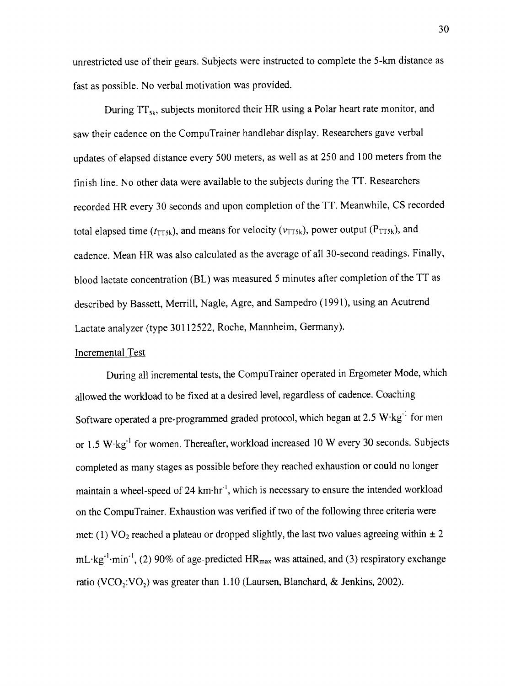unrestricted use of their gears. Subjects were instructed to complete the 5-km distance as fast as possible. No verbal motivation was provided.

During  $TT_{sk}$ , subjects monitored their HR using a Polar heart rate monitor, and saw their cadence on the CompuTrainer handlebar display. Researchers gave verbal updates of elapsed distance every 500 meters, as well as at 250 and 100 meters from the finish line. No other data were available to the subjects during the TT. Researchers recorded HR every 30 seconds and upon completion of the TT. Meanwhile, CS recorded total elapsed time ( $t_{\text{TT5k}}$ ), and means for velocity ( $v_{\text{TT5k}}$ ), power output ( $P_{\text{TT5k}}$ ), and cadence. Mean HR was also calculated as the average of all 30-second readings. Finally, blood lactate concentration (BL) was measured 5 minutes after completion of the TT as described by Bassett, Merrill, Nagle, Agre, and Sampedro (1991), using an Acutrend Lactate analyzer (type 30112522, Roche, Mannheim, Germany).

# Incremental Test

During all incremental tests, the CompuTrainer operated in Ergometer Mode, which allowed the workload to be fixed at a desired level, regardless of cadence. Coaching Software operated a pre-programmed graded protocol, which began at  $2.5 \text{ W} \cdot \text{kg}^{-1}$  for men or 1.5 W.kg'' for women. Thereafter, workload increased l0 W every 30 seconds. Subjects completed as many stages as possible before they reached exhaustion or could no longer maintain a wheel-speed of  $24 \text{ km}\cdot\text{hr}^1$ , which is necessary to ensure the intended workload on the CompuTrainer. Exhaustion was verified if two of the following three criteria were met: (1) VO<sub>2</sub> reached a plateau or dropped slightly, the last two values agreeing within  $\pm 2$  $mL \cdot kg^{-1} \cdot min^{-1}$ , (2) 90% of age-predicted HR<sub>max</sub> was attained, and (3) respiratory exchange ratio (VCO<sub>2</sub>:VO<sub>2</sub>) was greater than 1.10 (Laursen, Blanchard, & Jenkins, 2002).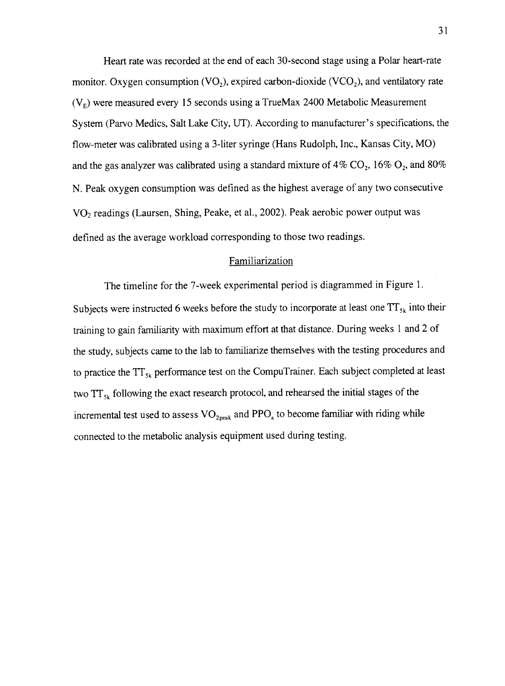Heart rate was recorded at the end of each 3O-second stage using a Polar heart-rate monitor. Oxygen consumption  $(VO_2)$ , expired carbon-dioxide  $(VCO_2)$ , and ventilatory rate  $(V<sub>F</sub>)$  were measured every 15 seconds using a TrueMax 2400 Metabolic Measurement System (Parvo Medics, Salt Lake City, UT). According to manufacturer's specifications, the flow-meter was calibrated using a 3-liter syringe (Hans Rudolph, Inc., Kansas City, MO) and the gas analyzer was calibrated using a standard mixture of  $4\%$  CO<sub>2</sub>, 16% O<sub>2</sub>, and 80% N. Peak oxygen consumption was defined as the highest average of any two consecutive VOz readings (Laursen, Shing, Peake, et al., 2002). Peak aerobic power output was defined as the average workload corresponding to those two readings.

#### Familiarization

The timeline for the 7-week experimental period is diagrammed in Figure l. Subjects were instructed 6 weeks before the study to incorporate at least one  $TT_{5k}$  into their training to gain familiarity with maximum effort at that distance. During weeks 1 and 2 of the study, subjects came to the lab to familiarize themselves with the testing procedures and to practice the  $TT_{s_k}$  performance test on the CompuTrainer. Each subject completed at least two  $TT_{sk}$  following the exact research protocol, and rehearsed the initial stages of the incremental test used to assess  $VO_{2,peak}$  and  $PPO_{a}$  to become familiar with riding while connected to the metabolic analysis equipment used during testing.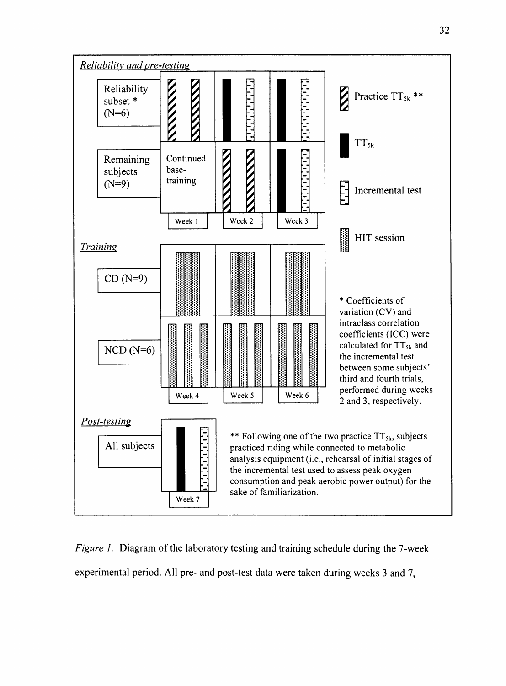

Figure 1. Diagram of the laboratory testing and training schedule during the 7-week experimental period. All pre- and post-test data were taken during weeks 3 and 7,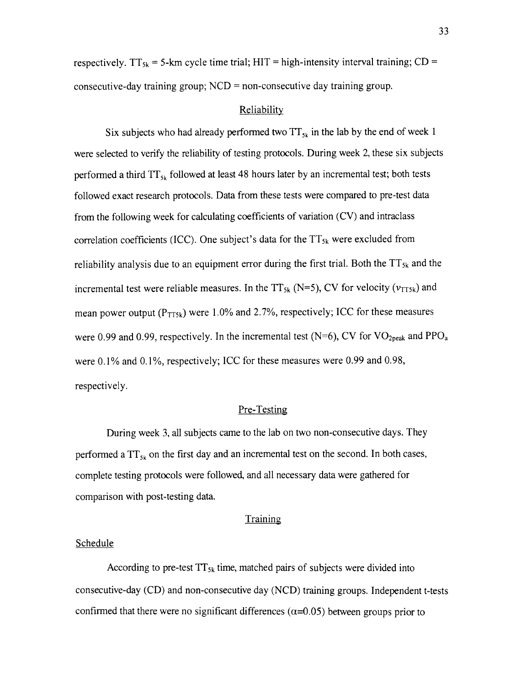respectively.  $TT_{5k}$  = 5-km cycle time trial; HIT = high-intensity interval training; CD = consecutive-day training group;  $NCD =$  non-consecutive day training group.

#### Reliability

Six subjects who had already performed two  $TT_{s_k}$  in the lab by the end of week 1 were selected to verify the reliability of testing protocols. During week 2, these six subjects performed a third  $TT_{5k}$  followed at least 48 hours later by an incremental test; both tests followed exact research protocols. Data from these tests were compared to pre-test data from the following week for calculating coefficients of variation (CV) and intraclass correlation coefficients (ICC). One subject's data for the  $TT_{5k}$  were excluded from reliability analysis due to an equipment error during the first trial. Both the  $TT_{5k}$  and the incremental test were reliable measures. In the TT<sub>5k</sub> (N=5), CV for velocity ( $v_{TT5k}$ ) and mean power output ( $P_{TT5k}$ ) were 1.0% and 2.7%, respectively; ICC for these measures were 0.99 and 0.99, respectively. In the incremental test (N=6), CV for  $VO_{2peak}$  and PPO<sub>a</sub> were 0.1% and 0.1%, respectively; ICC for these measures were 0.99 and 0.98, respectively.

# Pre-Testing

During week 3, all subjects carne to the lab on two non-consecutive days. They performed a  $TT_{5k}$  on the first day and an incremental test on the second. In both cases, complete testing protocols were followed, and all necessary data were gathered for comparison with post-testing data.

#### Training

#### **Schedule**

According to pre-test  $TT_{5k}$  time, matched pairs of subjects were divided into consecutive-day (CD) and non-consecutive day (NCD) training groups. Independent t-tests confirmed that there were no significant differences ( $\alpha$ =0.05) between groups prior to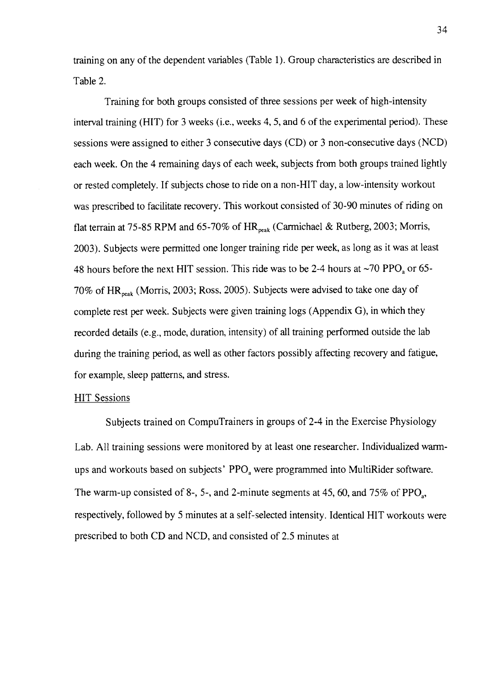taining on any of the dependent variables (Table 1). Group characteristics are described in Table 2.

Training for both groups consisted of three sessions per week of high-intensity interval training (HIT) for 3 weeks (i.e., weeks 4, 5, and 6 of the experimental period). These sessions were assigned to either 3 consecutive days (CD) or 3 non-consecutive days (NCD) each week. On the 4 remaining days of each week, subjects from both groups trained lightly or rested completely. If subjects chose to ride on a non-HIT day, a low-intensity workout was prescribed to facilitate recovery. This workout consisted of 30-90 minutes of riding on flat terrain at 75-85 RPM and 65-70% of  $HR_{peak}$  (Carmichael & Rutberg, 2003; Morris, 2003). Subjects were permitted one longer training ride per week, as long as it was at least 48 hours before the next HIT session. This ride was to be 2-4 hours at  $\sim$ 70 PPO<sub>2</sub> or 65-70% of HR<sub>peak</sub> (Morris, 2003; Ross, 2005). Subjects were advised to take one day of complete rest per week. Subjects were given training logs (Appendix G), in which they recorded details (e.g., mode, duration, intensity) of all training performed outside the lab during the training period, as well as other factors possibly affecting recovery and fatigue, for example, sleep patterns, and stress.

#### HIT Sessions

Subjects trained on CompuTrainers in groups of 2-4 in the Exercise Physiology Lab. All training sessions were monitored by at least one researcher. Individualized warmups and workouts based on subjects' PPO<sub>2</sub> were programmed into MultiRider software. The warm-up consisted of 8-, 5-, and 2-minute segments at 45, 60, and  $75\%$  of PPO<sub>3</sub>, respectively, followed by 5 minutes at a self-selected intensity. Identical HIT workouts were prescribed to both CD and NCD, and consisted of 2.5 minutes at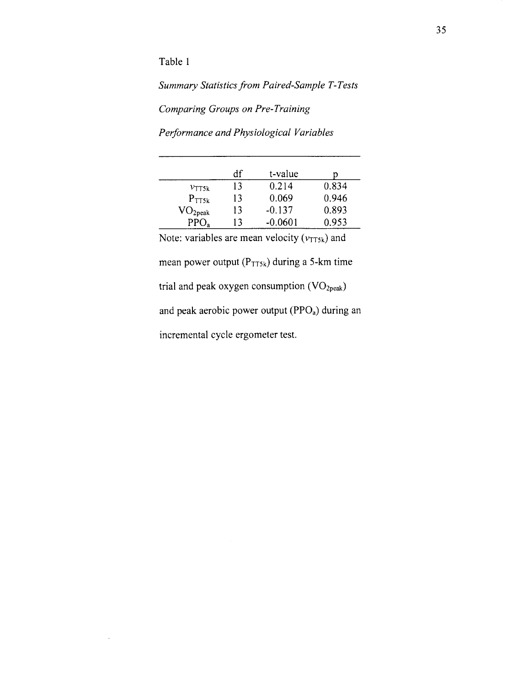Table I

 $\lambda$ 

Summary Statistics from Paired-Sample T-Tests

Comparing Groups on Pre-Training

Performance and Physiological Variables

|                   | df | t-value   |       |
|-------------------|----|-----------|-------|
| $v_{\text{TTSk}}$ | 13 | 0.214     | 0.834 |
| $P_{TT5k}$        | 13 | 0.069     | 0.946 |
| $\rm VO_{2peak}$  | 13 | $-0.137$  | 0.893 |
| PPO <sub>a</sub>  | 13 | $-0.0601$ | 0.953 |

Note: variables are mean velocity ( $v_{TT5k}$ ) and mean power output  $(P_{TT5k})$  during a 5-km time trial and peak oxygen consumption  $(VO<sub>2peak</sub>)$ and peak aerobic power output  $(PPO<sub>a</sub>)$  during an incremental cycle ergometer test.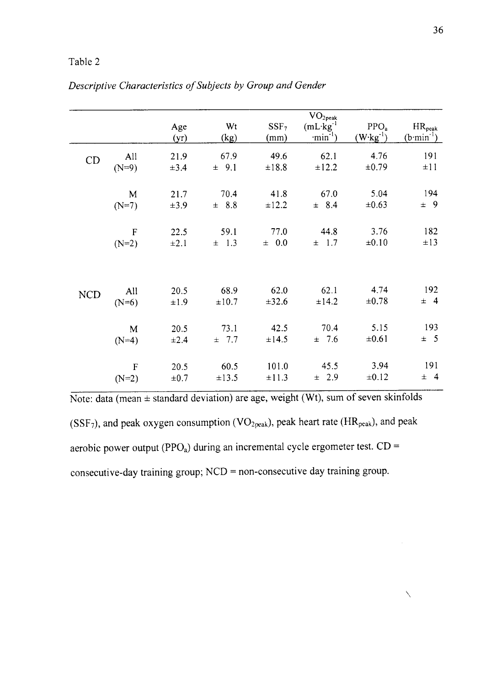|            |                        | Age<br>(yr)       | Wt<br>(kg)       | SSF <sub>7</sub><br>(mm) | $\rm VO_{2peak}$<br>$(mL \cdot kg^{-1})$<br>$\cdot$ min <sup>-1</sup> ) | PPO <sub>a</sub><br>$(W \cdot kg^{-1})$ | $HR_{peak}$<br>$(b·min-1)$ |
|------------|------------------------|-------------------|------------------|--------------------------|-------------------------------------------------------------------------|-----------------------------------------|----------------------------|
| CD         | All                    | 21.9              | 67.9             | 49.6                     | 62.1                                                                    | 4.76                                    | 191                        |
|            | $(N=9)$                | $\pm 3.4$         | $\pm$ 9.1        | ±18.8                    | ±12.2                                                                   | ±0.79                                   | ±11                        |
|            | M                      | 21.7              | 70.4             | 41.8                     | 67.0                                                                    | 5.04                                    | 194                        |
|            | $(N=7)$                | ±3.9              | $\pm$ 8.8        | $\pm 12.2$               | $\pm$ 8.4                                                               | $\pm 0.63$                              | $\pm$ 9                    |
|            | $\mathbf F$            | 22.5              | 59.1             | 77.0                     | 44.8                                                                    | 3.76                                    | 182                        |
|            | $(N=2)$                | $\pm 2.1$         | $\pm$ 1.3        | ± 0.0                    | $\pm$ 1.7                                                               | $\pm 0.10$                              | $\pm 13$                   |
| <b>NCD</b> | All                    | 20.5              | 68.9             | 62.0                     | 62.1                                                                    | 4.74                                    | 192                        |
|            | $(N=6)$                | ±1.9              | ±10.7            | ±32.6                    | $\pm 14.2$                                                              | $\pm 0.78$                              | $\pm$ 4                    |
|            | $\mathbf M$<br>$(N=4)$ | 20.5<br>$\pm 2.4$ | 73.1<br>7.7<br>士 | 42.5<br>$\pm$ 14.5       | 70.4<br>$\pm$ 7.6                                                       | 5.15<br>$\pm 0.61$                      | 193<br>$\pm$ 5             |
|            | $\overline{F}$         | 20.5              | 60.5             | 101.0                    | 45.5                                                                    | 3.94                                    | 191                        |
|            | $(N=2)$                | $\pm 0.7$         | $\pm 13.5$       | $\pm 11.3$               | $\pm$ 2.9                                                               | $\pm 0.12$                              | $\pm$ 4                    |

Descriptive Characteristics of Subjects by Group and Gender

Note: data (mean  $\pm$  standard deviation) are age, weight (Wt), sum of seven skinfolds (SSF<sub>7</sub>), and peak oxygen consumption (VO<sub>2peak</sub>), peak heart rate (HR<sub>peak</sub>), and peak aerobic power output (PPO<sub>a</sub>) during an incremental cycle ergometer test.  $CD =$ consecutive-day training group; NCD = non-consecutive day training group.

 $\diagdown$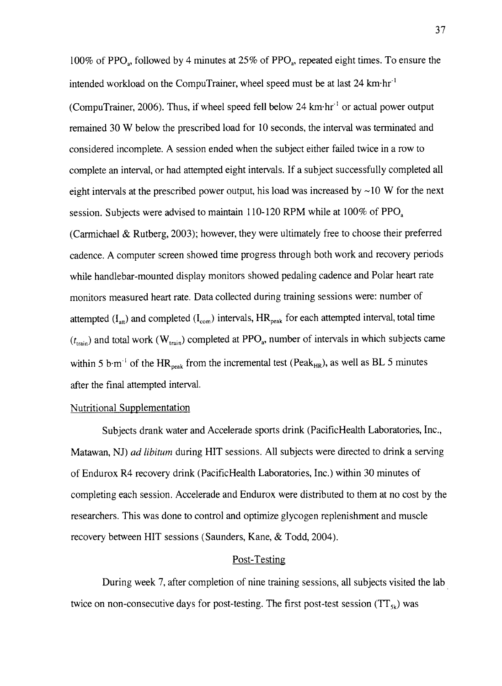100% of PPO<sub>3</sub>, followed by 4 minutes at 25% of PPO<sub>3</sub>, repeated eight times. To ensure the intended workload on the CompuTrainer, wheel speed must be at last 24 km·hr<sup>-1</sup> (CompuTrainer,2006). Thus, if wheel speed fell below 24 km'hr-' or actual power output remained 30 W below the prescribed load for 10 seconds, the interval was terminated and considered incomplete. A session ended when the subject either failed twice in a row to complete an interval, or had attempted eight intervals. If a subject successfully completed all eight intervals at the prescribed power output, his load was increased by  $\sim$ 10 W for the next session. Subjects were advised to maintain 110-120 RPM while at  $100\%$  of PPO<sub>a</sub>. (Carmichael & Rutberg, 2003); however, they were ultimately free to choose their preferred cadence. A computer screen showed time progress through both work and recovery periods while handlebar-mounted display monitors showed pedaling cadence and Polar heart rate monitors measured heart rate. Data collected during training sessions were: number of attempted  $(I_{\text{at}})$  and completed  $(I_{\text{com}})$  intervals,  $HR_{\text{peak}}$  for each attempted interval, total time  $(t_{\text{train}})$  and total work ( $W_{\text{train}}$ ) completed at PPO<sub>a</sub>, number of intervals in which subjects came within 5 b·m<sup>-1</sup> of the HR<sub>peak</sub> from the incremental test (Peak<sub>HR</sub>), as well as BL 5 minutes after the final attempted interval.

# Nutritional Supplementation

Subjects drank water and Accelerade sports drink (PacificHealth Laboratories, Inc., Matawan, NJ) ad libitum during HIT sessions, All subjects were directed to drink a serving of Endurox R4 recovery drink (PacificHealth Laboratories, Inc.) within 30 minutes of completing each session. Accelerade and Endurox were distributed to them at no cost by the researchers. This was done to control and optimize glycogen replenishment and muscle recovery between HIT sessions (Saunders, Kane, & Todd, 2004).

# Post-Testing

During week 7, after completion of nine training sessions, all subjects visited the lab twice on non-consecutive days for post-testing. The first post-test session  $(TT_{5k})$  was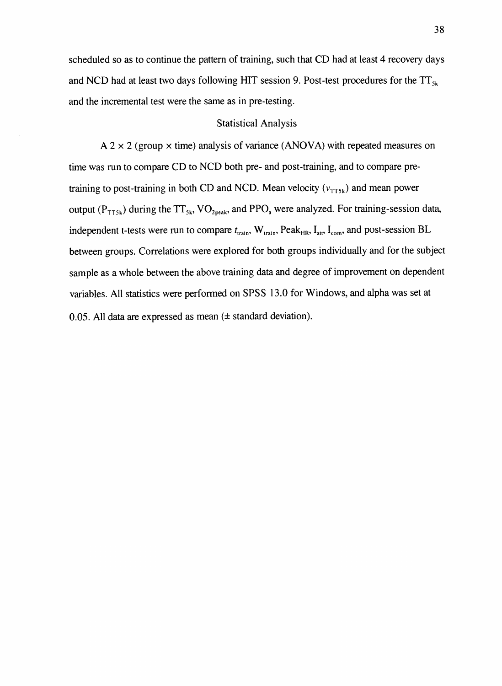scheduled so as to continue the pattern of training, such that CD had at least 4 recovery days and NCD had at least two days following HIT session 9. Post-test procedures for the  $TT_{sk}$ and the incremental test were the same as in pre-testing.

#### Statistical Analysis

A 2  $\times$  2 (group  $\times$  time) analysis of variance (ANOVA) with repeated measures on time was run to compare CD to NCD both pre- and post-training, and to compare pretraining to post-training in both CD and NCD. Mean velocity  $(v_{\text{TT5k}})$  and mean power output ( $P_{TT5k}$ ) during the  $TT_{5k}$ , VO<sub>2peak</sub>, and PPO<sub>a</sub> were analyzed. For training-session data, independent t-tests were run to compare  $t_{train}$ , W<sub>train</sub>, Peak<sub>HR</sub>, I<sub>att</sub>, I<sub>com</sub>, and post-session BL between groups. Correlations were explored for both groups individually and for the subject sample as a whole between the above training data and degree of improvement on dependent variables. AII statistics were performed on SPSS 13.0 for Windows, and alpha was set at 0.05. All data are expressed as mean  $(\pm$  standard deviation).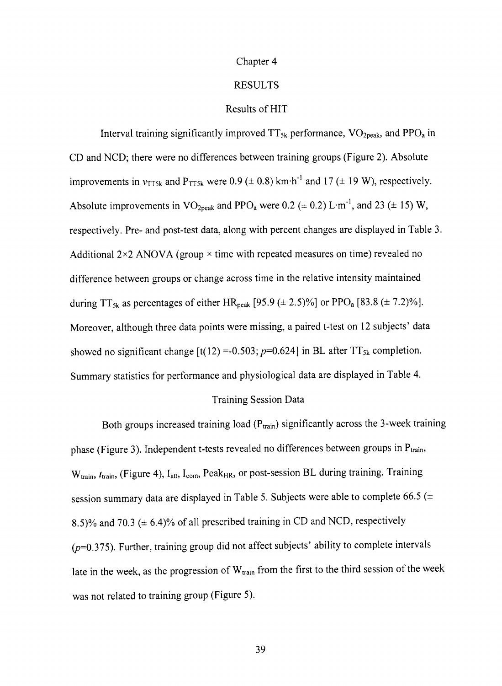## Chapter 4

#### RESULTS

# Results of HIT

Interval training significantly improved  $TT_{5k}$  performance,  $VO_{2,peak}$ , and PPO<sub>a</sub> in CD and NCD; there were no differences between training groups (Figure 2). Absolute improvements in  $v_{TT5k}$  and  $P_{TT5k}$  were 0.9 ( $\pm$  0.8) km·h<sup>-1</sup> and 17 ( $\pm$  19 W), respectively. Absolute improvements in  $VO<sub>2peak</sub>$  and PPO<sub>a</sub> were 0.2 ( $\pm$  0.2) L·m<sup>-1</sup>, and 23 ( $\pm$  15) W, respectively. Pre- and post-test data, along with percent changes are displayed in Table 3. Additional  $2\times2$  ANOVA (group  $\times$  time with repeated measures on time) revealed no difference between groups or change across time in the relative intensity maintained during TT<sub>5k</sub> as percentages of either HR<sub>peak</sub> [95.9 ( $\pm$  2.5)%] or PPO<sub>a</sub> [83.8 ( $\pm$  7.2)%]. Moreover, although three data points were missing, a paired t-test on l2 subjects' data showed no significant change  $\left[t(12) = 0.503; p=0.624\right]$  in BL after TT<sub>5k</sub> completion. Summary statistics for performance and physiological data are displayed in Table 4.

# Training Session Data

Both groups increased training load  $(P_{train})$  significantly across the 3-week training phase (Figure 3). Independent t-tests revealed no differences between groups in  $P_{train}$ ,  $W_{train}$ ,  $t_{train}$ , (Figure 4),  $I_{att}$ ,  $I_{com}$ , Peak<sub>HR</sub>, or post-session BL during training. Training session summary data are displayed in Table 5. Subjects were able to complete 66.5 ( $\pm$ 8.5)% and 70.3 ( $\pm$  6.4)% of all prescribed training in CD and NCD, respectively  $(p=0.375)$ . Further, training group did not affect subjects' ability to complete intervals late in the week, as the progression of  $W_{train}$  from the first to the third session of the week was not related to training group (Figure 5).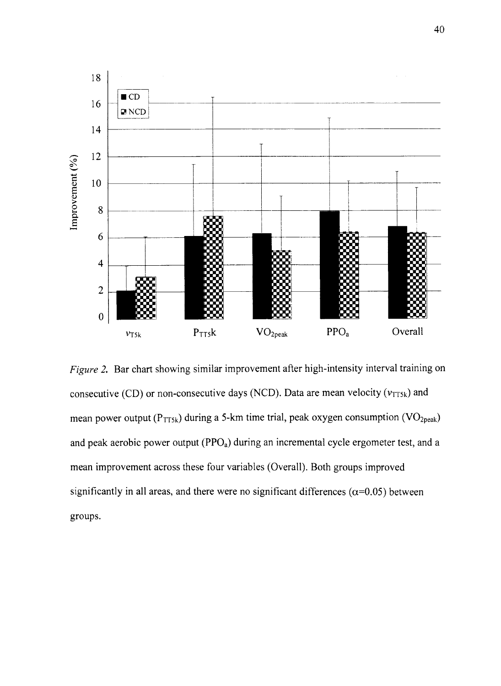

Figure 2, Bar chart showing similar improvement after high-intensity interval training on consecutive (CD) or non-consecutive days (NCD). Data are mean velocity ( $v_{TT5k}$ ) and mean power output ( $P_{TT5k}$ ) during a 5-km time trial, peak oxygen consumption ( $VO_{2peak}$ ) and peak aerobic power output  $(PPO<sub>a</sub>)$  during an incremental cycle ergometer test, and a mean improvement across these four variables (Overall). Both groups improved significantly in all areas, and there were no significant differences ( $\alpha$ =0.05) between groups.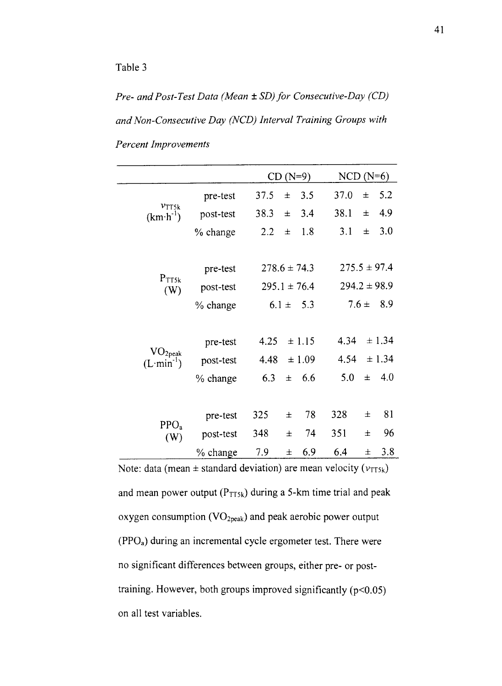Pre- and Post-Test Data (Mean  $\pm$  SD) for Consecutive-Day (CD) and Non-Consecutive Day (NCD) Interval Training Groups with Percent Improvements

|                                         |           | $CD (N=9)$       |           | $NCD$ ( $N=6$ )  |        |
|-----------------------------------------|-----------|------------------|-----------|------------------|--------|
|                                         | pre-test  | 37.5<br>士        | 3.5       | 37.0<br>$\pm$    | 5.2    |
| $v_{\text{TT5k}}$<br>$(km\cdot h^{-1})$ | post-test | 38.3<br>士        | 3.4       | 38.1<br>$\pm$    | 4.9    |
|                                         | % change  | 2.2<br>士         | 1.8       | 3.1<br>士         | 3.0    |
|                                         |           |                  |           |                  |        |
|                                         | pre-test  | $278.6 \pm 74.3$ |           | $275.5 \pm 97.4$ |        |
| $P_{TT5k}$<br>(W)                       | post-test | $295.1 \pm 76.4$ |           | $294.2 \pm 98.9$ |        |
|                                         | % change  | $6.1 \pm 5.3$    |           | $7.6 \pm$        | 8.9    |
|                                         |           |                  |           |                  |        |
|                                         | pre-test  | ± 1.15<br>4.25   |           | 4.34             | ± 1.34 |
| VO <sub>2peak</sub><br>$(L·min-1)$      | post-test | ±1.09<br>4.48    |           | 4.54             | ± 1.34 |
|                                         | % change  | 6.3<br>士         | - 6.6     | 5.0<br>Ŧ         | - 4.0  |
|                                         |           |                  |           |                  |        |
|                                         | pre-test  | 325<br>士         | 328<br>78 | 士                | 81     |
| PPO <sub>a</sub><br>(W)                 | post-test | 348<br>士         | 74<br>351 | 士                | 96     |
|                                         | % change  | 7.9<br>$\pm$     | 6.9       | 6.4<br>士         | 3.8    |

Note: data (mean  $\pm$  standard deviation) are mean velocity ( $v_{TT5k}$ ) and mean power output  $(P_{TT5k})$  during a 5-km time trial and peak oxygen consumption  $(VO_{2peak})$  and peak aerobic power output  $(PPO<sub>a</sub>)$  during an incremental cycle ergometer test. There were no significant differences between groups, either pre- or posttraining. However, both groups improved significantly  $(p<0.05)$ on all test variables.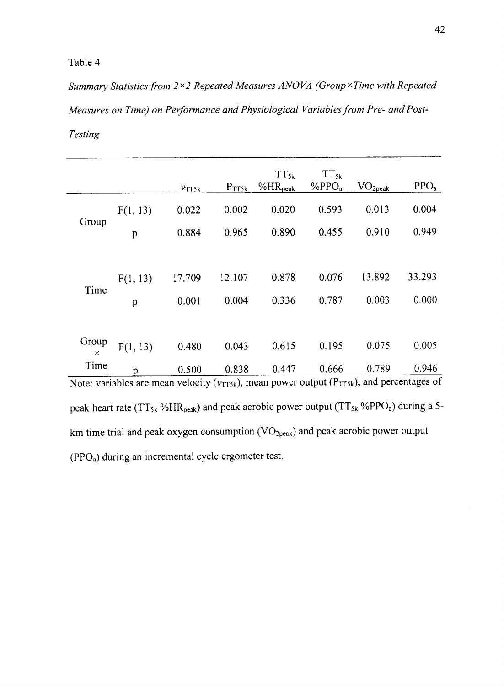Summary Statistics from  $2\times 2$  Repeated Measures ANOVA (Group×Time with Repeated Measures on Time) on Performance and Physiological Variables from Pre- and Post-Testing

|                                                                                                        |             | $v_{\text{TT5k}}$ | $P_{TT5k}$ | $TT_{5k}$<br>$%HR_{peak}$ | $TT_{5k}$<br>$\%$ PPO <sub>a</sub> | VO <sub>2peak</sub> | PPO <sub>a</sub> |
|--------------------------------------------------------------------------------------------------------|-------------|-------------------|------------|---------------------------|------------------------------------|---------------------|------------------|
|                                                                                                        | F(1, 13)    | 0.022             | 0.002      | 0.020                     | 0.593                              | 0.013               | 0.004            |
| Group                                                                                                  | $\mathbf p$ | 0.884             | 0.965      | 0.890                     | 0.455                              | 0.910               | 0.949            |
|                                                                                                        |             |                   |            |                           |                                    |                     |                  |
| Time                                                                                                   | F(1, 13)    | 17.709            | 12.107     | 0.878                     | 0.076                              | 13.892              | 33.293           |
|                                                                                                        | p           | 0.001             | 0.004      | 0.336                     | 0.787                              | 0.003               | 0.000            |
|                                                                                                        |             |                   |            |                           |                                    |                     |                  |
| Group<br>$\times$                                                                                      | F(1, 13)    | 0.480             | 0.043      | 0.615                     | 0.195                              | 0.075               | 0.005            |
| Time                                                                                                   | Ď           | 0.500             | 0.838      | 0.447                     | 0.666                              | 0.789               | 0.946            |
| Note: variables are mean velocity ( $v_{TT5k}$ ), mean power output ( $P_{TT5k}$ ), and percentages of |             |                   |            |                           |                                    |                     |                  |

peak heart rate ( $TT_{5k}$ %HR<sub>peak</sub>) and peak aerobic power output ( $TT_{5k}$ %PPO<sub>a</sub>) during a 5km time trial and peak oxygen consumption  $(VO_{2,peak})$  and peak aerobic power output  $(PPO<sub>a</sub>)$  during an incremental cycle ergometer test.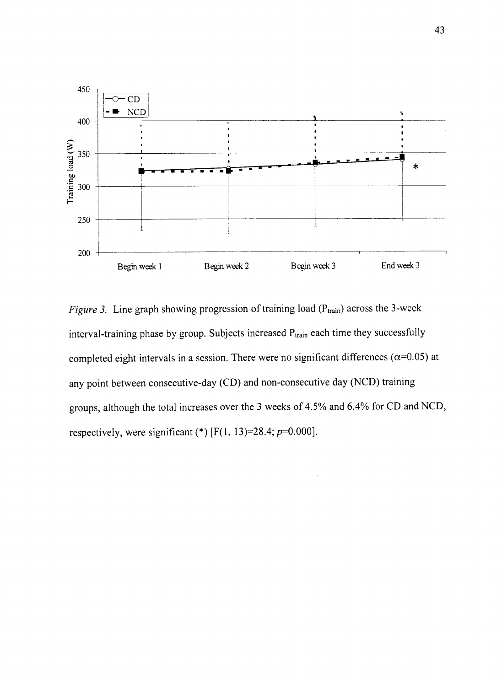

Figure 3. Line graph showing progression of training load ( $P_{train}$ ) across the 3-week interval-training phase by group. Subjects increased  $P_{train}$  each time they successfully completed eight intervals in a session. There were no significant differences ( $\alpha$ =0.05) at any point between consecutive-day (CD) and non-consecutive day (NCD) training groups, although the total increases over the 3 weeks of 4.5% and 6.4Yo for CD and NCD, respectively, were significant (\*)  $[F(1, 13)=28.4; p=0.000]$ .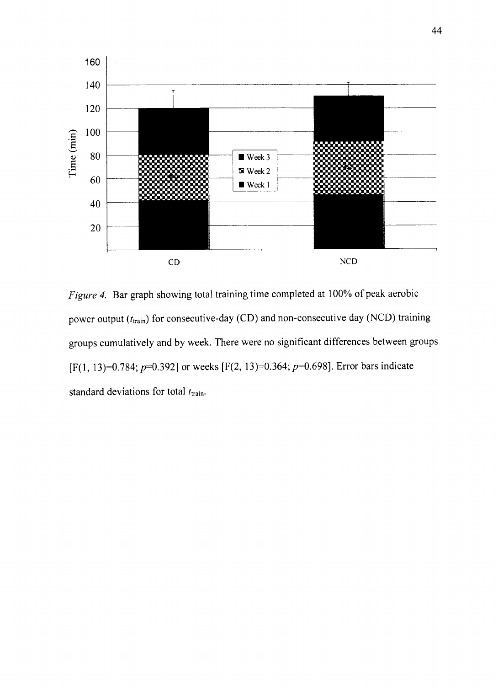

Figure 4. Bar graph showing total training time completed at 100% of peak aerobic power output  $(t_{\text{train}})$  for consecutive-day (CD) and non-consecutive day (NCD) training groups cumulatively and by week. There were no significant differences between groups [F(1, 13)=0.784; p=0.392] or weeks [F(2, 13)=0.364; p=0.698]. Error bars indicate standard deviations for total  $t_{\text{train}}$ .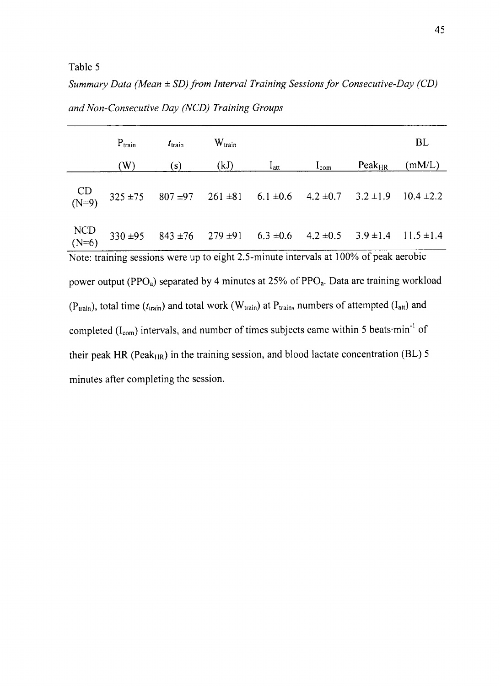Summary Data (Mean  $\pm$  SD) from Interval Training Sessions for Consecutive-Day (CD) and Non-Consecutive Day (NCD) Training Groups

|                  | $P_{train}$ | $t_{\text{train}}$ | $W_{\text{train}}$ |                                                                                                 |                             |             | <b>BL</b>      |
|------------------|-------------|--------------------|--------------------|-------------------------------------------------------------------------------------------------|-----------------------------|-------------|----------------|
|                  | (W)         | (s)                | (kJ)               | $I_{\rm att}$                                                                                   | $I_{com}$                   | $Peak_{HR}$ | (mM/L)         |
|                  |             |                    |                    | CD<br>(N=9) $325 \pm 75$ $807 \pm 97$ $261 \pm 81$ $6.1 \pm 0.6$                                | $4.2 \pm 0.7$ $3.2 \pm 1.9$ |             | $10.4 \pm 2.2$ |
| $NCD$<br>$(N=6)$ |             |                    |                    | $330 \pm 95$ $843 \pm 76$ $279 \pm 91$ $6.3 \pm 0.6$ $4.2 \pm 0.5$ $3.9 \pm 1.4$ $11.5 \pm 1.4$ |                             |             |                |
|                  |             |                    |                    | Note: training sessions were up to eight 2.5-minute intervals at 100% of peak aerobic           |                             |             |                |

power output (PPO<sub>a</sub>) separated by 4 minutes at 25% of PPO<sub>a</sub>. Data are training workload ( $P_{train}$ ), total time ( $t_{train}$ ) and total work ( $W_{train}$ ) at  $P_{train}$ , numbers of attempted ( $I_{att}$ ) and completed  $(I_{com})$  intervals, and number of times subjects came within 5 beats $\cdot$ min<sup>-1</sup> of their peak HR (Peak $_{\text{HR}}$ ) in the training session, and blood lactate concentration (BL) 5 minutes after completing the session.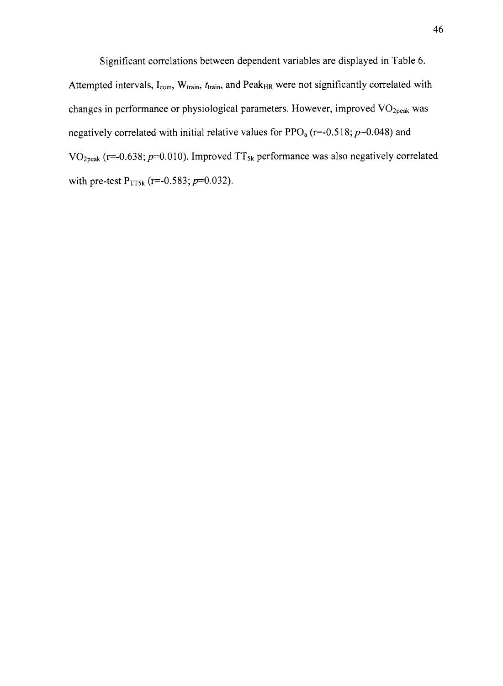Significant correlations between dependent variables are displayed in Table 6. Attempted intervals,  $I_{com}$ ,  $W_{train}$ ,  $t_{train}$ , and Peak<sub>HR</sub> were not significantly correlated with changes in performance or physiological parameters. However, improved  $VO<sub>2peak</sub>$  was negatively correlated with initial relative values for  $PPO<sub>a</sub>$  (r=-0.518;  $p=0.048$ ) and VO<sub>2peak</sub> (r=-0.638;  $p=0.010$ ). Improved TT<sub>5k</sub> performance was also negatively correlated with pre-test  $P_{TT5k}$  (r=-0.583;  $p=0.032$ ).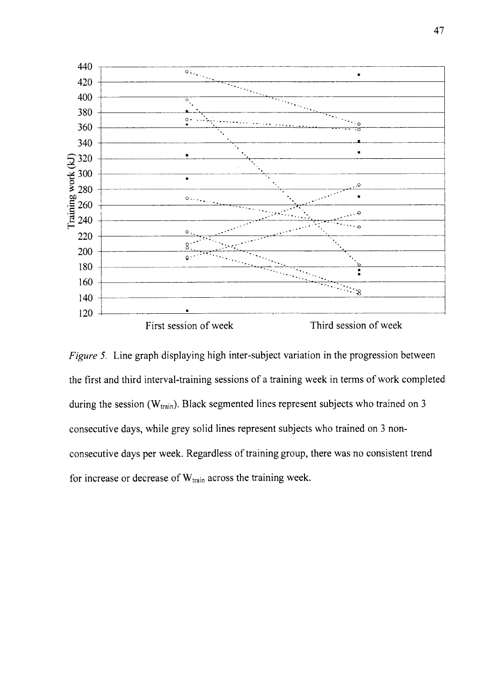

Figure 5. Line graph displaying high inter-subject variation in the progression between the first and third interval-training sessions of a training week in terms of work completed during the session ( $W_{train}$ ). Black segmented lines represent subjects who trained on 3 consecutive days, while grey solid lines represent subjects who trained on 3 nonconsecutive days per week. Regardless of training group, there was no consistent trend for increase or decrease of  $W_{train}$  across the training week.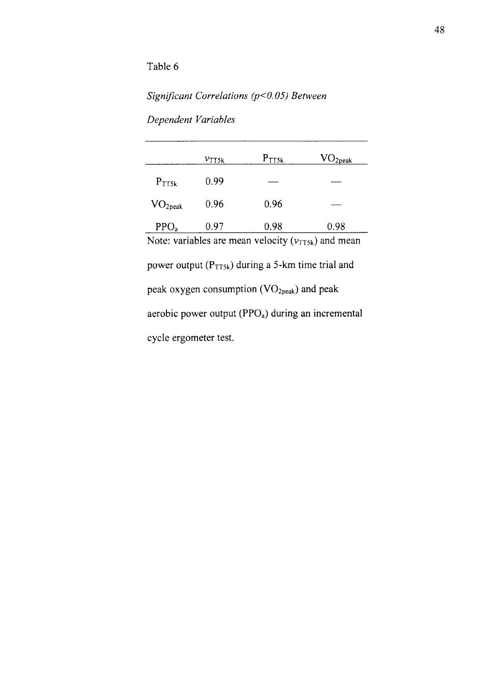# Significant Correlations ( $p$ <0.05) Between

Dependent Variables

|                     | $v_{\rm Tfsk}$ | $P_{TTSk}$ | $\rm{VO_{2peak}}$ |
|---------------------|----------------|------------|-------------------|
| $P_{TTSk}$          | 0.99           |            |                   |
| VO <sub>2peak</sub> | 0.96           | 0.96       |                   |
| PPO <sub>a</sub>    | 0.97           | 0.98       | 0.98              |

Note: variables are mean velocity  $(v_{TT5k})$  and mean power output (Prrsx) during a 5-km time trial and peak oxygen consumption (VO<sub>2peak</sub>) and peak aerobic power output (PPO<sub>a</sub>) during an incremental cycle ergometer test.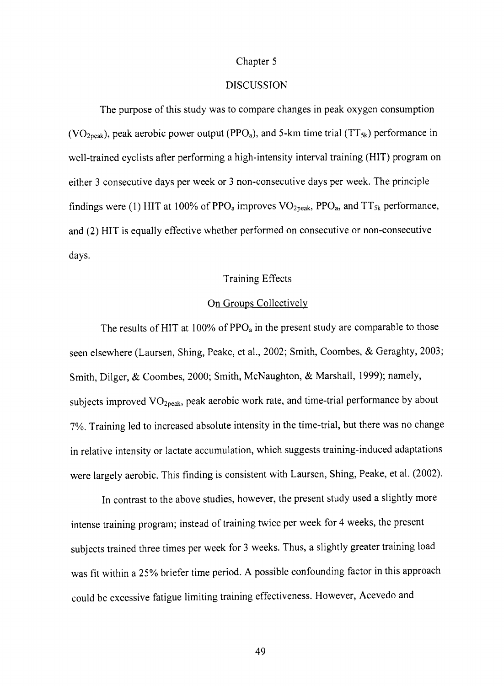#### Chapter 5

#### DISCUSSION

The purpose of this study was to compare changes in peak oxygen consumption (VO<sub>2peak</sub>), peak aerobic power output (PPO<sub>a</sub>), and 5-km time trial (TT<sub>5k</sub>) performance in well-trained cyclists after performing a high-intensity interval training (HIT) program on either 3 consecutive days per week or 3 non-consecutive days per week. The principle findings were (1) HIT at 100% of PPO<sub>a</sub> improves  $VO<sub>2peak</sub>$ , PPO<sub>a</sub>, and TT<sub>5k</sub> performance, and (2) HIT is equally effective whether performed on consecutive or non-consecutive days.

# Training Effects

# On Groups Collectively

The results of HIT at 100% of  $PPO<sub>a</sub>$  in the present study are comparable to those seen elsewhere (Laursen, Shing, Peake, et al., 2002; Smith, Coombes, & Geraghty, 2003; Smith, Dilger, & Coombes,2000; Smith, McNaughton, & Marshall, 1999); namely, subjects improved  $VO<sub>2peak</sub>$ , peak aerobic work rate, and time-trial performance by about 7%. Training led to increased absolute intensity in the time-trial, but there was no change in relative intensity or lactate accumulation, which suggests training-induced adaptations were largely aerobic. This finding is consistent with Laursen, Shing, Peake, et al. (2002).

ln contrast to the above studies, however, the present study used a slightly more intense training program; instead of training twice per week for 4 weeks, the present subjects trained three times per week for 3 weeks. Thus, a slightly greater training load was fit within a 25% briefer time period. A possible confounding factor in this approach could be excessive fatigue limiting training effectiveness. However, Acevedo and

49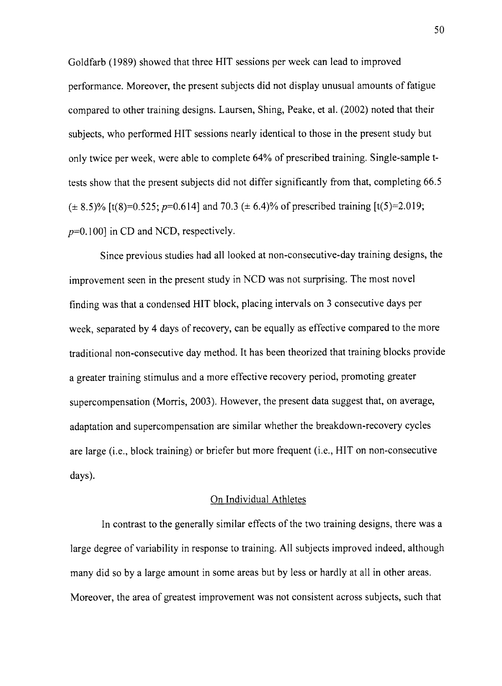Goldfarb (1989) showed that three HIT sessions per week can lead to improved performance. Moreover, the present subjects did not display unusual amounts of fatigue compared to other training designs. Laursen, Shing, Peake, et al. (2002) noted that their subjects, who performed HIT sessions nearly identical to those in the present study but only twice per week, were able to complete 64% of prescribed training. Single-sample ttests show that the present subjects did not differ significantly from that, completing 66.5  $(\pm 8.5)\%$  [t(8)=0.525; p=0.614] and 70.3 ( $\pm 6.4\%$  of prescribed training [t(5)=2.019;  $p=0.1001$  in CD and NCD, respectively.

Since previous studies had all looked at non-consecutive-day training designs, the improvement seen in the present study in NCD was not surprising. The most novel finding was that a condensed HIT block, placing intervals on 3 consecutive days per week, separated by 4 days of recovery, can be equally as effective compared to the more traditional non-consecutive day method. It has been theorized that training blocks provide <sup>a</sup>greater training stimulus and a more effective recovery period, promoting greater supercompensation (Morris, 2003). However, the present data suggest that, on average, adaptation and supercompensation are similar whether the breakdown-recovery cycles are large (i.e., block training) or briefer but more frequent (i.e., HIT on non-consecutive days).

# On Individual Athletes

In contrast to the generally similar effects of the two training designs, there was a large degree of variability in response to training. All subjects improved indeed, although many did so by a large amount in some areas but by less or hardly at all in other areas. Moreover, the area of greatest improvement was not consistent across subjects, such that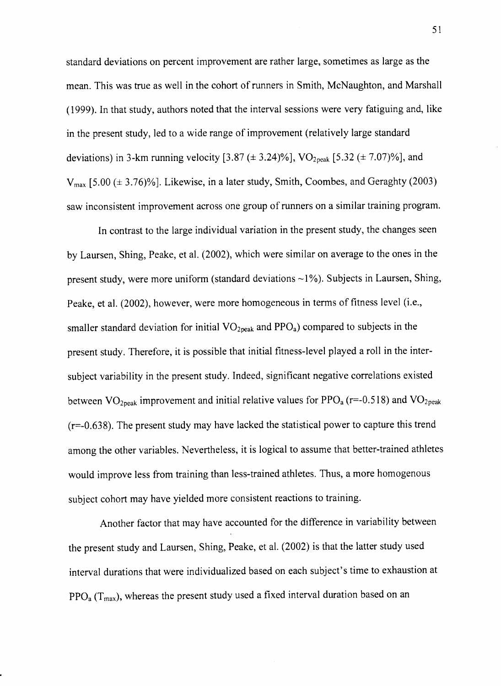standard deviations on percent improvement are rather large, sometimes as large as the mean. This was true as well in the cohort of runners in Smith, McNaughton, and Marshall (1999). In that study, authors noted that the interval sessions were very fatiguing and, like in the present study, led to a wide range of improvement (relatively large standard deviations) in 3-km running velocity [3.87 ( $\pm$  3.24)%], VO<sub>2peak</sub> [5.32 ( $\pm$  7.07)%], and  $V_{max}$  [5.00 ( $\pm$  3.76)%]. Likewise, in a later study, Smith, Coombes, and Geraghty (2003) saw inconsistent improvement across one group of runners on a similar training program.

In contrast to the large individual variation in the present study, the changes seen by Laursen, Shing, Peake, et al. (2002), which were similar on average to the ones in the present study, were more uniform (standard deviations  $\sim$ 1%). Subjects in Laursen, Shing, Peake, et al. (2002), however, were more homogeneous in terms of fitness level (i.e., smaller standard deviation for initial  $VO<sub>2peak</sub>$  and  $PPO<sub>a</sub>$ ) compared to subjects in the present study. Therefore, it is possible that initial fitness-level played a roll in the intersubject variability in the present study. Indeed, significant negative correlations existed between  $VO<sub>2peak</sub>$  improvement and initial relative values for  $PPO<sub>a</sub>$  (r=-0.518) and  $VO<sub>2peak</sub>$  $(r=-0.638)$ . The present study may have lacked the statistical power to capture this trend among the other variables. Nevertheless, it is logical to assume that better-trained athletes would improve less from training than less-trained athletes. Thus, a more homogenous subject cohort may have yielded more consistent reactions to training.

Another factor that may have accounted for the difference in variability between the present study and Laursen, Shing, Peake, et al. (2002) is that the latter study used interval durations that were individualized based on each subject's time to exhaustion at  $PPO<sub>a</sub> (T<sub>max</sub>)$ , whereas the present study used a fixed interval duration based on an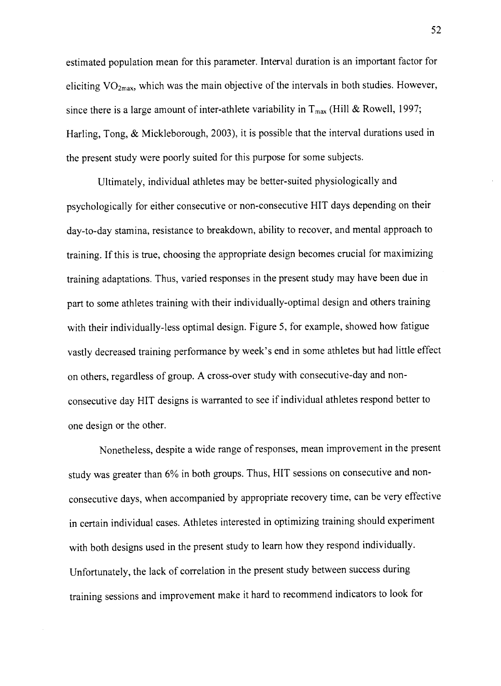estimated population mean for this parameter. Interval duration is an important factor for eliciting  $VO<sub>2max</sub>$ , which was the main objective of the intervals in both studies. However, since there is a large amount of inter-athlete variability in  $T_{\text{max}}$  (Hill & Rowell, 1997; Harling, Tong, & Mickleborough, 2003), it is possible that the interval durations used in the present study were poorly suited for this purpose for some subjects.

Ultimately, individual athletes may be better-suited physiologically and psychologically for either consecutive or non-consecutive HIT days depending on their day-to-day stamina, resistance to breakdown, ability to recover, and mental approach to training. If this is true, choosing the appropriate design becomes crucial for maximizing training adaptations. Thus, varied responses in the present study may have been due in part to some athletes training with their individually-optimal design and others training with their individually-less optimal design. Figure 5, for example, showed how fatigue vastly decreased training performance by week's end in some athletes but had little effect on others, regardless of group. A cross-over study with consecutive-day and nonconsecutive day HIT designs is warranted to see if individual athletes respond better to one design or the other.

Nonetheless, despite a wide range of responses, mean improvement in the present study was greater than 6% in both groups. Thus, HIT sessions on consecutive and nonconsecutive days, when accompanied by appropriate recovery time, can be very effective in certain individual cases. Athletes interested in optimizing training should experiment with both designs used in the present study to learn how they respond individually. Unfortunately, the lack of correlation in the present study between success during training sessions and improvement make it hard to recommend indicators to look for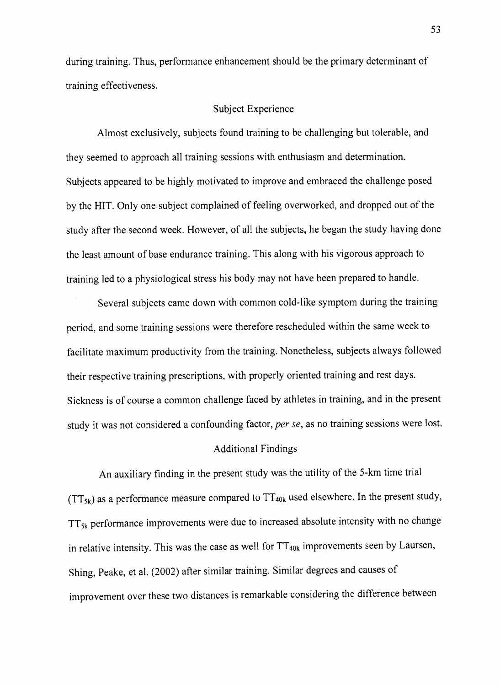during training. Thus, performance enhancement should be the primary determinant of training effectiveness.

#### Subject Experience

Almost exclusively, subjects found training to be challenging but tolerable, and they seemed to approach all training sessions with enthusiasm and determination. Subjects appeared to be highly motivated to improve and embraced the challenge posed by the HIT. Only one subject complained of feeling overworked, and dropped out of the study after the second week. However, of all the subjects, he began the study having done the least amount of base endurance training. This along with his vigorous approach to training led to a physiological stress his body may not have been prepared to handle.

Several subjects came down with common cold-like symptom during the training period, and some training sessions were therefore rescheduled within the same week to facilitate maximum productivity from the training. Nonetheless, subjects always followed their respective training prescriptions, with properly oriented training and rest days. Sickness is of course a common challenge faced by athletes in training, and in the present study it was not considered a confounding factor, per se, as no training sessions were lost.

#### Additional Findings

An auxiliary finding in the present study was the utility of the 5-km time trial  $(TT_{5k})$  as a performance measure compared to  $TT_{40k}$  used elsewhere. In the present study,  $TT_{5k}$  performance improvements were due to increased absolute intensity with no change in relative intensity. This was the case as well for  $TT_{40k}$  improvements seen by Laursen, Shing, Peake, et al. (2002) after similar training. Similar degrees and causes of improvement over these two distances is remarkable considering the difference between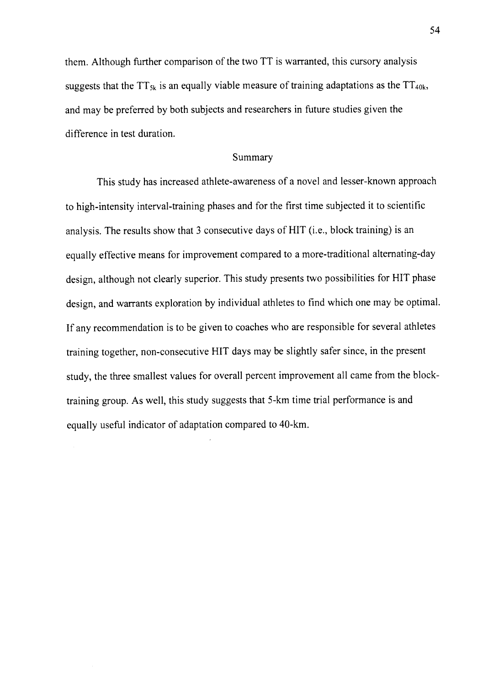them. Although further comparison of the two TT is warranted, this cursory analysis suggests that the TT<sub>5k</sub> is an equally viable measure of training adaptations as the TT<sub>40k</sub>, and may be preferred by both subjects and researchers in future studies given the difference in test duration.

#### Summary

This study has increased athlete-awareness of a novel and lesser-known approach to high-intensity interval-training phases and for the first time subjected it to scientific analysis. The results show that 3 consecutive days of HIT (i.e., block training) is an equally effective means for improvement compared to a more-traditional alternating-day design, although not clearly superior. This study presents two possibilities for HIT phase design, and warrants exploration by individual athletes to find which one may be optimal. If any recommendation is to be given to coaches who are responsible for several athletes training together, non-consecutive HIT days may be slightly safer since, in the present study, the three smallest values for overall percent improvement all came from the blocktraining group. As well, this study suggests that 5-km time trial performance is and equally useful indicator of adaptation compared to 40-km.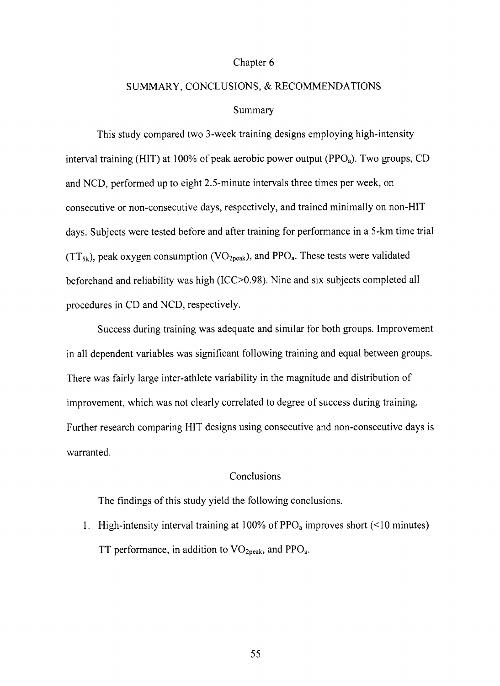#### Chapter 6

# SUMMARY, CONCLUSIONS, & RECOMMENDATIONS

#### Summary

This study compared two 3-week training designs employing high-intensity interval training (HIT) at 100% of peak aerobic power output (PPO<sub>a</sub>). Two groups, CD and NCD, performed up to eight 2.S-minute intervals three times per week, on consecutive or non-consecutive days, respectively, and trained minimally on non-HIT days. Subjects were tested before and after training for performance in a 5-km time trial  $(TT_{5k})$ , peak oxygen consumption (VO<sub>2peak</sub>), and PPO<sub>a</sub>. These tests were validated beforehand and reliability was high (1CC>0.98). Nine and six subjects completed all procedures in CD and NCD, respectively.

Success during training was adequate and similar for both groups. Improvement in all dependent variables was significant following training and equal between groups. There was fairly large inter-athlete variability in the magnitude and distribution of improvement, which was not clearly correlated to degree of success during training. Further research comparing HIT designs using consecutive and non-consecutive days is warranted.

# Conclusions

The findings of this study yield the following conclusions.

1. High-intensity interval training at  $100\%$  of PPO<sub>a</sub> improves short (<10 minutes) TT performance, in addition to  $VO<sub>2peak</sub>$ , and  $PPO<sub>a</sub>$ .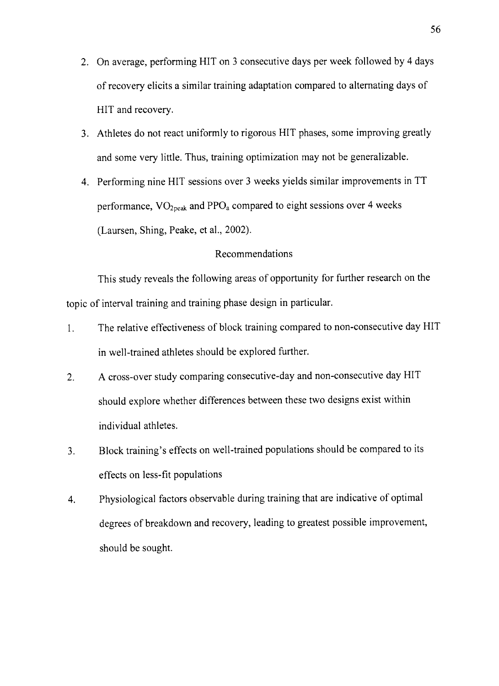- 2. On average, performing HIT on 3 consecutive days per week followed by 4 days of recovery elicits a similar training adaptation compared to alternating days of HIT and recovery.
- 3. Athletes do not react uniformly to rigorous HIT phases, some improving greatly and some very little. Thus, training optimization may not be generalizable.
- 4. Performing nine HIT sessions over 3 weeks yields similar improvements in TT performance,  $VO<sub>2peak</sub>$  and  $PPO<sub>a</sub>$  compared to eight sessions over 4 weeks (Laursen, Shing, Peake, et al., 2002).

# Recommendations

This study reveals the following areas of opportunity for further research on the topic of interval training and training phase design in particular.

- l. The relative effectiveness of block training compared to non-consecutive day HIT in well-trained athletes should be explored further.
- 2. A cross-over study comparing consecutive-day and non-consecutive day HIT should explore whether differences between these two designs exist within individual athletes.
- 3. Block training's effects on well-trained populations should be compared to its effects on less-fit populations
- 4. Physiological factors observable during training that are indicative of optimal degrees of breakdown and recovery, leading to greatest possible improvement, should be sought.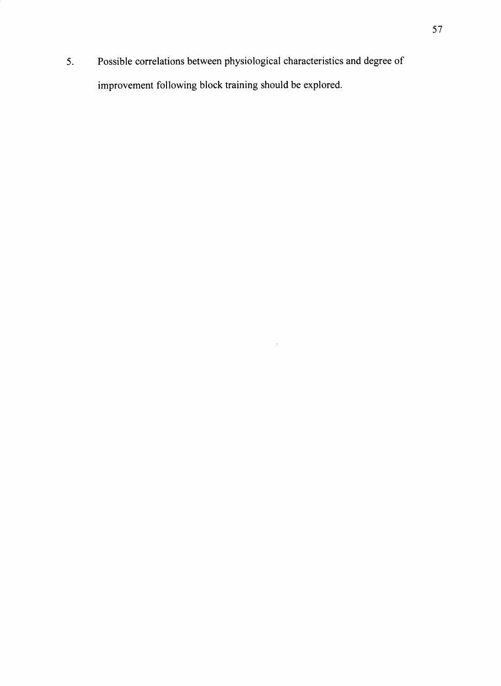5. Possible correlations between physiological characteristics and degree of improvement following block training should be explored.

 $\mathcal{A}^{\mathcal{A}}$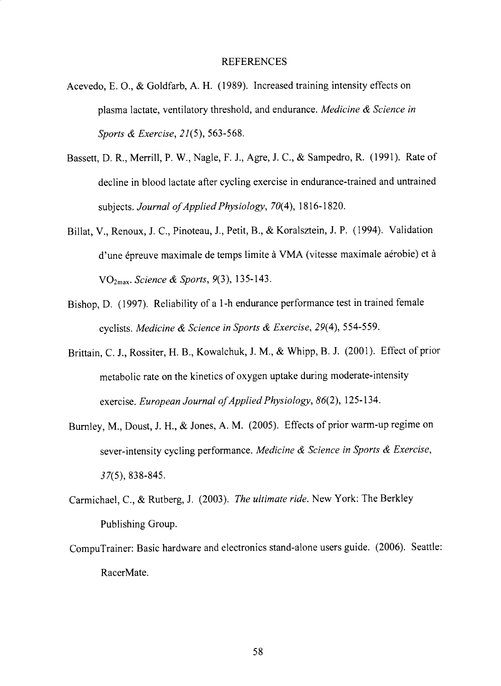- Acevedo, E. O., & Goldfarb, A. H. (1989). lncreased training intensity effects on plasma lactate, ventilatory threshold, and endurance. Medicine & Science in Sports & Exercise, 21(5), 563-568.
- Bassett, D. R., Merrill, P. W., Nagle, F. J., Agre, J. C., & Sampedro, R. (1991). Rate of decline in blood lactate after cycling exercise in endurance-trained and untrained subjects. Journal of Applied Physiology,  $70(4)$ , 1816-1820.
- Billat, V., Renoux, J. C., Pinoteau, J., Petit, B., & Koralsztein, J. P. (1994). Validation d'une épreuve maximale de temps limite à VMA (vitesse maximale aérobie) et à VO<sub>2max</sub>. Science & Sports, 9(3), 135-143.
- Bishop, D. ( 1997). Reliability of a l -h endurance performance test in trained female cyclists. Medicine & Science in Sports & Exercise, 29(4), 554-559.
- Brittain, C. J., Rossiter, H. 8., Kowalchuk, J. M., & Whipp, B. J. (2001). Effect of prior metabolic rate on the kinetics of oxygen uptake during moderate-intensity exercise. European Journal of Applied Physiology, 86(2), 125-134.
- Burnley, M., Doust, J. H., & Jones, A. M. (2005). Effects of prior warm-up regime on sever-intensity cycling performance. Medicine & Science in Sports & Exercise, 37(5),838-845.
- Carmichael, C., & Rutberg, J. (2003). The ultimate ride. New York: The Berkley Publishing Group.
- CompuTrainer: Basic hardware and electronics stand-alone users guide. (2006). Seattle: RacerMate.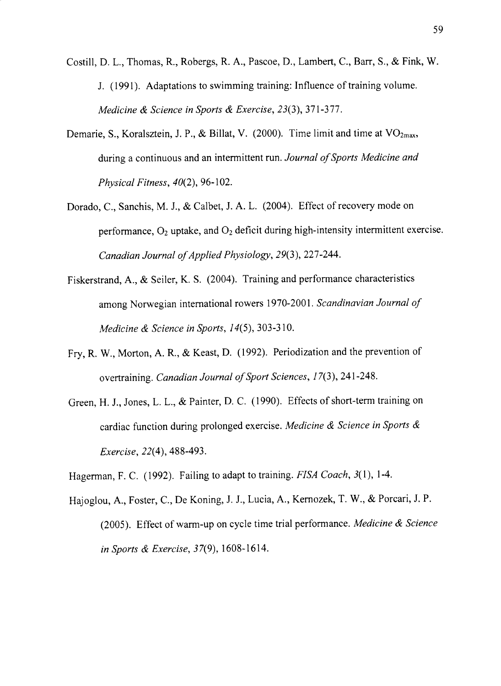Costill, D.L., Thomas, R., Robergs, R. A., Pascoe, D., Lambert, C., Barr, S., & Fink, W. J. (1991). Adaptations to swimming training: Influence of training volume. Medicine  $\&$  Science in Sports  $\&$  Exercise, 23(3), 371-377.

- Demarie, S., Koralsztein, J. P., & Billat, V. (2000). Time limit and time at  $VO<sub>2max</sub>$ , during a continuous and an intermittent run. Journal of Sports Medicine and Physical Fitness,  $40(2)$ , 96-102.
- Dorado, C., Sanchis, M. J., & Calbet, J. A. L. (2004). Effect of recovery mode on performance,  $O_2$  uptake, and  $O_2$  deficit during high-intensity intermittent exercise. Canadian Journal of Applied Physiology, 29(3), 227-244.
- Fiskerstrand, A., & Seiler, K. S. (2004). Training and performance characteristics among Norwegian international rowers 1970-2001. Scandinavian Journal of Medicine  $\&$  Science in Sports, 14(5), 303-310.
- Fry, R. W., Morton, A. R., & Keast, D. (1992). Periodization and the prevention of overtraining. Canadian Journal of Sport Sciences, 17(3), 241-248.
- Green, H. J., Jones,L.L., & Painter, D. C. (1990). Effects of short-term training on cardiac function during prolonged exercise. Medicine & Science in Sports &  $Exercise, 22(4), 488-493.$
- Hagerman, F. C. (1992). Failing to adapt to training. FISA Coach, 3(1), 1-4.
- Hajoglou, A., Foster, C., De Koning, J. J., Lucia, A., Kernozek,T. W., & Porcari, J. P. (2005). Effect of warm-up on cycle time trial performance. Medicine & Science in Sports & Exercise,  $37(9)$ , 1608-1614.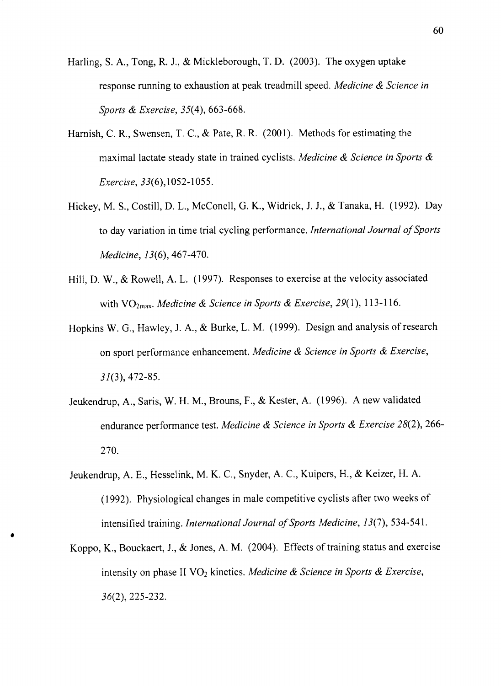Harling, S. A., Tong, R. J., & Mickleborough, T. D. (2003). The oxygen uptake response running to exhaustion at peak treadmill speed. Medicine & Science in Sports & Exercise, 35(4), 663-668.

- Harnish, C. R., Swensen, T. C., & Pate, R. R. (2001). Methods for estimating the maximal lactate steady state in trained cyclists. Medicine & Science in Sports & Exercise, 33(6), 1052-1055.
- Hickey, M. S., Costill, D.L., McConell, G. K., Widrick, J. J., & Tanaka, H. (1992). Day to day variation in time trial cycling performance. International Journal of Sports Medicine, 13(6), 467-470.
- Hill, D. W., & Rowell, A. L. (1997). Responses to exercise at the velocity associated with  $VO<sub>2max</sub>$ . Medicine & Science in Sports & Exercise, 29(1), 113-116.
- Hopkins W. G., Hawley, J. A., & Burke, L. M. (1999). Design and analysis of research on sport performance enhancement, Medicine & Science in Sports & Exercise, 31(3), 472-85.
- Jeukendrup, A., Saris, W. H. M., Brouns, F., & Kester, A. (1996). A new validated endurance performance test. Medicine & Science in Sports & Exercise 28(2), 266-270.
- Jeukendrup, A.E., Hesselink, M. K. C., Snyder, A.C., Kuipers, H., & Keizer, H. A. (1992). Physiological changes in male competitive cyclists after two weeks of intensified training. International Journal of Sports Medicine, 13(7), 534-541.
- Koppo, K., Bouckaert, J., & Jones, A. M. (2004). Effects of training status and exercise intensity on phase II  $VO<sub>2</sub>$  kinetics. Medicine & Science in Sports & Exercise, 36(2),225-232.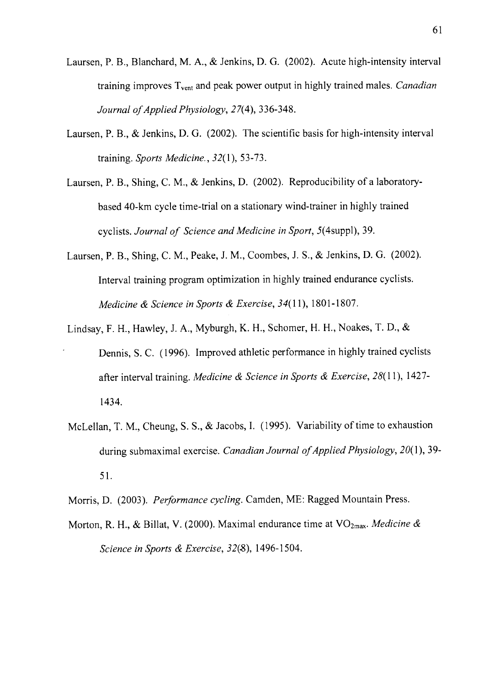- Laursen, P. 8., Blanchard, M. A., & Jenkins, D. G. (2002). Acute high-intensity interval training improves  $T_{\text{vent}}$  and peak power output in highly trained males. *Canadian* Journal of Applied Physiology, 27(4), 336-348.
- Laursen, P. B., & Jenkins, D. G. (2002). The scientific basis for high-intensity interval training. Sports Medicine., 32(l), 53-73.
- Laursen, P. B., Shing, C. M., & Jenkins, D. (2002). Reproducibility of a laboratorybased 40-km cycle time-trial on a stationary wind-trainer in highly trained cyclists. Journal of Science and Medicine in Sport, 5(4suppl), 39.
- Laursen, P. 8., Shing, C. M., Peake, J.M., Coombes, J. S., & Jenkins, D. G. (2002). Interval training program optimization in highly trained endurance cyclists. Medicine & Science in Sports & Exercise, 34(11), 1801-1807.
- Lindsay, F. H., Hawley, J. A., Myburgh, K. H., Schomer, H. H., Noakes, T. D., & Dennis, S. C. (1996). Improved athletic performance in highly trained cyclists after interval training. Medicine & Science in Sports & Exercise, 28(11), 1427r434.
- Mclellan, T. M., Cheung, S. S., & Jacobs, I. (1995). Variability of time to exhaustion during submaximal exercise. Canadian Journal of Applied Physiology,  $20(1)$ , 39-51.
- Morris, D. (2003). Performance cycling. Camden, ME: Ragged Mountain Press.
- Morton, R. H., & Billat, V. (2000). Maximal endurance time at  $VO<sub>2max</sub>$ . Medicine & Science in Sports & Exercise,  $32(8)$ , 1496-1504.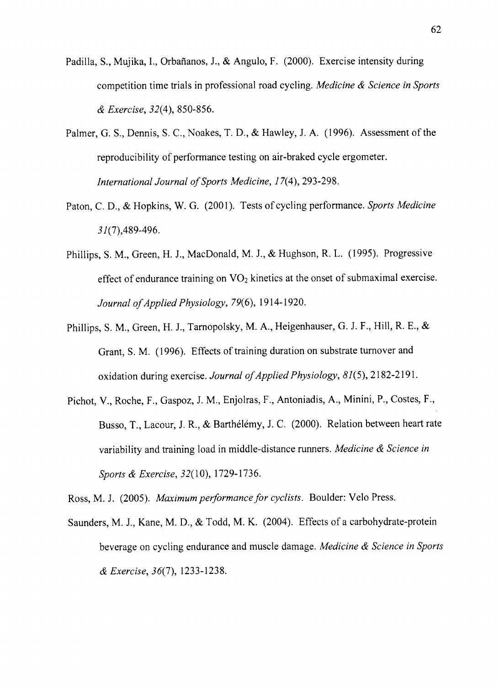- Padilla, S., Mujika, I., Orbañanos, J., & Angulo, F. (2000). Exercise intensity during competition time trials in professional road cycling. Medicine & Science in Sports & Exercise, 3 2(4), 850-856.
- Palmer, G. S., Dennis, S. C., Noakes, T. D., & Hawley, J. A. (1996). Assessment of the reproducibility of perforrnance testing on air-braked cycle ergometer. International Journal of Sports Medicine, 17(4), 293-298.
- Paton, C. D., & Hopkins, W. G. (2001). Tests of cycling performance. Sports Medicine  $31(7)$ ,489-496.
- Phillips, S.M., Green, H. J., MacDonald, M.J., & Hughson, R. L. (1995). Progressive effect of endurance training on  $VO<sub>2</sub>$  kinetics at the onset of submaximal exercise. Journal of Applied Physiology, 79(6), 1914-1920.
- Phillips, S.M., Green, H. J., Tarnopolsky, M. A., Heigenhauser, G. J. F., Hill, R. E., & Grant, S. M. (1996). Effects of training duration on substrate turnover and oxidation during exercise. Journal of Applied Physiology, 81(5), 2182-2191.
- Pichot, V., Roche, F., Gaspoz, J.M., Enjolras, F., Antoniadis, A., Minini, P., Costes, F.,. Busso, T., Lacour, J. R., & Barthélémy, J. C. (2000). Relation between heart rate variability and training load in middle-distance runners. Medicine & Science in Sports & Exercise, 32(10), 1729-1736.

Ross, M. J. (2005). Maximum performance for cyclists. Boulder: Velo Press.

Saunders, M. J., Kane, M. D., & Todd, M. K. (2004). Effects of a carbohydrate-protein beverage on cycling endurance and muscle damage. Medicine & Science in Sports & Exercise, 3 6(7\, 1233-1238.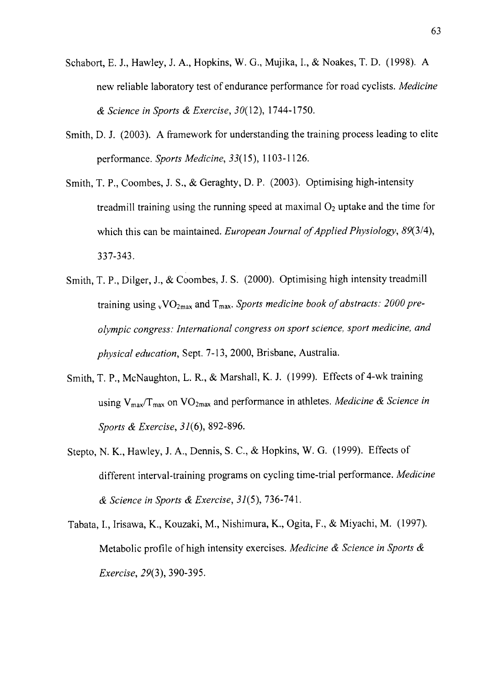- Schabort, E. J., Hawley, J. A., Hopkins, W. G., Mujika, L, & Noakes, T. D. (1998). A new reliable laboratory test of endurance performance for road cyclists. Medicine  $&$  Science in Sports  $&$  Exercise, 30(12), 1744-1750.
- Smith, D. J. (2003). A framework for understanding the training process leading to elite performance. Sports Medicine, 33(15), 1103-1126.
- Smith, T. P., Coombes, J. S., & Geraghty, D. P. (2003). Optimising high-intensity treadmill training using the running speed at maximal  $O_2$  uptake and the time for which this can be maintained. European Journal of Applied Physiology,  $89(3/4)$ , 337-343.
- Smith, T. P., Dilger, J., & Coombes, J. S. (2000). Optimising high intensity treadmill training using  $\rm vVO_{2max}$  and  $\rm T_{max}$ . Sports medicine book of abstracts: 2000 preolympic congress: International congress on sport science, sport medicine, and physical education, Sept. 7-13, 2000, Brisbane, Australia.
- Smith, T. P., McNaughton, L. R., & Marshall, K. J. (1999). Effects of 4-wk training using  $V_{\text{max}}/T_{\text{max}}$  on  $VO_{\text{2max}}$  and performance in athletes. *Medicine & Science in* Sports & Exercise, 31(6), 892-896.
- Stepto, N. K., Hawley, J. A., Dennis, S. C., & Hopkins, W. G. (1999). Effects of different interval-training programs on cycling time-trial performance. Medicine  $&$  Science in Sports  $&$  Exercise, 31(5), 736-741.
- Tabata, I., Irisawa, K., Kouzaki, M., Nishimura, K., Ogita, F., & Miyachi, M. (1997). Metabolic profile of high intensity exercises. Medicine & Science in Sports & Exercise, 29(3), 390-395.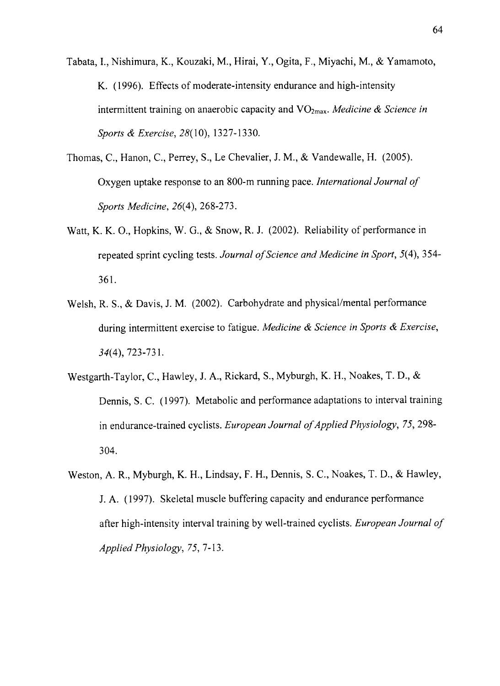Tabata,I., Nishimura, K., Kouzaki, M., Hirai, Y., Ogita, F., Miyachi, M., & Yamamoto, K. (1996). Effects of moderate-intensity endurance and high-intensity intermittent training on anaerobic capacity and  $VO<sub>2max</sub>$ . Medicine & Science in Sports & Exercise, 28(10), 1327-1330.

- Thomas, C., Hanon, C., Perrey, S., Le Chevalier, J. M., & Vandewalle, H. (2005). Oxygen uptake response to an 800-m running pace. International Journal of Sports Medicine, 26(4), 268-273.
- Watt, K. K. O., Hopkins, W. G., & Snow, R. J. (2002). Reliability of performance in repeated sprint cycling tests. Journal of Science and Medicine in Sport, 5(4), 354-361.
- Welsh, R. S., & Davis, J. M. (2002). Carbohydrate and physical/mental performance during intermittent exercise to fatigue. Medicine  $\&$  Science in Sports  $\&$  Exercise, 34(4),723-731.
- Westgarth-Taylor, C., Hawley, J.A., Rickard, S., Myburgh, K. H., Noakes, T. D., & Dennis, S. C. (1997). Metabolic and performance adaptations to interval training in endurance-trained cyclists. European Journal of Applied Physiology, 75, 298-304.
- Weston, A. R., Myburgh, K. H., Lindsay, F. H., Dennis, S. C., Noakes, T. D., & Hawley, J. A. (1997). Skeletal muscle buffering capacity and endurance performance after high-intensity interval training by well-trained cyclists. European Journal of Applied Physiology,  $75, 7 - 13$ .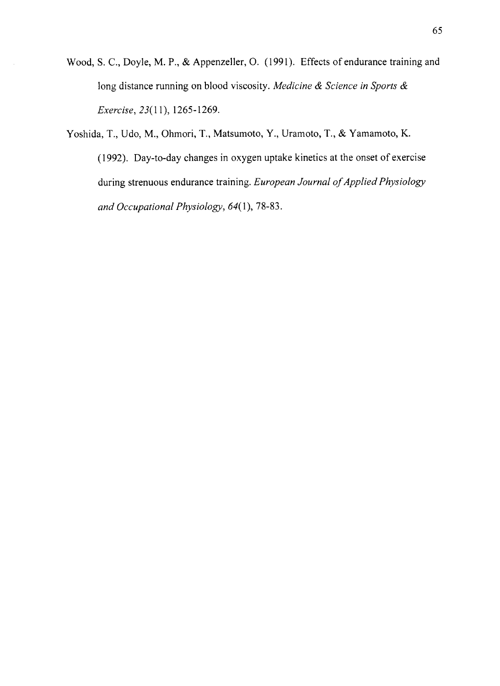- Wood, S. C., Doyle, M. P., & Appenzeller, O. (1991). Effects of endurance training and long distance running on blood viscosity. Medicine & Science in Sports & Exercise, 23(11), 1265-1269.
- Yoshida, T., Udo, M., Ohmori, T., Matsumoto, Y., Uramoto, T., & Yamamoto, K. (1992). Day-to-day changes in oxygen uptake kinetics at the onset of exercise during strenuous endurance training. European Journal of Applied Physiology and Occupational Physiology,  $64(1)$ , 78-83.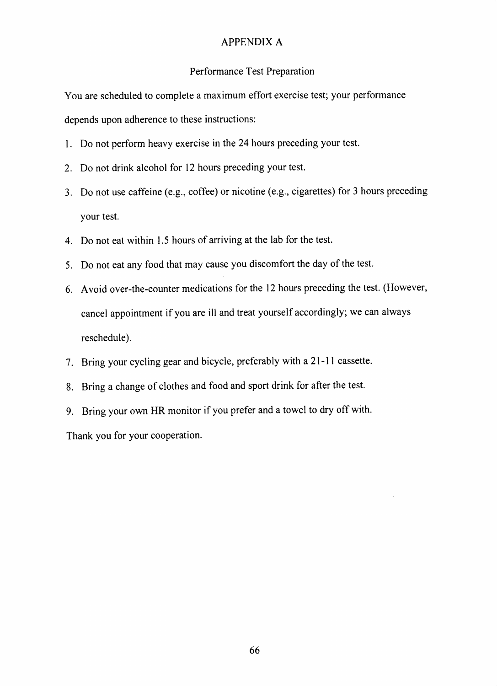## APPENDIX A

#### Performance Test Preparation

You are scheduled to complete a maximum effort exercise test; your performance depends upon adherence to these instructions:

- <sup>I</sup>. Do not perform heavy exercise in the 24 hours preceding your test.
- 2. Do not drink alcohol for 12 hours preceding your test.
- 3. Do not use caffeine (e.g., coffee) or nicotine (e.g., cigarettes) for 3 hours preceding your test.
- 4. Do not eat within L5 hours of arriving at the lab for the test.
- 5. Do not eat any food that may cause you discomfort the day of the test.
- 6. Avoid over-the-counter medications for the 12 hours preceding the test. (However, cancel appointment if you are ill and treat yourself accordingly; we can always reschedule).
- 7. Bring your cycling gear and bicycle, preferably with a 2l -l I cassette.
- <sup>8</sup>. Bring a change of clothes and food and sport drink for after the test.
- 9. Bring your own HR monitor if you prefer and a towel to dry off with'

Thank you for your cooperation.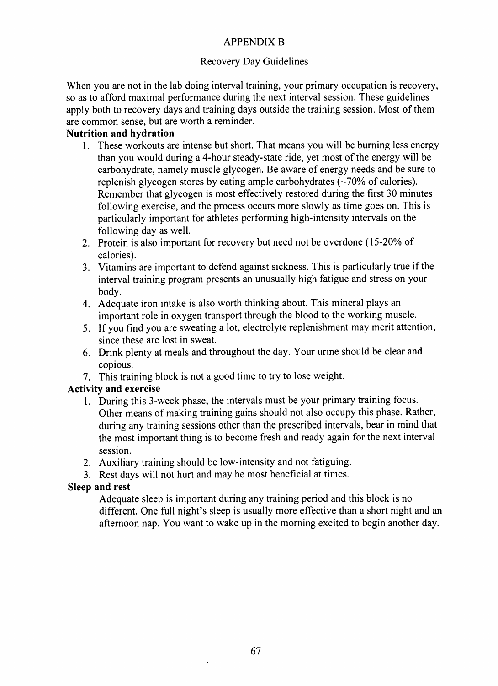## APPENDIX B

## Recovery Day Guidelines

When you are not in the lab doing interval training, your primary occupation is recovery, so as to afford maximal performance during the next interval session. These guidelines apply both to recovery days and training days outside the training session. Most of them are common sense, but are worth a reminder.

## Nutrition and hydration

- 1. These workouts are intense but short. That means you will be burning less energy than you would during a 4-hour steady-state ride, yet most of the energy will be carbohydrate, namely muscle glycogen. Be aware of energy needs and be sure to replenish glycogen stores by eating ample carbohydrates  $(\sim 70\%$  of calories). Remember that glycogen is most effectively restored during the first 30 minutes following exercise, and the process occurs more slowly as time goes on. This is particularly important for athletes performing high-intensity intervals on the following day as well.
- 2. Protein is also important for recovery but need not be overdone (15-20% of calories).
- 3. Vitamins are important to defend against sickness. This is particularly true if the interval training program presents an unusually high fatigue and stress on your body.
- 4. Adequate iron intake is also worth thinking about. This mineral plays an important role in oxygen transport through the blood to the working muscle.
- 5. If you find you are sweating a lot, electrolye replenishment may merit attention, since these are lost in sweat.
- 6. Drink plenty at meals and throughout the day. Your urine should be clear and copious.
- 7. This training block is not a good time to try to lose weight.

## Activity and exercise

- 1. During this 3-week phase, the intervals must be your primary training focus. Other means of making training gains should not also occupy this phase. Rather, during any training sessions other than the prescribed intervals, bear in mind that the most important thing is to become fresh and ready again for the next interval session.
- 2. Auxiliary training should be low-intensity and not fatiguing.
- 3. Rest days will not hurt and may be most beneficial at times.

## Sleep and rest

Adequate sleep is important during any training period and this block is no different. One full night's sleep is usually more effective than a short night and an afternoon nap. You want to wake up in the moming excited to begin another day.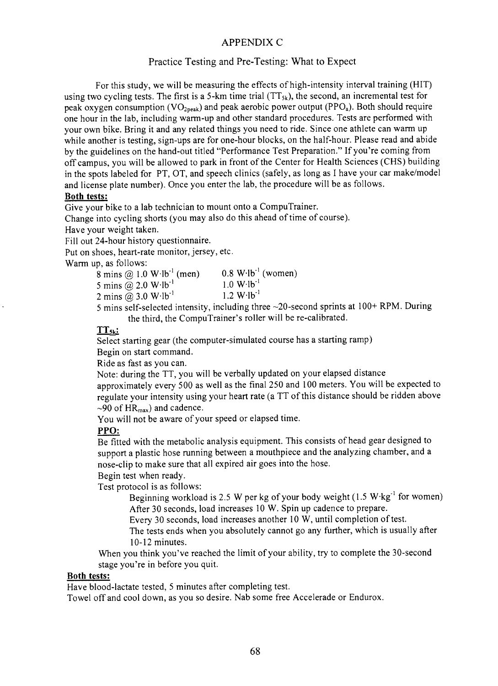#### APPENDIX C

#### Practice Testing and Pre-Testing: What to Expect

For this study, we will be measuring the effects of high-intensity interval training (HIT) using two cycling tests. The first is a 5-km time trial  $(TT_{sk})$ , the second, an incremental test for peak oxygen consumption (VO<sub>2peak</sub>) and peak aerobic power output (PPO<sub>a</sub>). Both should require one hour in the lab, including warm-up and other standard procedures. Tests are performed with your own bike. Bring it and any related things you need to ride. Since one athlete can warrn up while another is testing, sign-ups are for one-hour blocks, on the half-hour. Please read and abide by the guidelines on the hand-out titled "Performance Test Preparation." If you're coming from off campus, you will be allowed to park in front of the Center for Health Sciences (CHS) building in the spots labeled for PT, OT, and speech clinics (safely, as long as I have your car make/model and license plate number). Once you enter the lab, the procedure will be as follows.

#### Both tests:

Give your bike to a lab technician to mount onto a CompuTrainer.

Change into cycling shorts (you may also do this ahead of time of course).

Have your weight taken.

Fill out 24-hour history questionnaire.

Put on shoes, heart-rate monitor, jersey, etc.

Warm up, as follows:

| .<br>8 mins @ $1.0 W·lb^{-1}$ (men)              | $0.8$ W $\cdot$ Ib <sup>-1</sup> (women) |
|--------------------------------------------------|------------------------------------------|
| 5 mins @ $2.0 W·lb^{-1}$                         | $1.0 W·lb^{-1}$                          |
| 2 mins @ $3.0 W·lb^{-1}$                         | $1.2 W·lb^{-1}$                          |
| $\sim$ $\sim$ $\sim$ $\sim$ $\sim$ $\sim$ $\sim$ | $\sim$ $\sim$                            |

5 mins self-selected intensity, including three  $\sim$ 20-second sprints at 100+ RPM. During the third, the CompuTrainer's roller will be re-calibrated.

#### $TT_{5k}$ :

Select starting gear (the computer-simulated course has a starting ramp)

Begin on start command.

Ride as fast as you can.

Note: during the TT, you will be verbally updated on your elapsed distance

approximately every 500 as well as the final 250 and 100 meters. You will be expected to regulate your intensity using your heart rate (a TT of this distance should be ridden above  $\sim$ 90 of HR<sub>max</sub>) and cadence.

You will not be aware of your speed or elapsed time.

#### PPO:

Be fitted with the metabolic analysis equipment. This consists of head gear designed to support a plastic hose running between a mouthpiece and the analyzing chamber, and a nose-clip to make sure that all expired air goes into the hose.

Begin test when readY.

Test protocol is as follows:

Beginning workload is 2.5 W per kg of your body weight  $(1.5 \text{ W} \cdot \text{kg}^{-1}$  for women) After 30 seconds, load increases l0 W. Spin up cadence to prepare.

Every 30 seconds, load increases another 10 W, until completion of test.

The tests ends when you absolutely cannot go any further, which is usually after l0-12 minutes.

When you think you've reached the limit of your ability, try to complete the 30-second stage you're in before you quit.

#### Both tests:

Have blood-lactate tested, 5 minutes after completing test.

Towel offand cool down, as you so desire. Nab some free Accelerade or Endurox.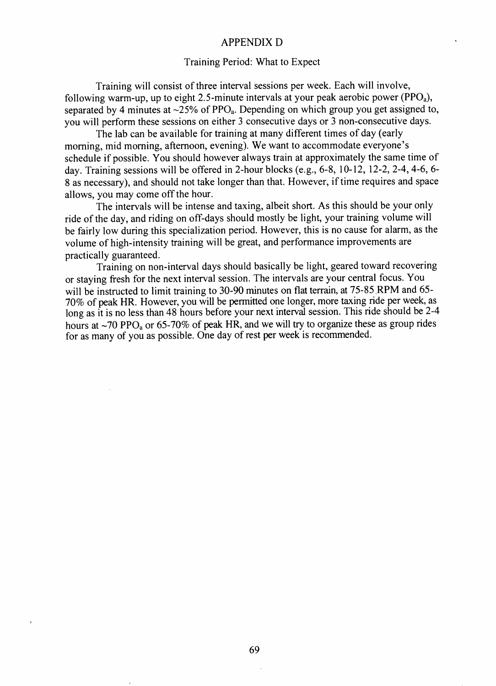#### APPENDIX D

#### Training Period: What to Expect

Training will consist of three interval sessions per week. Each will involve, following warm-up, up to eight 2.5-minute intervals at your peak aerobic power (PPO<sub>a</sub>), separated by 4 minutes at  $\sim$ 25% of PPO<sub>a</sub>. Depending on which group you get assigned to, you will perform these sessions on either 3 consecutive days or 3 non-consecutive days.

The lab can be available for training at many different times of day (early moming, mid morning, aftemoon, evening). We want to accommodate everyone's schedule if possible. You should however always train at approximately the same time of day. Training sessions will be offered in 2-hour blocks (e.g., 6-8, 10-12, 12-2, 2-4, 4-6, 6-8 as necessary), and should not take longer than that. However, if time requires and space allows, you may come off the hour.

The intervals will be intense and taxing, albeit short. As this should be your only ride of the day, and riding on off-days should mostly be light, your taining volume will be fairly low during this specialization period. However, this is no cause for alarm, as the volume of high-intensity training will be great, and performance improvements are practically guaranteed.

Training on non-interval days should basically be light, geared toward recovering or staying fresh for the next interval session. The intervals are your central focus. You will be instructed to limit training to 30-90 minutes on flat terrain, at  $75-85$  RPM and 65-70% of peak HR. However, you will be permitted one longer, more taxing ride per week, aslong as it is no less than 48 hours before your next interval session. This ride should be 2-4 hours at  $\sim$ 70 PPO<sub>3</sub> or 65-70% of peak HR, and we will try to organize these as group rides for as many of you as possible. One day of rest per week is recommended.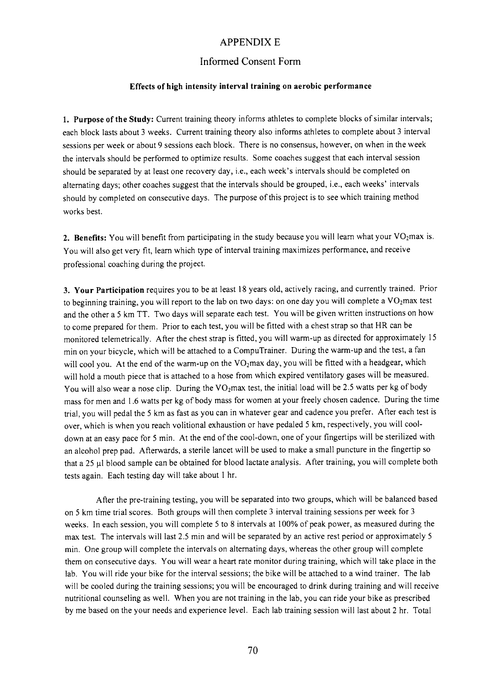#### APPENDIX E

#### Informed Consent Form

#### Effects of high intensity interral training on aerobic performance

l. Purpose of the Study: Current training theory informs athletes to complete blocks of similar intervals; each block lasts about 3 weeks. Current training theory also informs athletes to complete about 3 interval sessions per week or about 9 sessions each block. There is no consensus, however, on when in the week the intervals should be performed to optimize results. Some coaches suggest that each interval session should be separated by at least one recovery day, i.e., each week's intervals should be completed on alternating days; other coaches suggest that the intervals should be grouped, i.e., each weeks' intervals should by completed on consecutive days. The purpose of this project is to see which training method works best.

2. Benefits: You will benefit from participating in the study because you will learn what your  $VO<sub>2</sub>$ max is. You will also get very fit, learn which type of interval training maximizes performance, and receive professional coaching during the project.

3. Your Participation requires you to be at least 18 years old, actively racing, and currently trained. Prior to beginning training, you will report to the lab on two days: on one day you will complete a VO<sub>2</sub>max test and the other a 5 km TT. Two days will separate each test. You will be given written instructions on how to come prepared for them. Prior to each test, you will be fitted with a chest strap so that HR can be monitored telemetrically. After the chest strap is fitted, you will warm-up as directed for approximately l5 min on your bicycle, which will be attached to a CompuTrainer. During the warm-up and the test, a fan will cool you. At the end of the warm-up on the VO2max day, you will be fitted with a headgear, which will hold a mouth piece that is attached to a hose from which expired ventilatory gases will be measured. You will also wear a nose clip. During the VO<sub>2</sub>max test, the initial load will be 2.5 watts per kg of body mass for men and l.6 watts per kg of body mass for women at your freely chosen cadence. During the time trial, you will pedal the 5 km as fast as you can in whatever gear and cadence you prefer. After each test is over, which is when you reach volitional exhaustion or have pedaled 5 km, respectively, you will cooldown at an easy pace for 5 min. At the end of the cool-down, one of your fingertips will be sterilized with an alcohol prep pad. Afterwards, a sterile lancet will be used to make a small puncture in the fingertip so that a 25 µl blood sample can be obtained for blood lactate analysis. After training, you will complete both tests again. Each testing day will take about I hr.

After the pre-training testing, you will be separated into two groups, which will be balanced based on 5 km time trial scores. Both groups will then complete 3 interval training sessions per week for <sup>3</sup> weeks. In each session, you will complete 5 to 8 intervals at 100% of peak power, as measured during the max test. The intervals will last 2.5 min and will be separated by an active rest period or approximately <sup>5</sup> min. One group will complete the intervals on alternating days, whereas the other group will complete them on consecutive days. You will wear a heart rate monitor during training, which will take place in the lab. You will ride your bike for the interval sessions; the bike will be attached to a wind trainer. The lab will be cooled during the training sessions; you will be encouraged to drink during training and will receive nutritional counseling as well. When you are not training in the lab, you can ride your bike as prescribed by me based on the your needs and experience level. Each lab training session will last about 2 hr. Total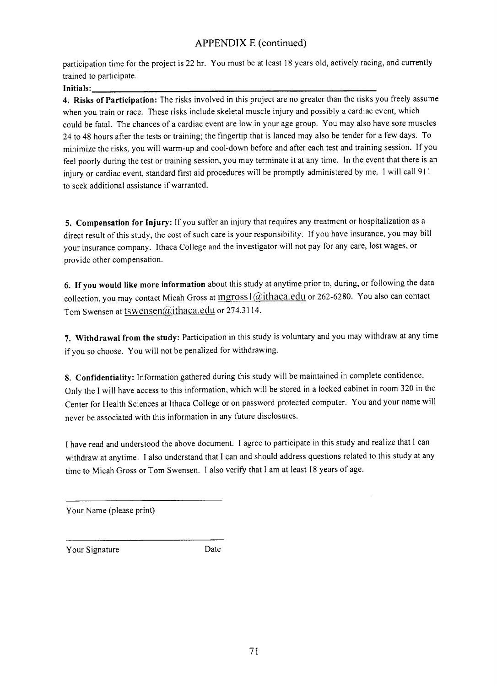## APPENDIX E (continued)

participation time for the project is 22 hr. You must be at least l8 years old, actively racing, and currently trained to participate.

Initials:

4. Risks of Participation: The risks involved in this project are no greater than the risks you freely assume when you train or race. These risks include skeletal muscle injury and possibly a cardiac event, which could be fatal. The chances of a cardiac event are low in your age group. You may also have sore muscles 24 to 48 hours after the tests or training; the fingertip that is lanced may also be tender for a few days. To minimize the risks, you will warm-up and cool-down before and after each test and training session. If you feel poorly during the test or training session, you may terminate it at any time. In the event that there is an injury or cardiac event, standard first aid procedures will be promptly administered by me. I will call 9l <sup>I</sup> to seek additional assistance if warranted.

5. Compensation for Injury: If you suffer an injury that requires any treatment or hospitalization as a direct result of this study, the cost of such care is your responsibility. If you have insurance, you may bill your insurance company. Ithaca College and the investigator will not pay for any care, lost wages, or provide other compensation.

6. If you would like more information about this study at anytime prior to, during, or following the data collection, you may contact Micah Gross at  $mgross \frac{a}{ithaca.edu}$  or 262-6280. You also can contact Tom Swensen at tswensen@ithaca.edu or 274.3114.

7. Withdrawal from the study: Participation in this study is voluntary and you may withdraw at any time if you so choose. You will not be penalized for withdrawing.

8. Confidentiality: Information gathered during this study will be maintained in complete confidence. Only the I will have access to this information, which will be stored in a locked cabinet in room 320 in the Center for Health Sciences at Ithaca College or on password protected computer. You and your name will never be associated with this information in any future disclosures.

I have read and understood the above document. I agree to participate in this study and realize that I can withdraw at anytime. I also understand that I can and should address questions related to this study at any time to Micah Gross or Tom Swensen. I also verify that I am at least 18 years of age.

Your Name (please print)

Your Signature Date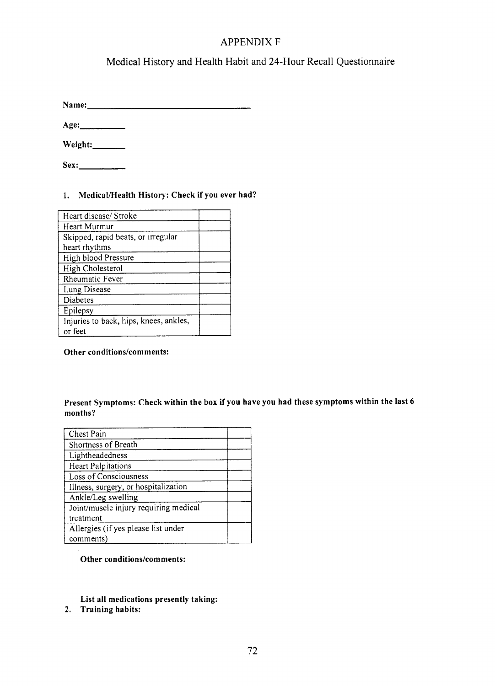## APPENDIX F

## Medical History and Health Habit and 24-Hour Recall Questionnaire

Name: Name:

Age:\_

| Weight: |
|---------|
|---------|

Sex:-

### l. Medical/Health History: Check if you ever had?

| Heart disease/Stroke                   |  |
|----------------------------------------|--|
| Heart Murmur                           |  |
| Skipped, rapid beats, or irregular     |  |
| heart rhythms                          |  |
| High blood Pressure                    |  |
| High Cholesterol                       |  |
| Rheumatic Fever                        |  |
| Lung Disease                           |  |
| Diabetes                               |  |
| Epilepsy                               |  |
| Injuries to back, hips, knees, ankles, |  |
| or feet                                |  |

Other conditions/comments:

#### Present Symptoms: Check within the box if you have you had these symptoms within the last <sup>6</sup> months?

| Chest Pain                            |  |
|---------------------------------------|--|
| Shortness of Breath                   |  |
| Lightheadedness                       |  |
| <b>Heart Palpitations</b>             |  |
| Loss of Consciousness                 |  |
| Illness, surgery, or hospitalization  |  |
| Ankle/Leg swelling                    |  |
| Joint/muscle injury requiring medical |  |
| treatment                             |  |
| Allergies (if yes please list under   |  |
| comments)                             |  |

Other conditions/comments:

List all medications presently taking:

2. Training habits: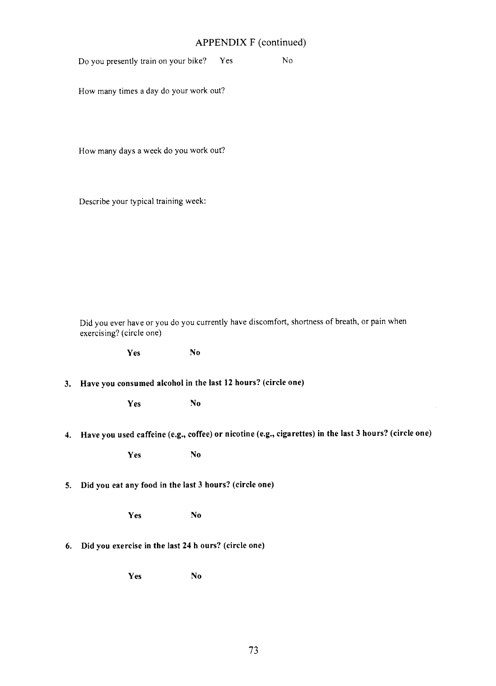# $\Gamma$  (continued)

|    | APPENDIX F (continued)   |                                                              |                |     |                                                                                                           |  |
|----|--------------------------|--------------------------------------------------------------|----------------|-----|-----------------------------------------------------------------------------------------------------------|--|
|    |                          | Do you presently train on your bike?                         |                | Yes | N <sub>o</sub>                                                                                            |  |
|    |                          | How many times a day do your work out?                       |                |     |                                                                                                           |  |
|    |                          | How many days a week do you work out?                        |                |     |                                                                                                           |  |
|    |                          | Describe your typical training week:                         |                |     |                                                                                                           |  |
|    |                          |                                                              |                |     |                                                                                                           |  |
|    |                          |                                                              |                |     |                                                                                                           |  |
|    | exercising? (circle one) |                                                              |                |     | Did you ever have or you do you currently have discomfort, shortness of breath, or pain when              |  |
|    |                          | Yes                                                          | N <sub>o</sub> |     |                                                                                                           |  |
| 3. |                          | Have you consumed alcohol in the last 12 hours? (circle one) |                |     |                                                                                                           |  |
|    |                          | Yes                                                          | N <sub>0</sub> |     |                                                                                                           |  |
|    |                          |                                                              |                |     | 4. Have you used caffeine (e.g., coffee) or nicotine (e.g., cigarettes) in the last 3 hours? (circle one) |  |
|    |                          | Yes                                                          | No             |     |                                                                                                           |  |
| 5. |                          | Did you eat any food in the last 3 hours? (circle one)       |                |     |                                                                                                           |  |
|    |                          | Yes                                                          | N <sub>0</sub> |     |                                                                                                           |  |
| 6. |                          | Did you exercise in the last 24 h ours? (circle one)         |                |     |                                                                                                           |  |
|    |                          | Yes                                                          | No             |     |                                                                                                           |  |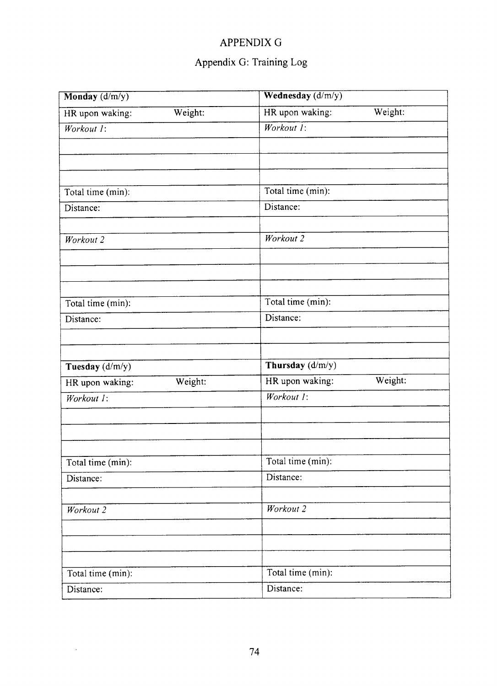## APPENDIX G

# Appendix G: Training Log

| Monday $(d/m/y)$           | Wednesday (d/m/y)          |  |  |
|----------------------------|----------------------------|--|--|
| HR upon waking:<br>Weight: | HR upon waking:<br>Weight: |  |  |
| Workout 1:                 | Workout 1:                 |  |  |
|                            |                            |  |  |
| Total time (min):          | Total time (min):          |  |  |
| Distance:                  | Distance:                  |  |  |
| Workout 2                  | Workout 2                  |  |  |
|                            |                            |  |  |
| Total time (min):          | Total time (min):          |  |  |
| Distance:                  | Distance:                  |  |  |
| Tuesday (d/m/y)            | Thursday (d/m/y)           |  |  |
| HR upon waking:<br>Weight: | HR upon waking:<br>Weight: |  |  |
| Workout 1:                 | Workout 1:                 |  |  |
|                            |                            |  |  |
| Total time (min):          | Total time (min):          |  |  |
| Distance:                  | Distance:                  |  |  |
| Workout 2                  | Workout 2                  |  |  |
|                            |                            |  |  |
| Total time (min):          | Total time (min):          |  |  |
| Distance:                  | Distance:                  |  |  |

 $\ddot{\phantom{0}}$